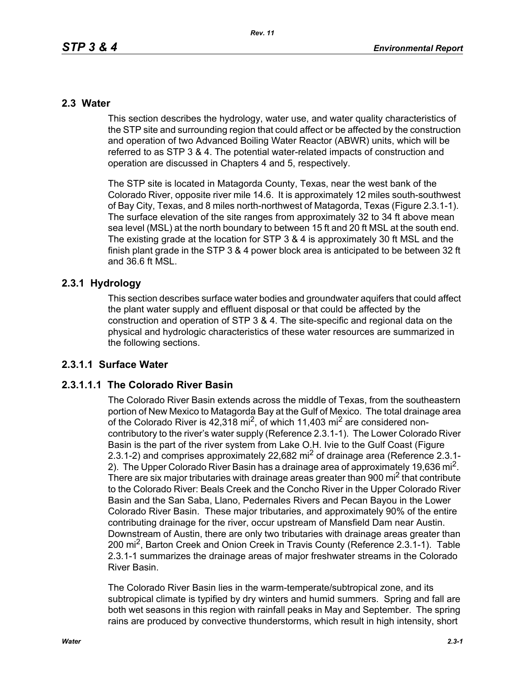#### **2.3 Water**

This section describes the hydrology, water use, and water quality characteristics of the STP site and surrounding region that could affect or be affected by the construction and operation of two Advanced Boiling Water Reactor (ABWR) units, which will be referred to as STP 3 & 4. The potential water-related impacts of construction and operation are discussed in Chapters 4 and 5, respectively.

The STP site is located in Matagorda County, Texas, near the west bank of the Colorado River, opposite river mile 14.6. It is approximately 12 miles south-southwest of Bay City, Texas, and 8 miles north-northwest of Matagorda, Texas (Figure 2.3.1-1). The surface elevation of the site ranges from approximately 32 to 34 ft above mean sea level (MSL) at the north boundary to between 15 ft and 20 ft MSL at the south end. The existing grade at the location for STP 3 & 4 is approximately 30 ft MSL and the finish plant grade in the STP 3 & 4 power block area is anticipated to be between 32 ft and 36.6 ft MSL.

## **2.3.1 Hydrology**

This section describes surface water bodies and groundwater aquifers that could affect the plant water supply and effluent disposal or that could be affected by the construction and operation of STP 3 & 4. The site-specific and regional data on the physical and hydrologic characteristics of these water resources are summarized in the following sections.

## **2.3.1.1 Surface Water**

## **2.3.1.1.1 The Colorado River Basin**

The Colorado River Basin extends across the middle of Texas, from the southeastern portion of New Mexico to Matagorda Bay at the Gulf of Mexico. The total drainage area of the Colorado River is  $42,318$  mi<sup>2</sup>, of which 11,403 mi<sup>2</sup> are considered noncontributory to the river's water supply (Reference 2.3.1-1). The Lower Colorado River Basin is the part of the river system from Lake O.H. Ivie to the Gulf Coast (Figure 2.3.1-2) and comprises approximately 22,682 mi<sup>2</sup> of drainage area (Reference 2.3.1-2). The Upper Colorado River Basin has a drainage area of approximately 19,636 mi<sup>2</sup>. There are six major tributaries with drainage areas greater than 900 mi<sup>2</sup> that contribute to the Colorado River: Beals Creek and the Concho River in the Upper Colorado River Basin and the San Saba, Llano, Pedernales Rivers and Pecan Bayou in the Lower Colorado River Basin. These major tributaries, and approximately 90% of the entire contributing drainage for the river, occur upstream of Mansfield Dam near Austin. Downstream of Austin, there are only two tributaries with drainage areas greater than 200 mi<sup>2</sup>, Barton Creek and Onion Creek in Travis County (Reference 2.3.1-1). Table 2.3.1-1 summarizes the drainage areas of major freshwater streams in the Colorado River Basin.

The Colorado River Basin lies in the warm-temperate/subtropical zone, and its subtropical climate is typified by dry winters and humid summers. Spring and fall are both wet seasons in this region with rainfall peaks in May and September. The spring rains are produced by convective thunderstorms, which result in high intensity, short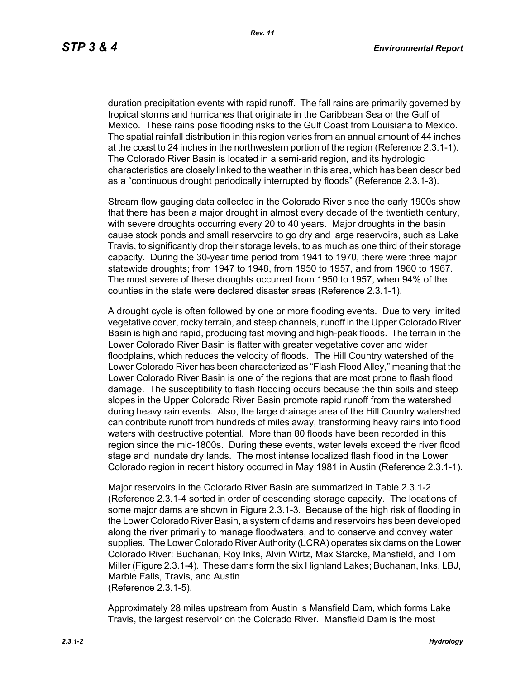duration precipitation events with rapid runoff. The fall rains are primarily governed by tropical storms and hurricanes that originate in the Caribbean Sea or the Gulf of Mexico. These rains pose flooding risks to the Gulf Coast from Louisiana to Mexico. The spatial rainfall distribution in this region varies from an annual amount of 44 inches at the coast to 24 inches in the northwestern portion of the region (Reference 2.3.1-1). The Colorado River Basin is located in a semi-arid region, and its hydrologic characteristics are closely linked to the weather in this area, which has been described as a "continuous drought periodically interrupted by floods" (Reference 2.3.1-3).

Stream flow gauging data collected in the Colorado River since the early 1900s show that there has been a major drought in almost every decade of the twentieth century, with severe droughts occurring every 20 to 40 years. Major droughts in the basin cause stock ponds and small reservoirs to go dry and large reservoirs, such as Lake Travis, to significantly drop their storage levels, to as much as one third of their storage capacity. During the 30-year time period from 1941 to 1970, there were three major statewide droughts; from 1947 to 1948, from 1950 to 1957, and from 1960 to 1967. The most severe of these droughts occurred from 1950 to 1957, when 94% of the counties in the state were declared disaster areas (Reference 2.3.1-1).

A drought cycle is often followed by one or more flooding events. Due to very limited vegetative cover, rocky terrain, and steep channels, runoff in the Upper Colorado River Basin is high and rapid, producing fast moving and high-peak floods. The terrain in the Lower Colorado River Basin is flatter with greater vegetative cover and wider floodplains, which reduces the velocity of floods. The Hill Country watershed of the Lower Colorado River has been characterized as "Flash Flood Alley," meaning that the Lower Colorado River Basin is one of the regions that are most prone to flash flood damage. The susceptibility to flash flooding occurs because the thin soils and steep slopes in the Upper Colorado River Basin promote rapid runoff from the watershed during heavy rain events. Also, the large drainage area of the Hill Country watershed can contribute runoff from hundreds of miles away, transforming heavy rains into flood waters with destructive potential. More than 80 floods have been recorded in this region since the mid-1800s. During these events, water levels exceed the river flood stage and inundate dry lands. The most intense localized flash flood in the Lower Colorado region in recent history occurred in May 1981 in Austin (Reference 2.3.1-1).

Major reservoirs in the Colorado River Basin are summarized in Table 2.3.1-2 (Reference 2.3.1-4 sorted in order of descending storage capacity. The locations of some major dams are shown in Figure 2.3.1-3. Because of the high risk of flooding in the Lower Colorado River Basin, a system of dams and reservoirs has been developed along the river primarily to manage floodwaters, and to conserve and convey water supplies. The Lower Colorado River Authority (LCRA) operates six dams on the Lower Colorado River: Buchanan, Roy Inks, Alvin Wirtz, Max Starcke, Mansfield, and Tom Miller (Figure 2.3.1-4). These dams form the six Highland Lakes; Buchanan, Inks, LBJ, Marble Falls, Travis, and Austin (Reference 2.3.1-5).

Approximately 28 miles upstream from Austin is Mansfield Dam, which forms Lake Travis, the largest reservoir on the Colorado River. Mansfield Dam is the most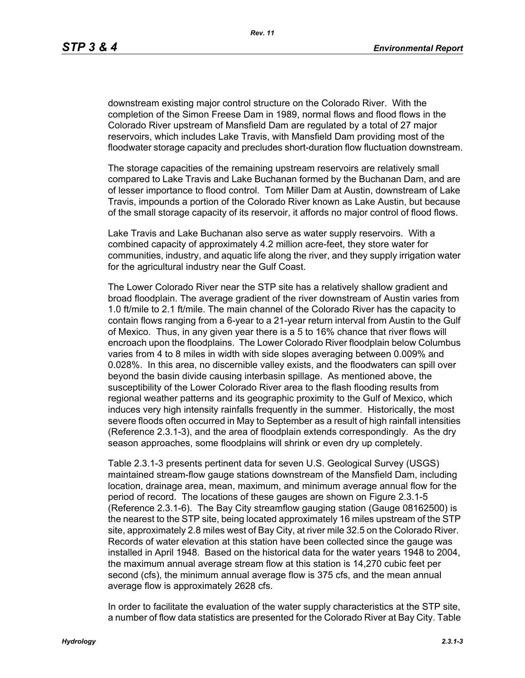downstream existing major control structure on the Colorado River. With the completion of the Simon Freese Dam in 1989, normal flows and flood flows in the Colorado River upstream of Mansfield Dam are regulated by a total of 27 major reservoirs, which includes Lake Travis, with Mansfield Dam providing most of the floodwater storage capacity and precludes short-duration flow fluctuation downstream.

The storage capacities of the remaining upstream reservoirs are relatively small compared to Lake Travis and Lake Buchanan formed by the Buchanan Dam, and are of lesser importance to flood control. Tom Miller Dam at Austin, downstream of Lake Travis, impounds a portion of the Colorado River known as Lake Austin, but because of the small storage capacity of its reservoir, it affords no major control of flood flows.

Lake Travis and Lake Buchanan also serve as water supply reservoirs. With a combined capacity of approximately 4.2 million acre-feet, they store water for communities, industry, and aquatic life along the river, and they supply irrigation water for the agricultural industry near the Gulf Coast.

The Lower Colorado River near the STP site has a relatively shallow gradient and broad floodplain. The average gradient of the river downstream of Austin varies from 1.0 ft/mile to 2.1 ft/mile. The main channel of the Colorado River has the capacity to contain flows ranging from a 6-year to a 21-year return interval from Austin to the Gulf of Mexico. Thus, in any given year there is a 5 to 16% chance that river flows will encroach upon the floodplains. The Lower Colorado River floodplain below Columbus varies from 4 to 8 miles in width with side slopes averaging between 0.009% and 0.028%. In this area, no discernible valley exists, and the floodwaters can spill over beyond the basin divide causing interbasin spillage. As mentioned above, the susceptibility of the Lower Colorado River area to the flash flooding results from regional weather patterns and its geographic proximity to the Gulf of Mexico, which induces very high intensity rainfalls frequently in the summer. Historically, the most severe floods often occurred in May to September as a result of high rainfall intensities (Reference 2.3.1-3), and the area of floodplain extends correspondingly. As the dry season approaches, some floodplains will shrink or even dry up completely.

Table 2.3.1-3 presents pertinent data for seven U.S. Geological Survey (USGS) maintained stream-flow gauge stations downstream of the Mansfield Dam, including location, drainage area, mean, maximum, and minimum average annual flow for the period of record. The locations of these gauges are shown on Figure 2.3.1-5 (Reference 2.3.1-6). The Bay City streamflow gauging station (Gauge 08162500) is the nearest to the STP site, being located approximately 16 miles upstream of the STP site, approximately 2.8 miles west of Bay City, at river mile 32.5 on the Colorado River. Records of water elevation at this station have been collected since the gauge was installed in April 1948. Based on the historical data for the water years 1948 to 2004, the maximum annual average stream flow at this station is 14,270 cubic feet per second (cfs), the minimum annual average flow is 375 cfs, and the mean annual average flow is approximately 2628 cfs.

In order to facilitate the evaluation of the water supply characteristics at the STP site, a number of flow data statistics are presented for the Colorado River at Bay City. Table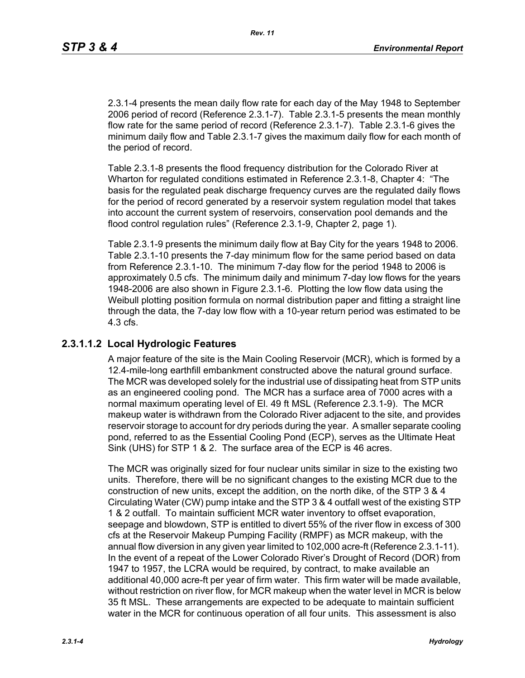2.3.1-4 presents the mean daily flow rate for each day of the May 1948 to September 2006 period of record (Reference 2.3.1-7). Table 2.3.1-5 presents the mean monthly flow rate for the same period of record (Reference 2.3.1-7). Table 2.3.1-6 gives the minimum daily flow and Table 2.3.1-7 gives the maximum daily flow for each month of the period of record.

Table 2.3.1-8 presents the flood frequency distribution for the Colorado River at Wharton for regulated conditions estimated in Reference 2.3.1-8, Chapter 4: "The basis for the regulated peak discharge frequency curves are the regulated daily flows for the period of record generated by a reservoir system regulation model that takes into account the current system of reservoirs, conservation pool demands and the flood control regulation rules" (Reference 2.3.1-9, Chapter 2, page 1).

Table 2.3.1-9 presents the minimum daily flow at Bay City for the years 1948 to 2006. Table 2.3.1-10 presents the 7-day minimum flow for the same period based on data from Reference 2.3.1-10. The minimum 7-day flow for the period 1948 to 2006 is approximately 0.5 cfs. The minimum daily and minimum 7-day low flows for the years 1948-2006 are also shown in Figure 2.3.1-6. Plotting the low flow data using the Weibull plotting position formula on normal distribution paper and fitting a straight line through the data, the 7-day low flow with a 10-year return period was estimated to be 4.3 cfs.

# **2.3.1.1.2 Local Hydrologic Features**

A major feature of the site is the Main Cooling Reservoir (MCR), which is formed by a 12.4-mile-long earthfill embankment constructed above the natural ground surface. The MCR was developed solely for the industrial use of dissipating heat from STP units as an engineered cooling pond. The MCR has a surface area of 7000 acres with a normal maximum operating level of El. 49 ft MSL (Reference 2.3.1-9). The MCR makeup water is withdrawn from the Colorado River adjacent to the site, and provides reservoir storage to account for dry periods during the year. A smaller separate cooling pond, referred to as the Essential Cooling Pond (ECP), serves as the Ultimate Heat Sink (UHS) for STP 1 & 2. The surface area of the ECP is 46 acres.

The MCR was originally sized for four nuclear units similar in size to the existing two units. Therefore, there will be no significant changes to the existing MCR due to the construction of new units, except the addition, on the north dike, of the STP 3 & 4 Circulating Water (CW) pump intake and the STP 3 & 4 outfall west of the existing STP 1 & 2 outfall. To maintain sufficient MCR water inventory to offset evaporation, seepage and blowdown, STP is entitled to divert 55% of the river flow in excess of 300 cfs at the Reservoir Makeup Pumping Facility (RMPF) as MCR makeup, with the annual flow diversion in any given year limited to 102,000 acre-ft (Reference 2.3.1-11). In the event of a repeat of the Lower Colorado River's Drought of Record (DOR) from 1947 to 1957, the LCRA would be required, by contract, to make available an additional 40,000 acre-ft per year of firm water. This firm water will be made available, without restriction on river flow, for MCR makeup when the water level in MCR is below 35 ft MSL. These arrangements are expected to be adequate to maintain sufficient water in the MCR for continuous operation of all four units. This assessment is also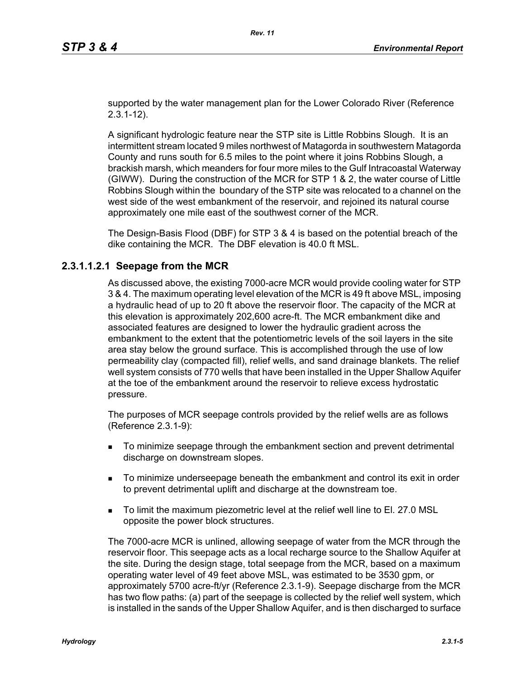supported by the water management plan for the Lower Colorado River (Reference 2.3.1-12).

A significant hydrologic feature near the STP site is Little Robbins Slough. It is an intermittent stream located 9 miles northwest of Matagorda in southwestern Matagorda County and runs south for 6.5 miles to the point where it joins Robbins Slough, a brackish marsh, which meanders for four more miles to the Gulf Intracoastal Waterway (GIWW). During the construction of the MCR for STP 1 & 2, the water course of Little Robbins Slough within the boundary of the STP site was relocated to a channel on the west side of the west embankment of the reservoir, and rejoined its natural course approximately one mile east of the southwest corner of the MCR.

The Design-Basis Flood (DBF) for STP 3 & 4 is based on the potential breach of the dike containing the MCR. The DBF elevation is 40.0 ft MSL.

#### **2.3.1.1.2.1 Seepage from the MCR**

As discussed above, the existing 7000-acre MCR would provide cooling water for STP 3 & 4. The maximum operating level elevation of the MCR is 49 ft above MSL, imposing a hydraulic head of up to 20 ft above the reservoir floor. The capacity of the MCR at this elevation is approximately 202,600 acre-ft. The MCR embankment dike and associated features are designed to lower the hydraulic gradient across the embankment to the extent that the potentiometric levels of the soil layers in the site area stay below the ground surface. This is accomplished through the use of low permeability clay (compacted fill), relief wells, and sand drainage blankets. The relief well system consists of 770 wells that have been installed in the Upper Shallow Aquifer at the toe of the embankment around the reservoir to relieve excess hydrostatic pressure.

The purposes of MCR seepage controls provided by the relief wells are as follows (Reference 2.3.1-9):

- To minimize seepage through the embankment section and prevent detrimental discharge on downstream slopes.
- To minimize underseepage beneath the embankment and control its exit in order to prevent detrimental uplift and discharge at the downstream toe.
- To limit the maximum piezometric level at the relief well line to El. 27.0 MSL opposite the power block structures.

The 7000-acre MCR is unlined, allowing seepage of water from the MCR through the reservoir floor. This seepage acts as a local recharge source to the Shallow Aquifer at the site. During the design stage, total seepage from the MCR, based on a maximum operating water level of 49 feet above MSL, was estimated to be 3530 gpm, or approximately 5700 acre-ft/yr (Reference 2.3.1-9). Seepage discharge from the MCR has two flow paths: (a) part of the seepage is collected by the relief well system, which is installed in the sands of the Upper Shallow Aquifer, and is then discharged to surface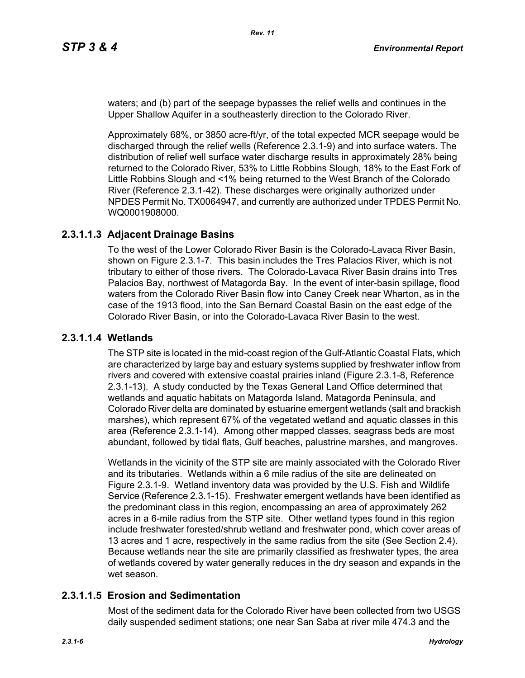waters; and (b) part of the seepage bypasses the relief wells and continues in the Upper Shallow Aquifer in a southeasterly direction to the Colorado River.

Approximately 68%, or 3850 acre-ft/yr, of the total expected MCR seepage would be discharged through the relief wells (Reference 2.3.1-9) and into surface waters. The distribution of relief well surface water discharge results in approximately 28% being returned to the Colorado River, 53% to Little Robbins Slough, 18% to the East Fork of Little Robbins Slough and <1% being returned to the West Branch of the Colorado River (Reference 2.3.1-42). These discharges were originally authorized under NPDES Permit No. TX0064947, and currently are authorized under TPDES Permit No. WQ0001908000.

# **2.3.1.1.3 Adjacent Drainage Basins**

To the west of the Lower Colorado River Basin is the Colorado-Lavaca River Basin, shown on Figure 2.3.1-7. This basin includes the Tres Palacios River, which is not tributary to either of those rivers. The Colorado-Lavaca River Basin drains into Tres Palacios Bay, northwest of Matagorda Bay. In the event of inter-basin spillage, flood waters from the Colorado River Basin flow into Caney Creek near Wharton, as in the case of the 1913 flood, into the San Bernard Coastal Basin on the east edge of the Colorado River Basin, or into the Colorado-Lavaca River Basin to the west.

## **2.3.1.1.4 Wetlands**

The STP site is located in the mid-coast region of the Gulf-Atlantic Coastal Flats, which are characterized by large bay and estuary systems supplied by freshwater inflow from rivers and covered with extensive coastal prairies inland (Figure 2.3.1-8, Reference 2.3.1-13). A study conducted by the Texas General Land Office determined that wetlands and aquatic habitats on Matagorda Island, Matagorda Peninsula, and Colorado River delta are dominated by estuarine emergent wetlands (salt and brackish marshes), which represent 67% of the vegetated wetland and aquatic classes in this area (Reference 2.3.1-14). Among other mapped classes, seagrass beds are most abundant, followed by tidal flats, Gulf beaches, palustrine marshes, and mangroves.

Wetlands in the vicinity of the STP site are mainly associated with the Colorado River and its tributaries. Wetlands within a 6 mile radius of the site are delineated on Figure 2.3.1-9. Wetland inventory data was provided by the U.S. Fish and Wildlife Service (Reference 2.3.1-15). Freshwater emergent wetlands have been identified as the predominant class in this region, encompassing an area of approximately 262 acres in a 6-mile radius from the STP site. Other wetland types found in this region include freshwater forested/shrub wetland and freshwater pond, which cover areas of 13 acres and 1 acre, respectively in the same radius from the site (See Section 2.4). Because wetlands near the site are primarily classified as freshwater types, the area of wetlands covered by water generally reduces in the dry season and expands in the wet season.

## **2.3.1.1.5 Erosion and Sedimentation**

Most of the sediment data for the Colorado River have been collected from two USGS daily suspended sediment stations; one near San Saba at river mile 474.3 and the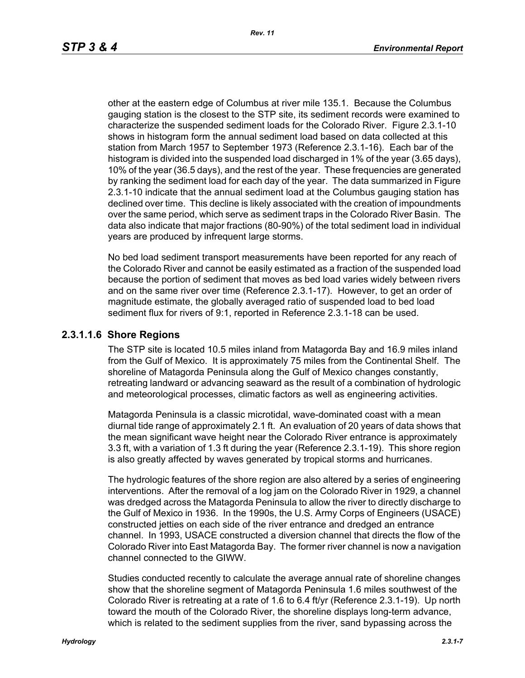other at the eastern edge of Columbus at river mile 135.1. Because the Columbus gauging station is the closest to the STP site, its sediment records were examined to characterize the suspended sediment loads for the Colorado River. Figure 2.3.1-10 shows in histogram form the annual sediment load based on data collected at this station from March 1957 to September 1973 (Reference 2.3.1-16). Each bar of the histogram is divided into the suspended load discharged in 1% of the year (3.65 days), 10% of the year (36.5 days), and the rest of the year. These frequencies are generated by ranking the sediment load for each day of the year. The data summarized in Figure 2.3.1-10 indicate that the annual sediment load at the Columbus gauging station has declined over time. This decline is likely associated with the creation of impoundments over the same period, which serve as sediment traps in the Colorado River Basin. The data also indicate that major fractions (80-90%) of the total sediment load in individual years are produced by infrequent large storms.

No bed load sediment transport measurements have been reported for any reach of the Colorado River and cannot be easily estimated as a fraction of the suspended load because the portion of sediment that moves as bed load varies widely between rivers and on the same river over time (Reference 2.3.1-17). However, to get an order of magnitude estimate, the globally averaged ratio of suspended load to bed load sediment flux for rivers of 9:1, reported in Reference 2.3.1-18 can be used.

#### **2.3.1.1.6 Shore Regions**

The STP site is located 10.5 miles inland from Matagorda Bay and 16.9 miles inland from the Gulf of Mexico. It is approximately 75 miles from the Continental Shelf. The shoreline of Matagorda Peninsula along the Gulf of Mexico changes constantly, retreating landward or advancing seaward as the result of a combination of hydrologic and meteorological processes, climatic factors as well as engineering activities.

Matagorda Peninsula is a classic microtidal, wave-dominated coast with a mean diurnal tide range of approximately 2.1 ft. An evaluation of 20 years of data shows that the mean significant wave height near the Colorado River entrance is approximately 3.3 ft, with a variation of 1.3 ft during the year (Reference 2.3.1-19). This shore region is also greatly affected by waves generated by tropical storms and hurricanes.

The hydrologic features of the shore region are also altered by a series of engineering interventions. After the removal of a log jam on the Colorado River in 1929, a channel was dredged across the Matagorda Peninsula to allow the river to directly discharge to the Gulf of Mexico in 1936. In the 1990s, the U.S. Army Corps of Engineers (USACE) constructed jetties on each side of the river entrance and dredged an entrance channel. In 1993, USACE constructed a diversion channel that directs the flow of the Colorado River into East Matagorda Bay. The former river channel is now a navigation channel connected to the GIWW.

Studies conducted recently to calculate the average annual rate of shoreline changes show that the shoreline segment of Matagorda Peninsula 1.6 miles southwest of the Colorado River is retreating at a rate of 1.6 to 6.4 ft/yr (Reference 2.3.1-19). Up north toward the mouth of the Colorado River, the shoreline displays long-term advance, which is related to the sediment supplies from the river, sand bypassing across the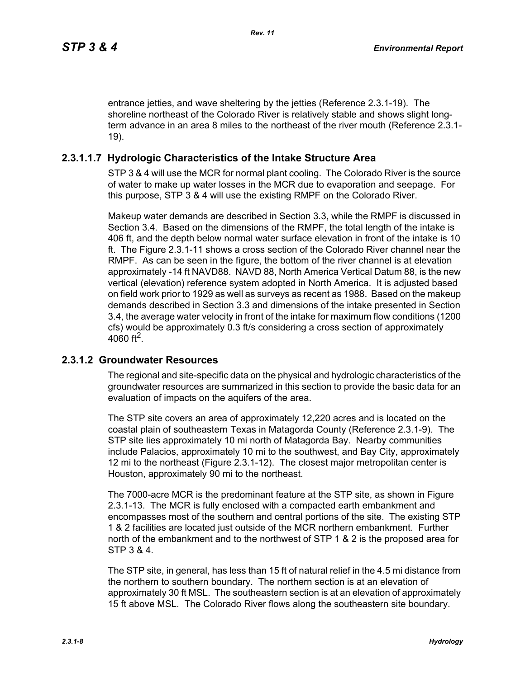entrance jetties, and wave sheltering by the jetties (Reference 2.3.1-19). The shoreline northeast of the Colorado River is relatively stable and shows slight longterm advance in an area 8 miles to the northeast of the river mouth (Reference 2.3.1- 19).

# **2.3.1.1.7 Hydrologic Characteristics of the Intake Structure Area**

STP 3 & 4 will use the MCR for normal plant cooling. The Colorado River is the source of water to make up water losses in the MCR due to evaporation and seepage. For this purpose, STP 3 & 4 will use the existing RMPF on the Colorado River.

Makeup water demands are described in Section 3.3, while the RMPF is discussed in Section 3.4. Based on the dimensions of the RMPF, the total length of the intake is 406 ft, and the depth below normal water surface elevation in front of the intake is 10 ft. The Figure 2.3.1-11 shows a cross section of the Colorado River channel near the RMPF. As can be seen in the figure, the bottom of the river channel is at elevation approximately -14 ft NAVD88. NAVD 88, North America Vertical Datum 88, is the new vertical (elevation) reference system adopted in North America. It is adjusted based on field work prior to 1929 as well as surveys as recent as 1988. Based on the makeup demands described in Section 3.3 and dimensions of the intake presented in Section 3.4, the average water velocity in front of the intake for maximum flow conditions (1200 cfs) would be approximately 0.3 ft/s considering a cross section of approximately 4060 ft<sup>2</sup>.

## **2.3.1.2 Groundwater Resources**

The regional and site-specific data on the physical and hydrologic characteristics of the groundwater resources are summarized in this section to provide the basic data for an evaluation of impacts on the aquifers of the area.

The STP site covers an area of approximately 12,220 acres and is located on the coastal plain of southeastern Texas in Matagorda County (Reference 2.3.1-9). The STP site lies approximately 10 mi north of Matagorda Bay. Nearby communities include Palacios, approximately 10 mi to the southwest, and Bay City, approximately 12 mi to the northeast (Figure 2.3.1-12). The closest major metropolitan center is Houston, approximately 90 mi to the northeast.

The 7000-acre MCR is the predominant feature at the STP site, as shown in Figure 2.3.1-13. The MCR is fully enclosed with a compacted earth embankment and encompasses most of the southern and central portions of the site. The existing STP 1 & 2 facilities are located just outside of the MCR northern embankment. Further north of the embankment and to the northwest of STP 1 & 2 is the proposed area for STP 3 & 4.

The STP site, in general, has less than 15 ft of natural relief in the 4.5 mi distance from the northern to southern boundary. The northern section is at an elevation of approximately 30 ft MSL. The southeastern section is at an elevation of approximately 15 ft above MSL. The Colorado River flows along the southeastern site boundary.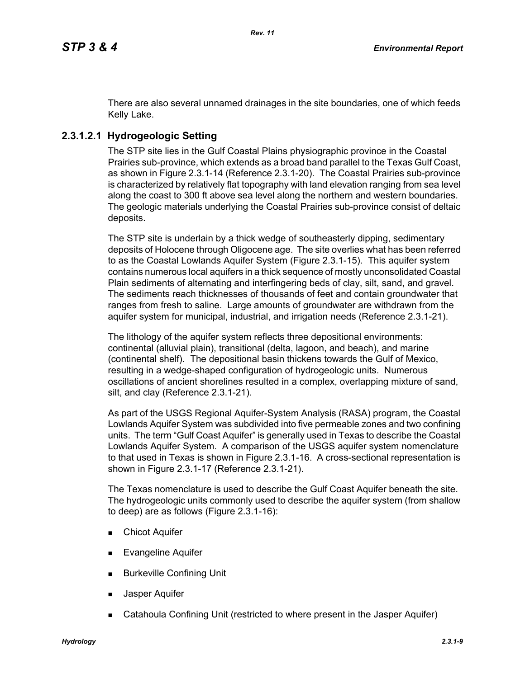There are also several unnamed drainages in the site boundaries, one of which feeds Kelly Lake.

# **2.3.1.2.1 Hydrogeologic Setting**

The STP site lies in the Gulf Coastal Plains physiographic province in the Coastal Prairies sub-province, which extends as a broad band parallel to the Texas Gulf Coast, as shown in Figure 2.3.1-14 (Reference 2.3.1-20). The Coastal Prairies sub-province is characterized by relatively flat topography with land elevation ranging from sea level along the coast to 300 ft above sea level along the northern and western boundaries. The geologic materials underlying the Coastal Prairies sub-province consist of deltaic deposits.

The STP site is underlain by a thick wedge of southeasterly dipping, sedimentary deposits of Holocene through Oligocene age. The site overlies what has been referred to as the Coastal Lowlands Aquifer System (Figure 2.3.1-15). This aquifer system contains numerous local aquifers in a thick sequence of mostly unconsolidated Coastal Plain sediments of alternating and interfingering beds of clay, silt, sand, and gravel. The sediments reach thicknesses of thousands of feet and contain groundwater that ranges from fresh to saline. Large amounts of groundwater are withdrawn from the aquifer system for municipal, industrial, and irrigation needs (Reference 2.3.1-21).

The lithology of the aquifer system reflects three depositional environments: continental (alluvial plain), transitional (delta, lagoon, and beach), and marine (continental shelf). The depositional basin thickens towards the Gulf of Mexico, resulting in a wedge-shaped configuration of hydrogeologic units. Numerous oscillations of ancient shorelines resulted in a complex, overlapping mixture of sand, silt, and clay (Reference 2.3.1-21).

As part of the USGS Regional Aquifer-System Analysis (RASA) program, the Coastal Lowlands Aquifer System was subdivided into five permeable zones and two confining units. The term "Gulf Coast Aquifer" is generally used in Texas to describe the Coastal Lowlands Aquifer System. A comparison of the USGS aquifer system nomenclature to that used in Texas is shown in Figure 2.3.1-16. A cross-sectional representation is shown in Figure 2.3.1-17 (Reference 2.3.1-21).

The Texas nomenclature is used to describe the Gulf Coast Aquifer beneath the site. The hydrogeologic units commonly used to describe the aquifer system (from shallow to deep) are as follows (Figure 2.3.1-16):

- **Chicot Aquifer**
- Evangeline Aquifer
- **Burkeville Confining Unit**
- Jasper Aquifer
- Catahoula Confining Unit (restricted to where present in the Jasper Aquifer)

*Hydrology 2.3.1-9*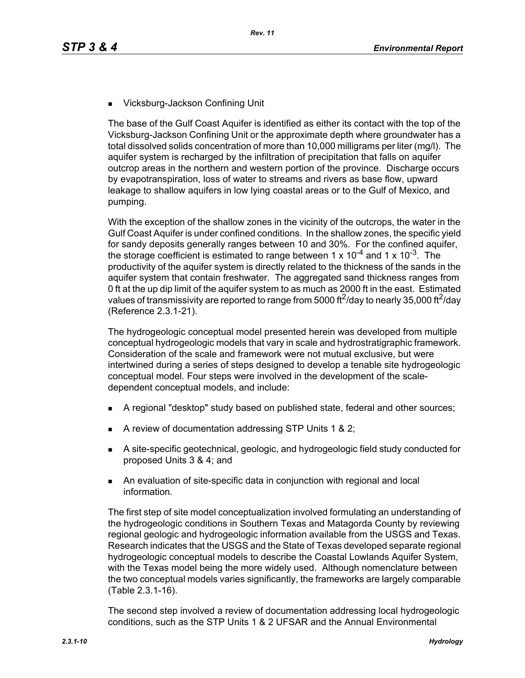■ Vicksburg-Jackson Confining Unit

The base of the Gulf Coast Aquifer is identified as either its contact with the top of the Vicksburg-Jackson Confining Unit or the approximate depth where groundwater has a total dissolved solids concentration of more than 10,000 milligrams per liter (mg/l). The aquifer system is recharged by the infiltration of precipitation that falls on aquifer outcrop areas in the northern and western portion of the province. Discharge occurs by evapotranspiration, loss of water to streams and rivers as base flow, upward leakage to shallow aquifers in low lying coastal areas or to the Gulf of Mexico, and pumping.

With the exception of the shallow zones in the vicinity of the outcrops, the water in the Gulf Coast Aquifer is under confined conditions. In the shallow zones, the specific yield for sandy deposits generally ranges between 10 and 30%. For the confined aquifer, the storage coefficient is estimated to range between 1 x  $10^{-4}$  and 1 x  $10^{-3}$ . The productivity of the aquifer system is directly related to the thickness of the sands in the aquifer system that contain freshwater. The aggregated sand thickness ranges from 0 ft at the up dip limit of the aquifer system to as much as 2000 ft in the east. Estimated values of transmissivity are reported to range from 5000 ft<sup>2</sup>/day to nearly 35,000 ft<sup>2</sup>/day (Reference 2.3.1-21).

The hydrogeologic conceptual model presented herein was developed from multiple conceptual hydrogeologic models that vary in scale and hydrostratigraphic framework. Consideration of the scale and framework were not mutual exclusive, but were intertwined during a series of steps designed to develop a tenable site hydrogeologic conceptual model. Four steps were involved in the development of the scaledependent conceptual models, and include:

- A regional "desktop" study based on published state, federal and other sources;
- A review of documentation addressing STP Units 1 & 2;
- A site-specific geotechnical, geologic, and hydrogeologic field study conducted for proposed Units 3 & 4; and
- An evaluation of site-specific data in conjunction with regional and local information.

The first step of site model conceptualization involved formulating an understanding of the hydrogeologic conditions in Southern Texas and Matagorda County by reviewing regional geologic and hydrogeologic information available from the USGS and Texas. Research indicates that the USGS and the State of Texas developed separate regional hydrogeologic conceptual models to describe the Coastal Lowlands Aquifer System, with the Texas model being the more widely used. Although nomenclature between the two conceptual models varies significantly, the frameworks are largely comparable (Table 2.3.1-16).

The second step involved a review of documentation addressing local hydrogeologic conditions, such as the STP Units 1 & 2 UFSAR and the Annual Environmental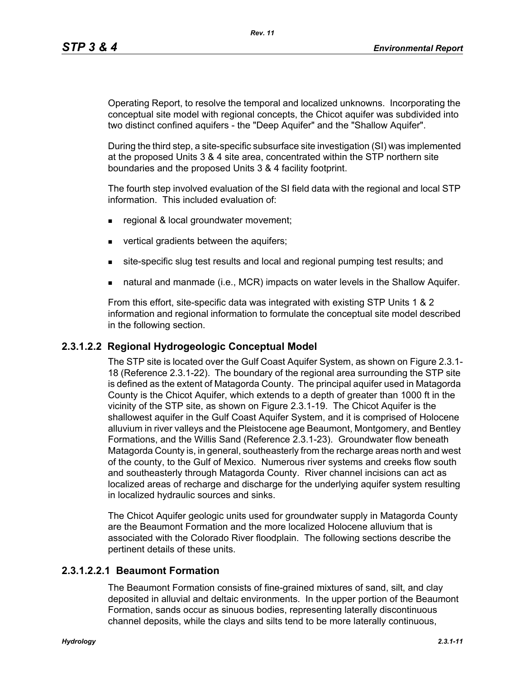Operating Report, to resolve the temporal and localized unknowns. Incorporating the conceptual site model with regional concepts, the Chicot aquifer was subdivided into two distinct confined aquifers - the "Deep Aquifer" and the "Shallow Aquifer".

During the third step, a site-specific subsurface site investigation (SI) was implemented at the proposed Units 3 & 4 site area, concentrated within the STP northern site boundaries and the proposed Units 3 & 4 facility footprint.

The fourth step involved evaluation of the SI field data with the regional and local STP information. This included evaluation of:

- **regional & local groundwater movement;**
- vertical gradients between the aquifers;
- site-specific slug test results and local and regional pumping test results; and
- natural and manmade (i.e., MCR) impacts on water levels in the Shallow Aquifer.

From this effort, site-specific data was integrated with existing STP Units 1 & 2 information and regional information to formulate the conceptual site model described in the following section.

#### **2.3.1.2.2 Regional Hydrogeologic Conceptual Model**

The STP site is located over the Gulf Coast Aquifer System, as shown on Figure 2.3.1- 18 (Reference 2.3.1-22). The boundary of the regional area surrounding the STP site is defined as the extent of Matagorda County. The principal aquifer used in Matagorda County is the Chicot Aquifer, which extends to a depth of greater than 1000 ft in the vicinity of the STP site, as shown on Figure 2.3.1-19. The Chicot Aquifer is the shallowest aquifer in the Gulf Coast Aquifer System, and it is comprised of Holocene alluvium in river valleys and the Pleistocene age Beaumont, Montgomery, and Bentley Formations, and the Willis Sand (Reference 2.3.1-23). Groundwater flow beneath Matagorda County is, in general, southeasterly from the recharge areas north and west of the county, to the Gulf of Mexico. Numerous river systems and creeks flow south and southeasterly through Matagorda County. River channel incisions can act as localized areas of recharge and discharge for the underlying aquifer system resulting in localized hydraulic sources and sinks.

The Chicot Aquifer geologic units used for groundwater supply in Matagorda County are the Beaumont Formation and the more localized Holocene alluvium that is associated with the Colorado River floodplain. The following sections describe the pertinent details of these units.

#### **2.3.1.2.2.1 Beaumont Formation**

The Beaumont Formation consists of fine-grained mixtures of sand, silt, and clay deposited in alluvial and deltaic environments. In the upper portion of the Beaumont Formation, sands occur as sinuous bodies, representing laterally discontinuous channel deposits, while the clays and silts tend to be more laterally continuous,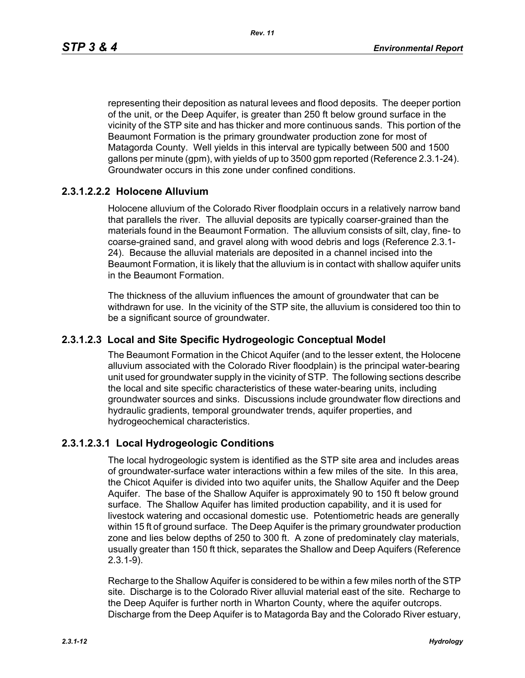representing their deposition as natural levees and flood deposits. The deeper portion of the unit, or the Deep Aquifer, is greater than 250 ft below ground surface in the vicinity of the STP site and has thicker and more continuous sands. This portion of the Beaumont Formation is the primary groundwater production zone for most of Matagorda County. Well yields in this interval are typically between 500 and 1500 gallons per minute (gpm), with yields of up to 3500 gpm reported (Reference 2.3.1-24). Groundwater occurs in this zone under confined conditions.

#### **2.3.1.2.2.2 Holocene Alluvium**

Holocene alluvium of the Colorado River floodplain occurs in a relatively narrow band that parallels the river. The alluvial deposits are typically coarser-grained than the materials found in the Beaumont Formation. The alluvium consists of silt, clay, fine- to coarse-grained sand, and gravel along with wood debris and logs (Reference 2.3.1- 24). Because the alluvial materials are deposited in a channel incised into the Beaumont Formation, it is likely that the alluvium is in contact with shallow aquifer units in the Beaumont Formation.

The thickness of the alluvium influences the amount of groundwater that can be withdrawn for use. In the vicinity of the STP site, the alluvium is considered too thin to be a significant source of groundwater.

#### **2.3.1.2.3 Local and Site Specific Hydrogeologic Conceptual Model**

The Beaumont Formation in the Chicot Aquifer (and to the lesser extent, the Holocene alluvium associated with the Colorado River floodplain) is the principal water-bearing unit used for groundwater supply in the vicinity of STP. The following sections describe the local and site specific characteristics of these water-bearing units, including groundwater sources and sinks. Discussions include groundwater flow directions and hydraulic gradients, temporal groundwater trends, aquifer properties, and hydrogeochemical characteristics.

#### **2.3.1.2.3.1 Local Hydrogeologic Conditions**

The local hydrogeologic system is identified as the STP site area and includes areas of groundwater-surface water interactions within a few miles of the site. In this area, the Chicot Aquifer is divided into two aquifer units, the Shallow Aquifer and the Deep Aquifer. The base of the Shallow Aquifer is approximately 90 to 150 ft below ground surface. The Shallow Aquifer has limited production capability, and it is used for livestock watering and occasional domestic use. Potentiometric heads are generally within 15 ft of ground surface. The Deep Aquifer is the primary groundwater production zone and lies below depths of 250 to 300 ft. A zone of predominately clay materials, usually greater than 150 ft thick, separates the Shallow and Deep Aquifers (Reference 2.3.1-9).

Recharge to the Shallow Aquifer is considered to be within a few miles north of the STP site. Discharge is to the Colorado River alluvial material east of the site. Recharge to the Deep Aquifer is further north in Wharton County, where the aquifer outcrops. Discharge from the Deep Aquifer is to Matagorda Bay and the Colorado River estuary,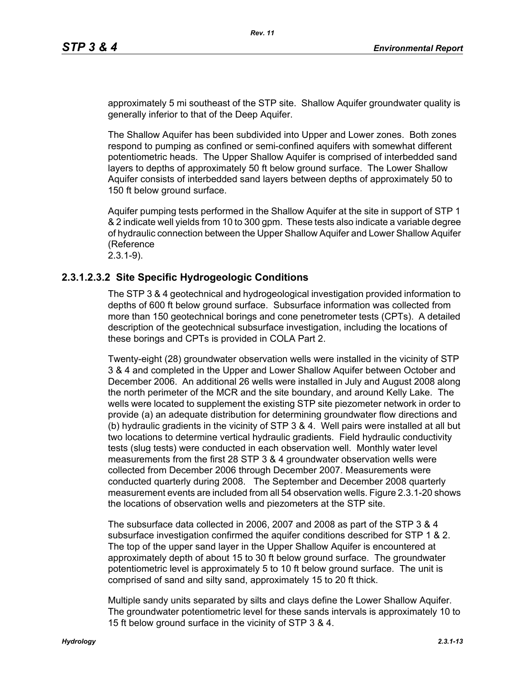approximately 5 mi southeast of the STP site. Shallow Aquifer groundwater quality is generally inferior to that of the Deep Aquifer.

The Shallow Aquifer has been subdivided into Upper and Lower zones. Both zones respond to pumping as confined or semi-confined aquifers with somewhat different potentiometric heads. The Upper Shallow Aquifer is comprised of interbedded sand layers to depths of approximately 50 ft below ground surface. The Lower Shallow Aquifer consists of interbedded sand layers between depths of approximately 50 to 150 ft below ground surface.

Aquifer pumping tests performed in the Shallow Aquifer at the site in support of STP 1 & 2 indicate well yields from 10 to 300 gpm. These tests also indicate a variable degree of hydraulic connection between the Upper Shallow Aquifer and Lower Shallow Aquifer (Reference

2.3.1-9).

#### **2.3.1.2.3.2 Site Specific Hydrogeologic Conditions**

The STP 3 & 4 geotechnical and hydrogeological investigation provided information to depths of 600 ft below ground surface. Subsurface information was collected from more than 150 geotechnical borings and cone penetrometer tests (CPTs). A detailed description of the geotechnical subsurface investigation, including the locations of these borings and CPTs is provided in COLA Part 2.

Twenty-eight (28) groundwater observation wells were installed in the vicinity of STP 3 & 4 and completed in the Upper and Lower Shallow Aquifer between October and December 2006. An additional 26 wells were installed in July and August 2008 along the north perimeter of the MCR and the site boundary, and around Kelly Lake. The wells were located to supplement the existing STP site piezometer network in order to provide (a) an adequate distribution for determining groundwater flow directions and (b) hydraulic gradients in the vicinity of STP 3 & 4. Well pairs were installed at all but two locations to determine vertical hydraulic gradients. Field hydraulic conductivity tests (slug tests) were conducted in each observation well. Monthly water level measurements from the first 28 STP 3 & 4 groundwater observation wells were collected from December 2006 through December 2007. Measurements were conducted quarterly during 2008. The September and December 2008 quarterly measurement events are included from all 54 observation wells. Figure 2.3.1-20 shows the locations of observation wells and piezometers at the STP site.

The subsurface data collected in 2006, 2007 and 2008 as part of the STP 3 & 4 subsurface investigation confirmed the aquifer conditions described for STP 1 & 2. The top of the upper sand layer in the Upper Shallow Aquifer is encountered at approximately depth of about 15 to 30 ft below ground surface. The groundwater potentiometric level is approximately 5 to 10 ft below ground surface. The unit is comprised of sand and silty sand, approximately 15 to 20 ft thick.

Multiple sandy units separated by silts and clays define the Lower Shallow Aquifer. The groundwater potentiometric level for these sands intervals is approximately 10 to 15 ft below ground surface in the vicinity of STP 3 & 4.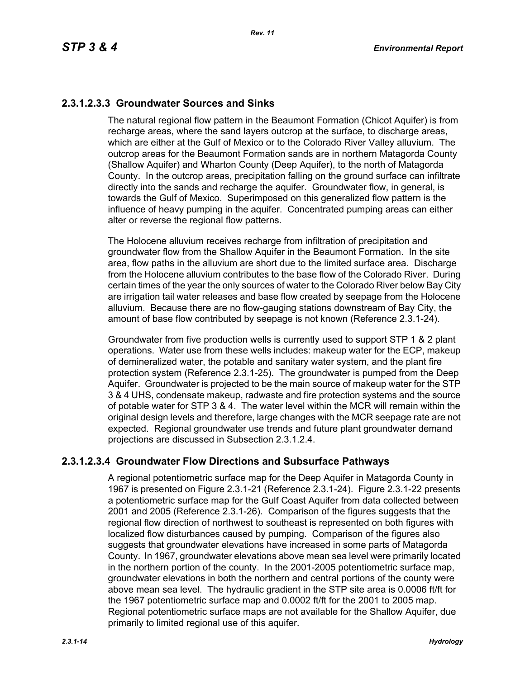# **2.3.1.2.3.3 Groundwater Sources and Sinks**

The natural regional flow pattern in the Beaumont Formation (Chicot Aquifer) is from recharge areas, where the sand layers outcrop at the surface, to discharge areas, which are either at the Gulf of Mexico or to the Colorado River Valley alluvium. The outcrop areas for the Beaumont Formation sands are in northern Matagorda County (Shallow Aquifer) and Wharton County (Deep Aquifer), to the north of Matagorda County. In the outcrop areas, precipitation falling on the ground surface can infiltrate directly into the sands and recharge the aquifer. Groundwater flow, in general, is towards the Gulf of Mexico. Superimposed on this generalized flow pattern is the influence of heavy pumping in the aquifer. Concentrated pumping areas can either alter or reverse the regional flow patterns.

The Holocene alluvium receives recharge from infiltration of precipitation and groundwater flow from the Shallow Aquifer in the Beaumont Formation. In the site area, flow paths in the alluvium are short due to the limited surface area. Discharge from the Holocene alluvium contributes to the base flow of the Colorado River. During certain times of the year the only sources of water to the Colorado River below Bay City are irrigation tail water releases and base flow created by seepage from the Holocene alluvium. Because there are no flow-gauging stations downstream of Bay City, the amount of base flow contributed by seepage is not known (Reference 2.3.1-24).

Groundwater from five production wells is currently used to support STP 1 & 2 plant operations. Water use from these wells includes: makeup water for the ECP, makeup of demineralized water, the potable and sanitary water system, and the plant fire protection system (Reference 2.3.1-25). The groundwater is pumped from the Deep Aquifer. Groundwater is projected to be the main source of makeup water for the STP 3 & 4 UHS, condensate makeup, radwaste and fire protection systems and the source of potable water for STP 3 & 4. The water level within the MCR will remain within the original design levels and therefore, large changes with the MCR seepage rate are not expected. Regional groundwater use trends and future plant groundwater demand projections are discussed in Subsection 2.3.1.2.4.

## **2.3.1.2.3.4 Groundwater Flow Directions and Subsurface Pathways**

A regional potentiometric surface map for the Deep Aquifer in Matagorda County in 1967 is presented on Figure 2.3.1-21 (Reference 2.3.1-24). Figure 2.3.1-22 presents a potentiometric surface map for the Gulf Coast Aquifer from data collected between 2001 and 2005 (Reference 2.3.1-26). Comparison of the figures suggests that the regional flow direction of northwest to southeast is represented on both figures with localized flow disturbances caused by pumping. Comparison of the figures also suggests that groundwater elevations have increased in some parts of Matagorda County. In 1967, groundwater elevations above mean sea level were primarily located in the northern portion of the county. In the 2001-2005 potentiometric surface map, groundwater elevations in both the northern and central portions of the county were above mean sea level. The hydraulic gradient in the STP site area is 0.0006 ft/ft for the 1967 potentiometric surface map and 0.0002 ft/ft for the 2001 to 2005 map. Regional potentiometric surface maps are not available for the Shallow Aquifer, due primarily to limited regional use of this aquifer.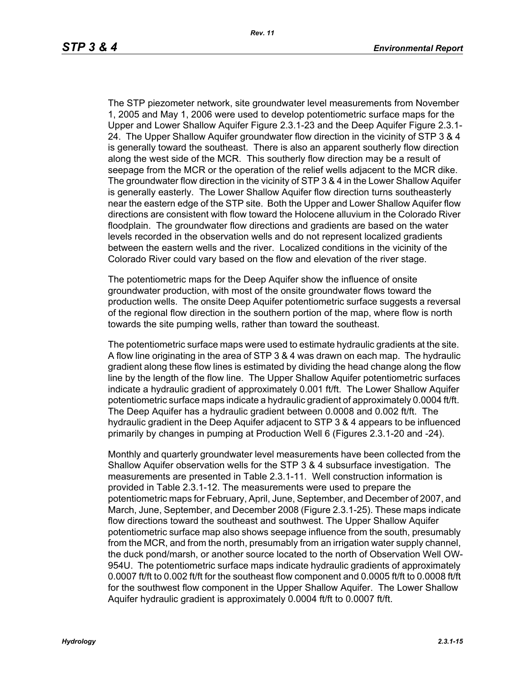The STP piezometer network, site groundwater level measurements from November 1, 2005 and May 1, 2006 were used to develop potentiometric surface maps for the Upper and Lower Shallow Aquifer Figure 2.3.1-23 and the Deep Aquifer Figure 2.3.1- 24. The Upper Shallow Aquifer groundwater flow direction in the vicinity of STP 3 & 4 is generally toward the southeast. There is also an apparent southerly flow direction along the west side of the MCR. This southerly flow direction may be a result of seepage from the MCR or the operation of the relief wells adjacent to the MCR dike. The groundwater flow direction in the vicinity of STP 3 & 4 in the Lower Shallow Aquifer is generally easterly. The Lower Shallow Aquifer flow direction turns southeasterly near the eastern edge of the STP site. Both the Upper and Lower Shallow Aquifer flow directions are consistent with flow toward the Holocene alluvium in the Colorado River floodplain. The groundwater flow directions and gradients are based on the water levels recorded in the observation wells and do not represent localized gradients between the eastern wells and the river. Localized conditions in the vicinity of the Colorado River could vary based on the flow and elevation of the river stage.

The potentiometric maps for the Deep Aquifer show the influence of onsite groundwater production, with most of the onsite groundwater flows toward the production wells. The onsite Deep Aquifer potentiometric surface suggests a reversal of the regional flow direction in the southern portion of the map, where flow is north towards the site pumping wells, rather than toward the southeast.

The potentiometric surface maps were used to estimate hydraulic gradients at the site. A flow line originating in the area of STP 3 & 4 was drawn on each map. The hydraulic gradient along these flow lines is estimated by dividing the head change along the flow line by the length of the flow line. The Upper Shallow Aquifer potentiometric surfaces indicate a hydraulic gradient of approximately 0.001 ft/ft. The Lower Shallow Aquifer potentiometric surface maps indicate a hydraulic gradient of approximately 0.0004 ft/ft. The Deep Aquifer has a hydraulic gradient between 0.0008 and 0.002 ft/ft. The hydraulic gradient in the Deep Aquifer adjacent to STP 3 & 4 appears to be influenced primarily by changes in pumping at Production Well 6 (Figures 2.3.1-20 and -24).

Monthly and quarterly groundwater level measurements have been collected from the Shallow Aquifer observation wells for the STP 3 & 4 subsurface investigation. The measurements are presented in Table 2.3.1-11. Well construction information is provided in Table 2.3.1-12. The measurements were used to prepare the potentiometric maps for February, April, June, September, and December of 2007, and March, June, September, and December 2008 (Figure 2.3.1-25). These maps indicate flow directions toward the southeast and southwest. The Upper Shallow Aquifer potentiometric surface map also shows seepage influence from the south, presumably from the MCR, and from the north, presumably from an irrigation water supply channel, the duck pond/marsh, or another source located to the north of Observation Well OW-954U. The potentiometric surface maps indicate hydraulic gradients of approximately 0.0007 ft/ft to 0.002 ft/ft for the southeast flow component and 0.0005 ft/ft to 0.0008 ft/ft for the southwest flow component in the Upper Shallow Aquifer. The Lower Shallow Aquifer hydraulic gradient is approximately 0.0004 ft/ft to 0.0007 ft/ft.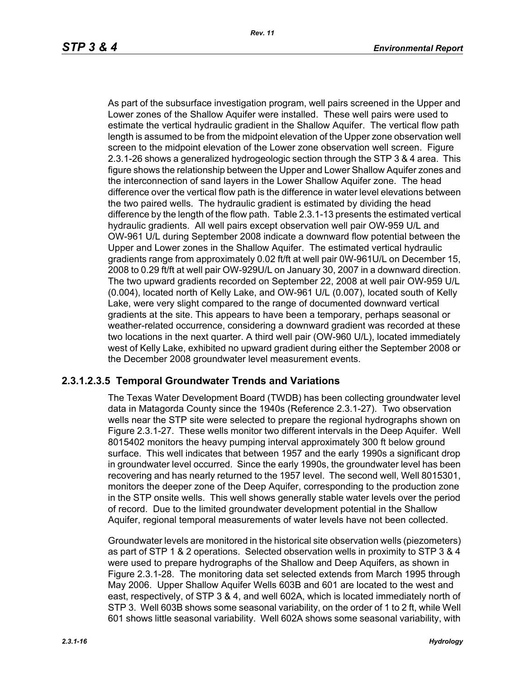As part of the subsurface investigation program, well pairs screened in the Upper and Lower zones of the Shallow Aquifer were installed. These well pairs were used to estimate the vertical hydraulic gradient in the Shallow Aquifer. The vertical flow path length is assumed to be from the midpoint elevation of the Upper zone observation well screen to the midpoint elevation of the Lower zone observation well screen. Figure 2.3.1-26 shows a generalized hydrogeologic section through the STP 3 & 4 area. This figure shows the relationship between the Upper and Lower Shallow Aquifer zones and the interconnection of sand layers in the Lower Shallow Aquifer zone. The head difference over the vertical flow path is the difference in water level elevations between the two paired wells. The hydraulic gradient is estimated by dividing the head difference by the length of the flow path. Table 2.3.1-13 presents the estimated vertical hydraulic gradients. All well pairs except observation well pair OW-959 U/L and OW-961 U/L during September 2008 indicate a downward flow potential between the Upper and Lower zones in the Shallow Aquifer. The estimated vertical hydraulic gradients range from approximately 0.02 ft/ft at well pair 0W-961U/L on December 15, 2008 to 0.29 ft/ft at well pair OW-929U/L on January 30, 2007 in a downward direction. The two upward gradients recorded on September 22, 2008 at well pair OW-959 U/L (0.004), located north of Kelly Lake, and OW-961 U/L (0.007), located south of Kelly Lake, were very slight compared to the range of documented downward vertical gradients at the site. This appears to have been a temporary, perhaps seasonal or weather-related occurrence, considering a downward gradient was recorded at these two locations in the next quarter. A third well pair (OW-960 U/L), located immediately west of Kelly Lake, exhibited no upward gradient during either the September 2008 or the December 2008 groundwater level measurement events.

# **2.3.1.2.3.5 Temporal Groundwater Trends and Variations**

The Texas Water Development Board (TWDB) has been collecting groundwater level data in Matagorda County since the 1940s (Reference 2.3.1-27). Two observation wells near the STP site were selected to prepare the regional hydrographs shown on Figure 2.3.1-27. These wells monitor two different intervals in the Deep Aquifer. Well 8015402 monitors the heavy pumping interval approximately 300 ft below ground surface. This well indicates that between 1957 and the early 1990s a significant drop in groundwater level occurred. Since the early 1990s, the groundwater level has been recovering and has nearly returned to the 1957 level. The second well, Well 8015301, monitors the deeper zone of the Deep Aquifer, corresponding to the production zone in the STP onsite wells. This well shows generally stable water levels over the period of record. Due to the limited groundwater development potential in the Shallow Aquifer, regional temporal measurements of water levels have not been collected.

Groundwater levels are monitored in the historical site observation wells (piezometers) as part of STP 1 & 2 operations. Selected observation wells in proximity to STP 3 & 4 were used to prepare hydrographs of the Shallow and Deep Aquifers, as shown in Figure 2.3.1-28. The monitoring data set selected extends from March 1995 through May 2006. Upper Shallow Aquifer Wells 603B and 601 are located to the west and east, respectively, of STP 3 & 4, and well 602A, which is located immediately north of STP 3. Well 603B shows some seasonal variability, on the order of 1 to 2 ft, while Well 601 shows little seasonal variability. Well 602A shows some seasonal variability, with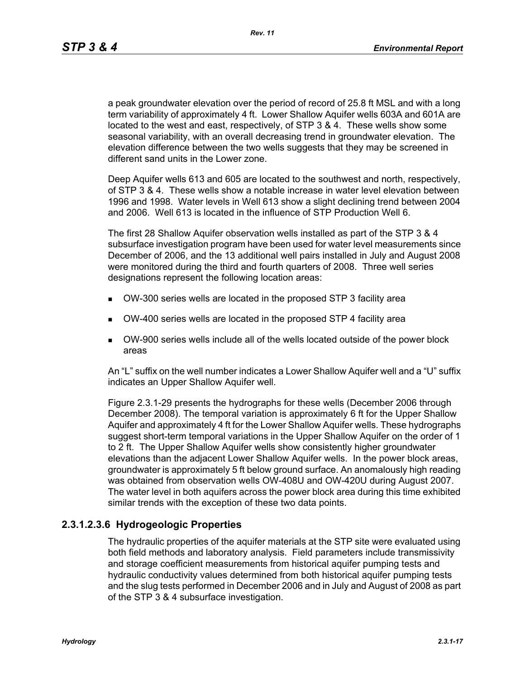*Rev. 11*

a peak groundwater elevation over the period of record of 25.8 ft MSL and with a long term variability of approximately 4 ft. Lower Shallow Aquifer wells 603A and 601A are located to the west and east, respectively, of STP 3 & 4. These wells show some seasonal variability, with an overall decreasing trend in groundwater elevation. The elevation difference between the two wells suggests that they may be screened in different sand units in the Lower zone.

Deep Aquifer wells 613 and 605 are located to the southwest and north, respectively, of STP 3 & 4. These wells show a notable increase in water level elevation between 1996 and 1998. Water levels in Well 613 show a slight declining trend between 2004 and 2006. Well 613 is located in the influence of STP Production Well 6.

The first 28 Shallow Aquifer observation wells installed as part of the STP 3 & 4 subsurface investigation program have been used for water level measurements since December of 2006, and the 13 additional well pairs installed in July and August 2008 were monitored during the third and fourth quarters of 2008. Three well series designations represent the following location areas:

- OW-300 series wells are located in the proposed STP 3 facility area
- OW-400 series wells are located in the proposed STP 4 facility area
- OW-900 series wells include all of the wells located outside of the power block areas

An "L" suffix on the well number indicates a Lower Shallow Aquifer well and a "U" suffix indicates an Upper Shallow Aquifer well.

Figure 2.3.1-29 presents the hydrographs for these wells (December 2006 through December 2008). The temporal variation is approximately 6 ft for the Upper Shallow Aquifer and approximately 4 ft for the Lower Shallow Aquifer wells. These hydrographs suggest short-term temporal variations in the Upper Shallow Aquifer on the order of 1 to 2 ft. The Upper Shallow Aquifer wells show consistently higher groundwater elevations than the adjacent Lower Shallow Aquifer wells. In the power block areas, groundwater is approximately 5 ft below ground surface. An anomalously high reading was obtained from observation wells OW-408U and OW-420U during August 2007. The water level in both aquifers across the power block area during this time exhibited similar trends with the exception of these two data points.

## **2.3.1.2.3.6 Hydrogeologic Properties**

The hydraulic properties of the aquifer materials at the STP site were evaluated using both field methods and laboratory analysis. Field parameters include transmissivity and storage coefficient measurements from historical aquifer pumping tests and hydraulic conductivity values determined from both historical aquifer pumping tests and the slug tests performed in December 2006 and in July and August of 2008 as part of the STP 3 & 4 subsurface investigation.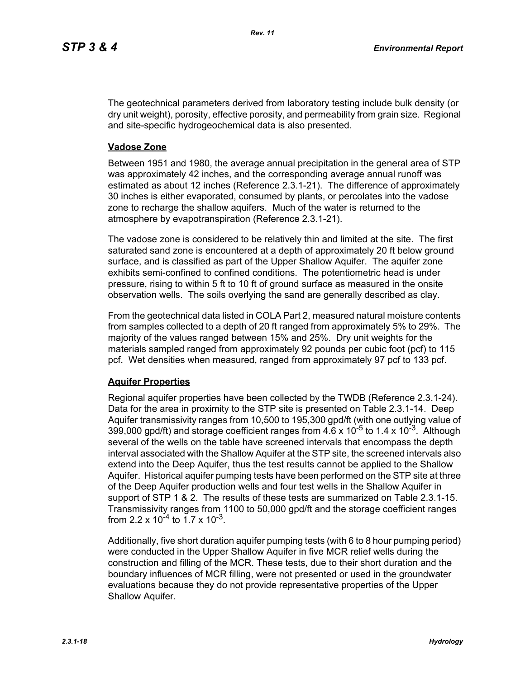The geotechnical parameters derived from laboratory testing include bulk density (or dry unit weight), porosity, effective porosity, and permeability from grain size. Regional and site-specific hydrogeochemical data is also presented.

#### **Vadose Zone**

Between 1951 and 1980, the average annual precipitation in the general area of STP was approximately 42 inches, and the corresponding average annual runoff was estimated as about 12 inches (Reference 2.3.1-21). The difference of approximately 30 inches is either evaporated, consumed by plants, or percolates into the vadose zone to recharge the shallow aquifers. Much of the water is returned to the atmosphere by evapotranspiration (Reference 2.3.1-21).

The vadose zone is considered to be relatively thin and limited at the site. The first saturated sand zone is encountered at a depth of approximately 20 ft below ground surface, and is classified as part of the Upper Shallow Aquifer. The aquifer zone exhibits semi-confined to confined conditions. The potentiometric head is under pressure, rising to within 5 ft to 10 ft of ground surface as measured in the onsite observation wells. The soils overlying the sand are generally described as clay.

From the geotechnical data listed in COLA Part 2, measured natural moisture contents from samples collected to a depth of 20 ft ranged from approximately 5% to 29%. The majority of the values ranged between 15% and 25%. Dry unit weights for the materials sampled ranged from approximately 92 pounds per cubic foot (pcf) to 115 pcf. Wet densities when measured, ranged from approximately 97 pcf to 133 pcf.

## **Aquifer Properties**

Regional aquifer properties have been collected by the TWDB (Reference 2.3.1-24). Data for the area in proximity to the STP site is presented on Table 2.3.1-14. Deep Aquifer transmissivity ranges from 10,500 to 195,300 gpd/ft (with one outlying value of 399,000 gpd/ft) and storage coefficient ranges from  $4.6 \times 10^{-5}$  to 1.4 x 10<sup>-3</sup>. Although several of the wells on the table have screened intervals that encompass the depth interval associated with the Shallow Aquifer at the STP site, the screened intervals also extend into the Deep Aquifer, thus the test results cannot be applied to the Shallow Aquifer. Historical aquifer pumping tests have been performed on the STP site at three of the Deep Aquifer production wells and four test wells in the Shallow Aquifer in support of STP 1 & 2. The results of these tests are summarized on Table 2.3.1-15. Transmissivity ranges from 1100 to 50,000 gpd/ft and the storage coefficient ranges from 2.2 x  $10^{-4}$  to 1.7 x  $10^{-3}$ .

Additionally, five short duration aquifer pumping tests (with 6 to 8 hour pumping period) were conducted in the Upper Shallow Aquifer in five MCR relief wells during the construction and filling of the MCR. These tests, due to their short duration and the boundary influences of MCR filling, were not presented or used in the groundwater evaluations because they do not provide representative properties of the Upper Shallow Aquifer.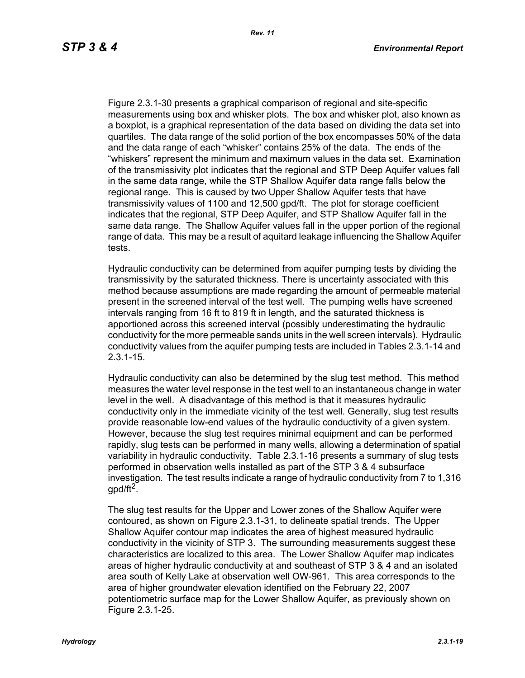Figure 2.3.1-30 presents a graphical comparison of regional and site-specific measurements using box and whisker plots. The box and whisker plot, also known as a boxplot, is a graphical representation of the data based on dividing the data set into quartiles. The data range of the solid portion of the box encompasses 50% of the data and the data range of each "whisker" contains 25% of the data. The ends of the "whiskers" represent the minimum and maximum values in the data set. Examination of the transmissivity plot indicates that the regional and STP Deep Aquifer values fall in the same data range, while the STP Shallow Aquifer data range falls below the regional range. This is caused by two Upper Shallow Aquifer tests that have transmissivity values of 1100 and 12,500 gpd/ft. The plot for storage coefficient indicates that the regional, STP Deep Aquifer, and STP Shallow Aquifer fall in the same data range. The Shallow Aquifer values fall in the upper portion of the regional range of data. This may be a result of aquitard leakage influencing the Shallow Aquifer tests.

Hydraulic conductivity can be determined from aquifer pumping tests by dividing the transmissivity by the saturated thickness. There is uncertainty associated with this method because assumptions are made regarding the amount of permeable material present in the screened interval of the test well. The pumping wells have screened intervals ranging from 16 ft to 819 ft in length, and the saturated thickness is apportioned across this screened interval (possibly underestimating the hydraulic conductivity for the more permeable sands units in the well screen intervals). Hydraulic conductivity values from the aquifer pumping tests are included in Tables 2.3.1-14 and 2.3.1-15.

Hydraulic conductivity can also be determined by the slug test method. This method measures the water level response in the test well to an instantaneous change in water level in the well. A disadvantage of this method is that it measures hydraulic conductivity only in the immediate vicinity of the test well. Generally, slug test results provide reasonable low-end values of the hydraulic conductivity of a given system. However, because the slug test requires minimal equipment and can be performed rapidly, slug tests can be performed in many wells, allowing a determination of spatial variability in hydraulic conductivity. Table 2.3.1-16 presents a summary of slug tests performed in observation wells installed as part of the STP 3 & 4 subsurface investigation. The test results indicate a range of hydraulic conductivity from 7 to 1,316 gpd/ft<sup>2</sup>.

The slug test results for the Upper and Lower zones of the Shallow Aquifer were contoured, as shown on Figure 2.3.1-31, to delineate spatial trends. The Upper Shallow Aquifer contour map indicates the area of highest measured hydraulic conductivity in the vicinity of STP 3. The surrounding measurements suggest these characteristics are localized to this area. The Lower Shallow Aquifer map indicates areas of higher hydraulic conductivity at and southeast of STP 3 & 4 and an isolated area south of Kelly Lake at observation well OW-961. This area corresponds to the area of higher groundwater elevation identified on the February 22, 2007 potentiometric surface map for the Lower Shallow Aquifer, as previously shown on Figure 2.3.1-25.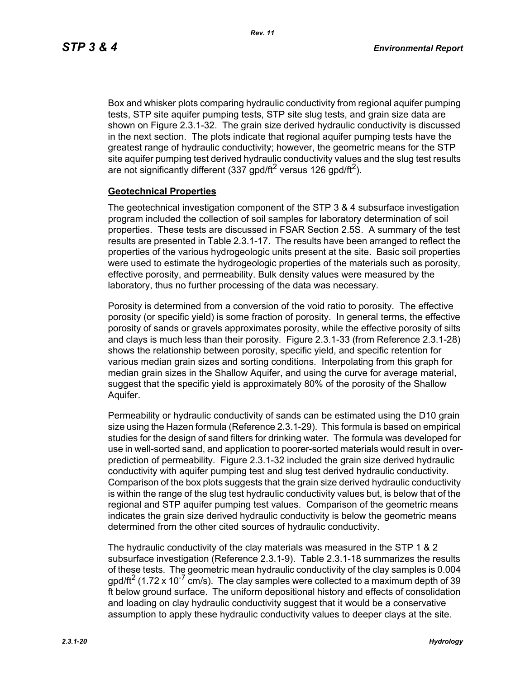Box and whisker plots comparing hydraulic conductivity from regional aquifer pumping tests, STP site aquifer pumping tests, STP site slug tests, and grain size data are shown on Figure 2.3.1-32. The grain size derived hydraulic conductivity is discussed in the next section. The plots indicate that regional aquifer pumping tests have the greatest range of hydraulic conductivity; however, the geometric means for the STP site aquifer pumping test derived hydraulic conductivity values and the slug test results are not significantly different (337 gpd/ft<sup>2</sup> versus 126 gpd/ft<sup>2</sup>).

#### **Geotechnical Properties**

The geotechnical investigation component of the STP 3 & 4 subsurface investigation program included the collection of soil samples for laboratory determination of soil properties. These tests are discussed in FSAR Section 2.5S. A summary of the test results are presented in Table 2.3.1-17. The results have been arranged to reflect the properties of the various hydrogeologic units present at the site. Basic soil properties were used to estimate the hydrogeologic properties of the materials such as porosity, effective porosity, and permeability. Bulk density values were measured by the laboratory, thus no further processing of the data was necessary.

Porosity is determined from a conversion of the void ratio to porosity. The effective porosity (or specific yield) is some fraction of porosity. In general terms, the effective porosity of sands or gravels approximates porosity, while the effective porosity of silts and clays is much less than their porosity. Figure 2.3.1-33 (from Reference 2.3.1-28) shows the relationship between porosity, specific yield, and specific retention for various median grain sizes and sorting conditions. Interpolating from this graph for median grain sizes in the Shallow Aquifer, and using the curve for average material, suggest that the specific yield is approximately 80% of the porosity of the Shallow Aquifer.

Permeability or hydraulic conductivity of sands can be estimated using the D10 grain size using the Hazen formula (Reference 2.3.1-29). This formula is based on empirical studies for the design of sand filters for drinking water. The formula was developed for use in well-sorted sand, and application to poorer-sorted materials would result in overprediction of permeability. Figure 2.3.1-32 included the grain size derived hydraulic conductivity with aquifer pumping test and slug test derived hydraulic conductivity. Comparison of the box plots suggests that the grain size derived hydraulic conductivity is within the range of the slug test hydraulic conductivity values but, is below that of the regional and STP aquifer pumping test values. Comparison of the geometric means indicates the grain size derived hydraulic conductivity is below the geometric means determined from the other cited sources of hydraulic conductivity.

The hydraulic conductivity of the clay materials was measured in the STP 1 & 2 subsurface investigation (Reference 2.3.1-9). Table 2.3.1-18 summarizes the results of these tests. The geometric mean hydraulic conductivity of the clay samples is 0.004  $q$  apd/ft<sup>2</sup> (1.72 x 10<sup>-7</sup> cm/s). The clay samples were collected to a maximum depth of 39 ft below ground surface. The uniform depositional history and effects of consolidation and loading on clay hydraulic conductivity suggest that it would be a conservative assumption to apply these hydraulic conductivity values to deeper clays at the site.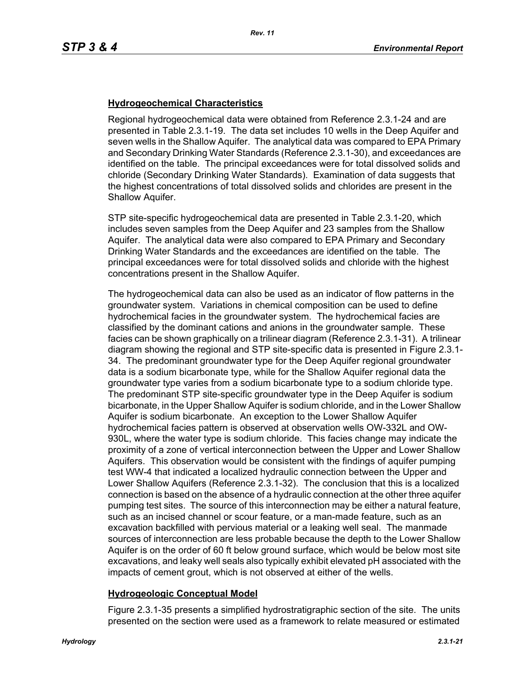#### **Hydrogeochemical Characteristics**

Regional hydrogeochemical data were obtained from Reference 2.3.1-24 and are presented in Table 2.3.1-19. The data set includes 10 wells in the Deep Aquifer and seven wells in the Shallow Aquifer. The analytical data was compared to EPA Primary and Secondary Drinking Water Standards (Reference 2.3.1-30), and exceedances are identified on the table. The principal exceedances were for total dissolved solids and chloride (Secondary Drinking Water Standards). Examination of data suggests that the highest concentrations of total dissolved solids and chlorides are present in the Shallow Aquifer.

STP site-specific hydrogeochemical data are presented in Table 2.3.1-20, which includes seven samples from the Deep Aquifer and 23 samples from the Shallow Aquifer. The analytical data were also compared to EPA Primary and Secondary Drinking Water Standards and the exceedances are identified on the table. The principal exceedances were for total dissolved solids and chloride with the highest concentrations present in the Shallow Aquifer.

The hydrogeochemical data can also be used as an indicator of flow patterns in the groundwater system. Variations in chemical composition can be used to define hydrochemical facies in the groundwater system. The hydrochemical facies are classified by the dominant cations and anions in the groundwater sample. These facies can be shown graphically on a trilinear diagram (Reference 2.3.1-31). A trilinear diagram showing the regional and STP site-specific data is presented in Figure 2.3.1- 34. The predominant groundwater type for the Deep Aquifer regional groundwater data is a sodium bicarbonate type, while for the Shallow Aquifer regional data the groundwater type varies from a sodium bicarbonate type to a sodium chloride type. The predominant STP site-specific groundwater type in the Deep Aquifer is sodium bicarbonate, in the Upper Shallow Aquifer is sodium chloride, and in the Lower Shallow Aquifer is sodium bicarbonate. An exception to the Lower Shallow Aquifer hydrochemical facies pattern is observed at observation wells OW-332L and OW-930L, where the water type is sodium chloride. This facies change may indicate the proximity of a zone of vertical interconnection between the Upper and Lower Shallow Aquifers. This observation would be consistent with the findings of aquifer pumping test WW-4 that indicated a localized hydraulic connection between the Upper and Lower Shallow Aquifers (Reference 2.3.1-32). The conclusion that this is a localized connection is based on the absence of a hydraulic connection at the other three aquifer pumping test sites. The source of this interconnection may be either a natural feature, such as an incised channel or scour feature, or a man-made feature, such as an excavation backfilled with pervious material or a leaking well seal. The manmade sources of interconnection are less probable because the depth to the Lower Shallow Aquifer is on the order of 60 ft below ground surface, which would be below most site excavations, and leaky well seals also typically exhibit elevated pH associated with the impacts of cement grout, which is not observed at either of the wells.

#### **Hydrogeologic Conceptual Model**

Figure 2.3.1-35 presents a simplified hydrostratigraphic section of the site. The units presented on the section were used as a framework to relate measured or estimated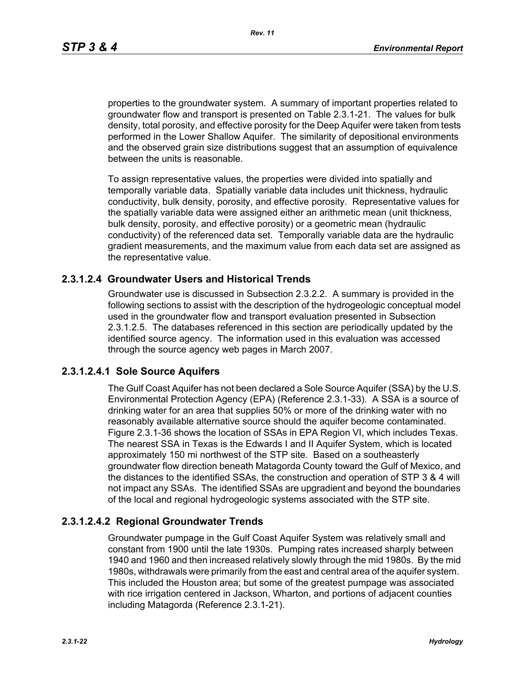*Rev. 11*

properties to the groundwater system. A summary of important properties related to groundwater flow and transport is presented on Table 2.3.1-21. The values for bulk density, total porosity, and effective porosity for the Deep Aquifer were taken from tests performed in the Lower Shallow Aquifer. The similarity of depositional environments and the observed grain size distributions suggest that an assumption of equivalence between the units is reasonable.

To assign representative values, the properties were divided into spatially and temporally variable data. Spatially variable data includes unit thickness, hydraulic conductivity, bulk density, porosity, and effective porosity. Representative values for the spatially variable data were assigned either an arithmetic mean (unit thickness, bulk density, porosity, and effective porosity) or a geometric mean (hydraulic conductivity) of the referenced data set. Temporally variable data are the hydraulic gradient measurements, and the maximum value from each data set are assigned as the representative value.

## **2.3.1.2.4 Groundwater Users and Historical Trends**

Groundwater use is discussed in Subsection 2.3.2.2. A summary is provided in the following sections to assist with the description of the hydrogeologic conceptual model used in the groundwater flow and transport evaluation presented in Subsection 2.3.1.2.5. The databases referenced in this section are periodically updated by the identified source agency. The information used in this evaluation was accessed through the source agency web pages in March 2007.

## **2.3.1.2.4.1 Sole Source Aquifers**

The Gulf Coast Aquifer has not been declared a Sole Source Aquifer (SSA) by the U.S. Environmental Protection Agency (EPA) (Reference 2.3.1-33). A SSA is a source of drinking water for an area that supplies 50% or more of the drinking water with no reasonably available alternative source should the aquifer become contaminated. Figure 2.3.1-36 shows the location of SSAs in EPA Region VI, which includes Texas. The nearest SSA in Texas is the Edwards I and II Aquifer System, which is located approximately 150 mi northwest of the STP site. Based on a southeasterly groundwater flow direction beneath Matagorda County toward the Gulf of Mexico, and the distances to the identified SSAs, the construction and operation of STP 3 & 4 will not impact any SSAs. The identified SSAs are upgradient and beyond the boundaries of the local and regional hydrogeologic systems associated with the STP site.

#### **2.3.1.2.4.2 Regional Groundwater Trends**

Groundwater pumpage in the Gulf Coast Aquifer System was relatively small and constant from 1900 until the late 1930s. Pumping rates increased sharply between 1940 and 1960 and then increased relatively slowly through the mid 1980s. By the mid 1980s, withdrawals were primarily from the east and central area of the aquifer system. This included the Houston area; but some of the greatest pumpage was associated with rice irrigation centered in Jackson, Wharton, and portions of adjacent counties including Matagorda (Reference 2.3.1-21).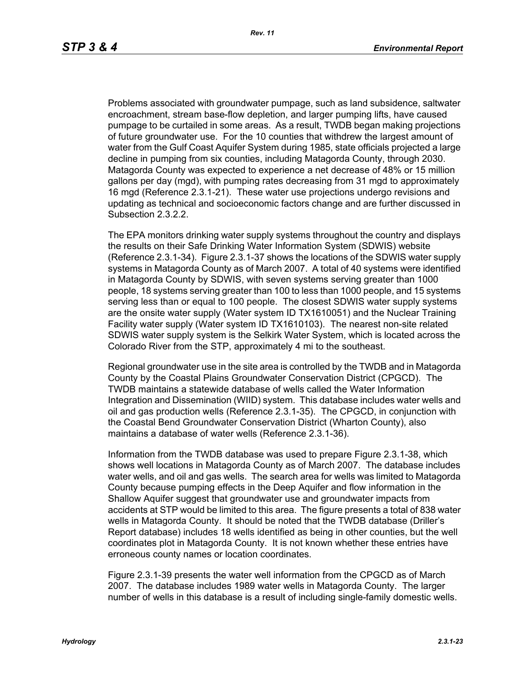Problems associated with groundwater pumpage, such as land subsidence, saltwater encroachment, stream base-flow depletion, and larger pumping lifts, have caused pumpage to be curtailed in some areas. As a result, TWDB began making projections of future groundwater use. For the 10 counties that withdrew the largest amount of water from the Gulf Coast Aquifer System during 1985, state officials projected a large decline in pumping from six counties, including Matagorda County, through 2030. Matagorda County was expected to experience a net decrease of 48% or 15 million gallons per day (mgd), with pumping rates decreasing from 31 mgd to approximately 16 mgd (Reference 2.3.1-21). These water use projections undergo revisions and updating as technical and socioeconomic factors change and are further discussed in Subsection 2.3.2.2.

The EPA monitors drinking water supply systems throughout the country and displays the results on their Safe Drinking Water Information System (SDWIS) website (Reference 2.3.1-34). Figure 2.3.1-37 shows the locations of the SDWIS water supply systems in Matagorda County as of March 2007. A total of 40 systems were identified in Matagorda County by SDWIS, with seven systems serving greater than 1000 people, 18 systems serving greater than 100 to less than 1000 people, and 15 systems serving less than or equal to 100 people. The closest SDWIS water supply systems are the onsite water supply (Water system ID TX1610051) and the Nuclear Training Facility water supply (Water system ID TX1610103). The nearest non-site related SDWIS water supply system is the Selkirk Water System, which is located across the Colorado River from the STP, approximately 4 mi to the southeast.

Regional groundwater use in the site area is controlled by the TWDB and in Matagorda County by the Coastal Plains Groundwater Conservation District (CPGCD). The TWDB maintains a statewide database of wells called the Water Information Integration and Dissemination (WIID) system. This database includes water wells and oil and gas production wells (Reference 2.3.1-35). The CPGCD, in conjunction with the Coastal Bend Groundwater Conservation District (Wharton County), also maintains a database of water wells (Reference 2.3.1-36).

Information from the TWDB database was used to prepare Figure 2.3.1-38, which shows well locations in Matagorda County as of March 2007. The database includes water wells, and oil and gas wells. The search area for wells was limited to Matagorda County because pumping effects in the Deep Aquifer and flow information in the Shallow Aquifer suggest that groundwater use and groundwater impacts from accidents at STP would be limited to this area. The figure presents a total of 838 water wells in Matagorda County. It should be noted that the TWDB database (Driller's Report database) includes 18 wells identified as being in other counties, but the well coordinates plot in Matagorda County. It is not known whether these entries have erroneous county names or location coordinates.

Figure 2.3.1-39 presents the water well information from the CPGCD as of March 2007. The database includes 1989 water wells in Matagorda County. The larger number of wells in this database is a result of including single-family domestic wells.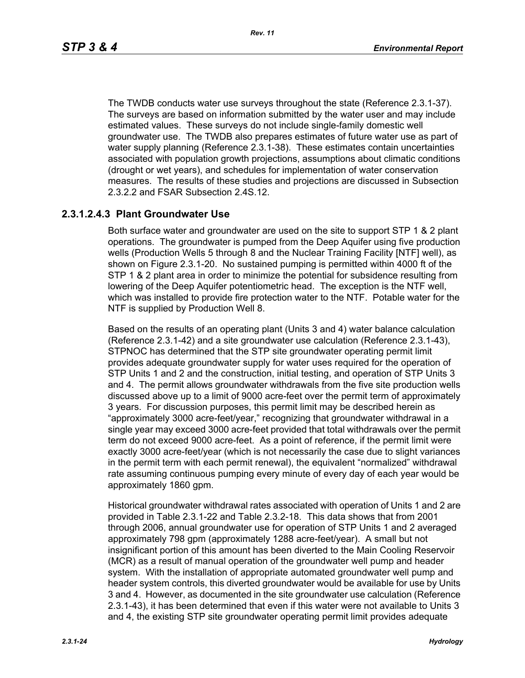The TWDB conducts water use surveys throughout the state (Reference 2.3.1-37). The surveys are based on information submitted by the water user and may include estimated values. These surveys do not include single-family domestic well groundwater use. The TWDB also prepares estimates of future water use as part of water supply planning (Reference 2.3.1-38). These estimates contain uncertainties associated with population growth projections, assumptions about climatic conditions (drought or wet years), and schedules for implementation of water conservation measures. The results of these studies and projections are discussed in Subsection 2.3.2.2 and FSAR Subsection 2.4S.12.

#### **2.3.1.2.4.3 Plant Groundwater Use**

Both surface water and groundwater are used on the site to support STP 1 & 2 plant operations. The groundwater is pumped from the Deep Aquifer using five production wells (Production Wells 5 through 8 and the Nuclear Training Facility [NTF] well), as shown on Figure 2.3.1-20. No sustained pumping is permitted within 4000 ft of the STP 1 & 2 plant area in order to minimize the potential for subsidence resulting from lowering of the Deep Aquifer potentiometric head. The exception is the NTF well, which was installed to provide fire protection water to the NTF. Potable water for the NTF is supplied by Production Well 8.

Based on the results of an operating plant (Units 3 and 4) water balance calculation (Reference 2.3.1-42) and a site groundwater use calculation (Reference 2.3.1-43), STPNOC has determined that the STP site groundwater operating permit limit provides adequate groundwater supply for water uses required for the operation of STP Units 1 and 2 and the construction, initial testing, and operation of STP Units 3 and 4. The permit allows groundwater withdrawals from the five site production wells discussed above up to a limit of 9000 acre-feet over the permit term of approximately 3 years. For discussion purposes, this permit limit may be described herein as "approximately 3000 acre-feet/year," recognizing that groundwater withdrawal in a single year may exceed 3000 acre-feet provided that total withdrawals over the permit term do not exceed 9000 acre-feet. As a point of reference, if the permit limit were exactly 3000 acre-feet/year (which is not necessarily the case due to slight variances in the permit term with each permit renewal), the equivalent "normalized" withdrawal rate assuming continuous pumping every minute of every day of each year would be approximately 1860 gpm.

Historical groundwater withdrawal rates associated with operation of Units 1 and 2 are provided in Table 2.3.1-22 and Table 2.3.2-18. This data shows that from 2001 through 2006, annual groundwater use for operation of STP Units 1 and 2 averaged approximately 798 gpm (approximately 1288 acre-feet/year). A small but not insignificant portion of this amount has been diverted to the Main Cooling Reservoir (MCR) as a result of manual operation of the groundwater well pump and header system. With the installation of appropriate automated groundwater well pump and header system controls, this diverted groundwater would be available for use by Units 3 and 4. However, as documented in the site groundwater use calculation (Reference 2.3.1-43), it has been determined that even if this water were not available to Units 3 and 4, the existing STP site groundwater operating permit limit provides adequate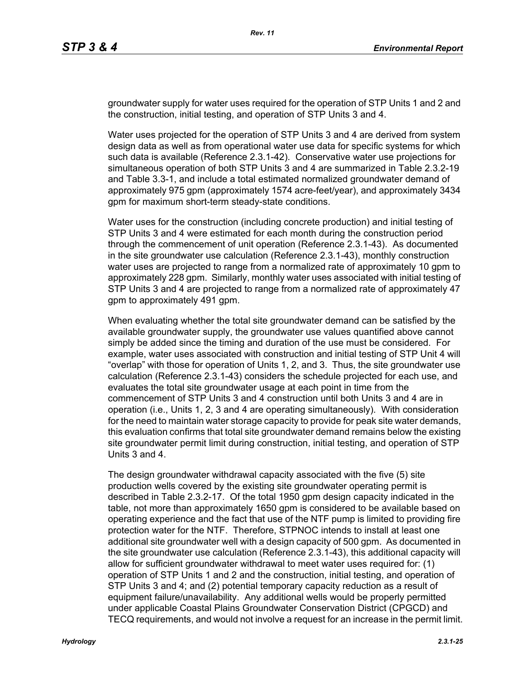groundwater supply for water uses required for the operation of STP Units 1 and 2 and the construction, initial testing, and operation of STP Units 3 and 4.

Water uses projected for the operation of STP Units 3 and 4 are derived from system design data as well as from operational water use data for specific systems for which such data is available (Reference 2.3.1-42). Conservative water use projections for simultaneous operation of both STP Units 3 and 4 are summarized in Table 2.3.2-19 and Table 3.3-1, and include a total estimated normalized groundwater demand of approximately 975 gpm (approximately 1574 acre-feet/year), and approximately 3434 gpm for maximum short-term steady-state conditions.

Water uses for the construction (including concrete production) and initial testing of STP Units 3 and 4 were estimated for each month during the construction period through the commencement of unit operation (Reference 2.3.1-43). As documented in the site groundwater use calculation (Reference 2.3.1-43), monthly construction water uses are projected to range from a normalized rate of approximately 10 gpm to approximately 228 gpm. Similarly, monthly water uses associated with initial testing of STP Units 3 and 4 are projected to range from a normalized rate of approximately 47 gpm to approximately 491 gpm.

When evaluating whether the total site groundwater demand can be satisfied by the available groundwater supply, the groundwater use values quantified above cannot simply be added since the timing and duration of the use must be considered. For example, water uses associated with construction and initial testing of STP Unit 4 will "overlap" with those for operation of Units 1, 2, and 3. Thus, the site groundwater use calculation (Reference 2.3.1-43) considers the schedule projected for each use, and evaluates the total site groundwater usage at each point in time from the commencement of STP Units 3 and 4 construction until both Units 3 and 4 are in operation (i.e., Units 1, 2, 3 and 4 are operating simultaneously). With consideration for the need to maintain water storage capacity to provide for peak site water demands, this evaluation confirms that total site groundwater demand remains below the existing site groundwater permit limit during construction, initial testing, and operation of STP Units 3 and 4.

The design groundwater withdrawal capacity associated with the five (5) site production wells covered by the existing site groundwater operating permit is described in Table 2.3.2-17. Of the total 1950 gpm design capacity indicated in the table, not more than approximately 1650 gpm is considered to be available based on operating experience and the fact that use of the NTF pump is limited to providing fire protection water for the NTF. Therefore, STPNOC intends to install at least one additional site groundwater well with a design capacity of 500 gpm. As documented in the site groundwater use calculation (Reference 2.3.1-43), this additional capacity will allow for sufficient groundwater withdrawal to meet water uses required for: (1) operation of STP Units 1 and 2 and the construction, initial testing, and operation of STP Units 3 and 4; and (2) potential temporary capacity reduction as a result of equipment failure/unavailability. Any additional wells would be properly permitted under applicable Coastal Plains Groundwater Conservation District (CPGCD) and TECQ requirements, and would not involve a request for an increase in the permit limit.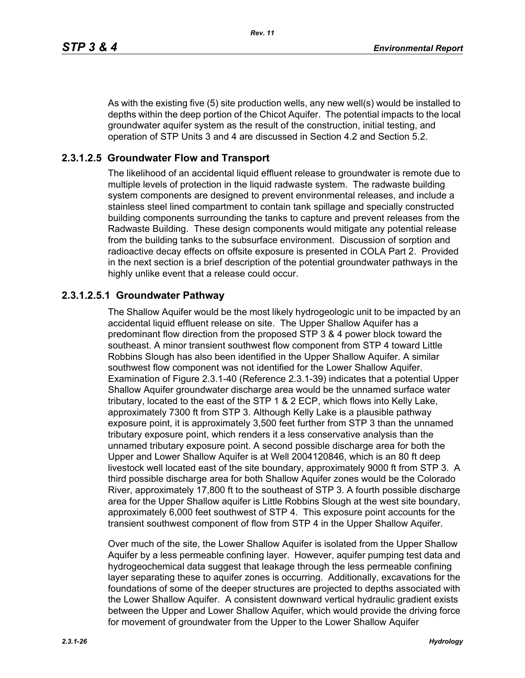As with the existing five (5) site production wells, any new well(s) would be installed to depths within the deep portion of the Chicot Aquifer. The potential impacts to the local groundwater aquifer system as the result of the construction, initial testing, and operation of STP Units 3 and 4 are discussed in Section 4.2 and Section 5.2.

# **2.3.1.2.5 Groundwater Flow and Transport**

The likelihood of an accidental liquid effluent release to groundwater is remote due to multiple levels of protection in the liquid radwaste system. The radwaste building system components are designed to prevent environmental releases, and include a stainless steel lined compartment to contain tank spillage and specially constructed building components surrounding the tanks to capture and prevent releases from the Radwaste Building. These design components would mitigate any potential release from the building tanks to the subsurface environment. Discussion of sorption and radioactive decay effects on offsite exposure is presented in COLA Part 2. Provided in the next section is a brief description of the potential groundwater pathways in the highly unlike event that a release could occur.

## **2.3.1.2.5.1 Groundwater Pathway**

The Shallow Aquifer would be the most likely hydrogeologic unit to be impacted by an accidental liquid effluent release on site. The Upper Shallow Aquifer has a predominant flow direction from the proposed STP 3 & 4 power block toward the southeast. A minor transient southwest flow component from STP 4 toward Little Robbins Slough has also been identified in the Upper Shallow Aquifer. A similar southwest flow component was not identified for the Lower Shallow Aquifer. Examination of Figure 2.3.1-40 (Reference 2.3.1-39) indicates that a potential Upper Shallow Aquifer groundwater discharge area would be the unnamed surface water tributary, located to the east of the STP 1 & 2 ECP, which flows into Kelly Lake, approximately 7300 ft from STP 3. Although Kelly Lake is a plausible pathway exposure point, it is approximately 3,500 feet further from STP 3 than the unnamed tributary exposure point, which renders it a less conservative analysis than the unnamed tributary exposure point. A second possible discharge area for both the Upper and Lower Shallow Aquifer is at Well 2004120846, which is an 80 ft deep livestock well located east of the site boundary, approximately 9000 ft from STP 3. A third possible discharge area for both Shallow Aquifer zones would be the Colorado River, approximately 17,800 ft to the southeast of STP 3. A fourth possible discharge area for the Upper Shallow aquifer is Little Robbins Slough at the west site boundary, approximately 6,000 feet southwest of STP 4. This exposure point accounts for the transient southwest component of flow from STP 4 in the Upper Shallow Aquifer.

Over much of the site, the Lower Shallow Aquifer is isolated from the Upper Shallow Aquifer by a less permeable confining layer. However, aquifer pumping test data and hydrogeochemical data suggest that leakage through the less permeable confining layer separating these to aquifer zones is occurring. Additionally, excavations for the foundations of some of the deeper structures are projected to depths associated with the Lower Shallow Aquifer. A consistent downward vertical hydraulic gradient exists between the Upper and Lower Shallow Aquifer, which would provide the driving force for movement of groundwater from the Upper to the Lower Shallow Aquifer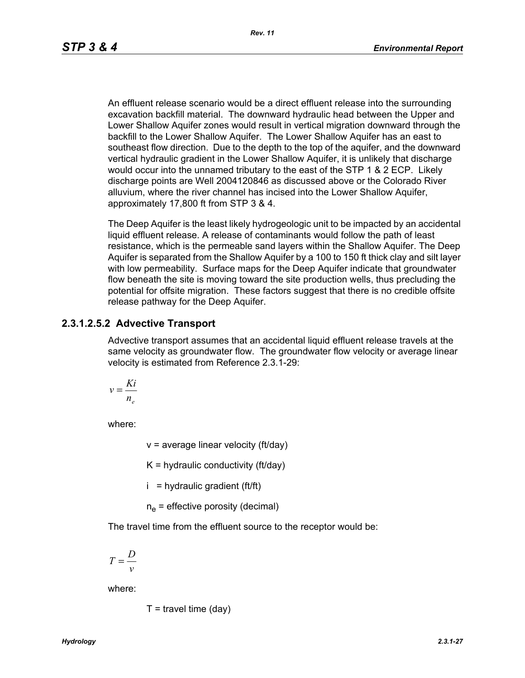An effluent release scenario would be a direct effluent release into the surrounding excavation backfill material. The downward hydraulic head between the Upper and Lower Shallow Aquifer zones would result in vertical migration downward through the backfill to the Lower Shallow Aquifer. The Lower Shallow Aquifer has an east to southeast flow direction. Due to the depth to the top of the aquifer, and the downward vertical hydraulic gradient in the Lower Shallow Aquifer, it is unlikely that discharge would occur into the unnamed tributary to the east of the STP 1 & 2 ECP. Likely discharge points are Well 2004120846 as discussed above or the Colorado River alluvium, where the river channel has incised into the Lower Shallow Aquifer, approximately 17,800 ft from STP 3 & 4.

The Deep Aquifer is the least likely hydrogeologic unit to be impacted by an accidental liquid effluent release. A release of contaminants would follow the path of least resistance, which is the permeable sand layers within the Shallow Aquifer. The Deep Aquifer is separated from the Shallow Aquifer by a 100 to 150 ft thick clay and silt layer with low permeability. Surface maps for the Deep Aquifer indicate that groundwater flow beneath the site is moving toward the site production wells, thus precluding the potential for offsite migration. These factors suggest that there is no credible offsite release pathway for the Deep Aquifer.

#### **2.3.1.2.5.2 Advective Transport**

Advective transport assumes that an accidental liquid effluent release travels at the same velocity as groundwater flow. The groundwater flow velocity or average linear velocity is estimated from Reference 2.3.1-29:

$$
v = \frac{Ki}{n_e}
$$

where:

 $v =$  average linear velocity (ft/day)

 $K =$  hydraulic conductivity (ft/day)

 $i =$  hydraulic gradient (ft/ft)

 $n_e$  = effective porosity (decimal)

The travel time from the effluent source to the receptor would be:

$$
T = \frac{D}{v}
$$

where:

$$
T =
$$
travel time (day)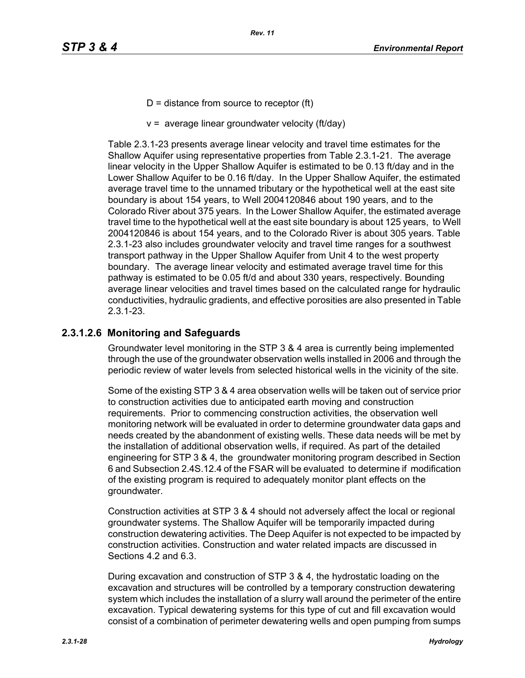- $D =$  distance from source to receptor (ft)
- $v =$  average linear groundwater velocity (ft/day)

Table 2.3.1-23 presents average linear velocity and travel time estimates for the Shallow Aquifer using representative properties from Table 2.3.1-21. The average linear velocity in the Upper Shallow Aquifer is estimated to be 0.13 ft/day and in the Lower Shallow Aquifer to be 0.16 ft/day. In the Upper Shallow Aquifer, the estimated average travel time to the unnamed tributary or the hypothetical well at the east site boundary is about 154 years, to Well 2004120846 about 190 years, and to the Colorado River about 375 years. In the Lower Shallow Aquifer, the estimated average travel time to the hypothetical well at the east site boundary is about 125 years, to Well 2004120846 is about 154 years, and to the Colorado River is about 305 years. Table 2.3.1-23 also includes groundwater velocity and travel time ranges for a southwest transport pathway in the Upper Shallow Aquifer from Unit 4 to the west property boundary. The average linear velocity and estimated average travel time for this pathway is estimated to be 0.05 ft/d and about 330 years, respectively. Bounding average linear velocities and travel times based on the calculated range for hydraulic conductivities, hydraulic gradients, and effective porosities are also presented in Table 2.3.1-23.

## **2.3.1.2.6 Monitoring and Safeguards**

Groundwater level monitoring in the STP 3 & 4 area is currently being implemented through the use of the groundwater observation wells installed in 2006 and through the periodic review of water levels from selected historical wells in the vicinity of the site.

Some of the existing STP 3 & 4 area observation wells will be taken out of service prior to construction activities due to anticipated earth moving and construction requirements. Prior to commencing construction activities, the observation well monitoring network will be evaluated in order to determine groundwater data gaps and needs created by the abandonment of existing wells. These data needs will be met by the installation of additional observation wells, if required. As part of the detailed engineering for STP 3 & 4, the groundwater monitoring program described in Section 6 and Subsection 2.4S.12.4 of the FSAR will be evaluated to determine if modification of the existing program is required to adequately monitor plant effects on the groundwater.

Construction activities at STP 3 & 4 should not adversely affect the local or regional groundwater systems. The Shallow Aquifer will be temporarily impacted during construction dewatering activities. The Deep Aquifer is not expected to be impacted by construction activities. Construction and water related impacts are discussed in Sections 4.2 and 6.3.

During excavation and construction of STP 3 & 4, the hydrostatic loading on the excavation and structures will be controlled by a temporary construction dewatering system which includes the installation of a slurry wall around the perimeter of the entire excavation. Typical dewatering systems for this type of cut and fill excavation would consist of a combination of perimeter dewatering wells and open pumping from sumps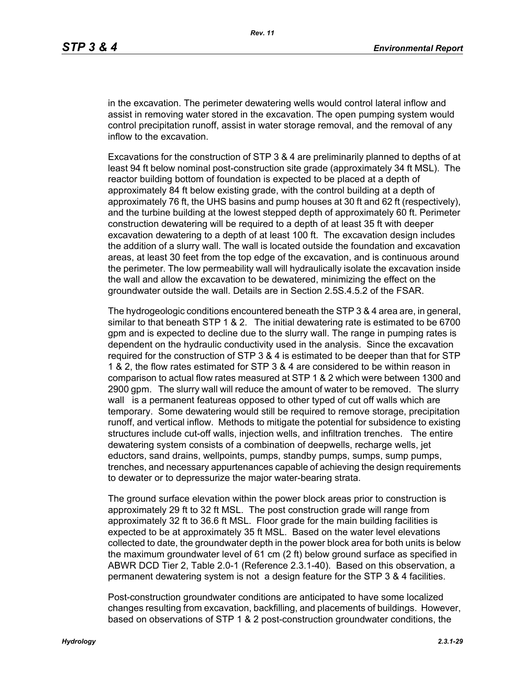in the excavation. The perimeter dewatering wells would control lateral inflow and assist in removing water stored in the excavation. The open pumping system would control precipitation runoff, assist in water storage removal, and the removal of any inflow to the excavation.

Excavations for the construction of STP 3 & 4 are preliminarily planned to depths of at least 94 ft below nominal post-construction site grade (approximately 34 ft MSL). The reactor building bottom of foundation is expected to be placed at a depth of approximately 84 ft below existing grade, with the control building at a depth of approximately 76 ft, the UHS basins and pump houses at 30 ft and 62 ft (respectively), and the turbine building at the lowest stepped depth of approximately 60 ft. Perimeter construction dewatering will be required to a depth of at least 35 ft with deeper excavation dewatering to a depth of at least 100 ft. The excavation design includes the addition of a slurry wall. The wall is located outside the foundation and excavation areas, at least 30 feet from the top edge of the excavation, and is continuous around the perimeter. The low permeability wall will hydraulically isolate the excavation inside the wall and allow the excavation to be dewatered, minimizing the effect on the groundwater outside the wall. Details are in Section 2.5S.4.5.2 of the FSAR.

The hydrogeologic conditions encountered beneath the STP 3 & 4 area are, in general, similar to that beneath STP 1 & 2. The initial dewatering rate is estimated to be 6700 gpm and is expected to decline due to the slurry wall. The range in pumping rates is dependent on the hydraulic conductivity used in the analysis. Since the excavation required for the construction of STP 3 & 4 is estimated to be deeper than that for STP 1 & 2, the flow rates estimated for STP 3 & 4 are considered to be within reason in comparison to actual flow rates measured at STP 1 & 2 which were between 1300 and 2900 gpm. The slurry wall will reduce the amount of water to be removed. The slurry wall is a permanent featureas opposed to other typed of cut off walls which are temporary. Some dewatering would still be required to remove storage, precipitation runoff, and vertical inflow. Methods to mitigate the potential for subsidence to existing structures include cut-off walls, injection wells, and infiltration trenches. The entire dewatering system consists of a combination of deepwells, recharge wells, jet eductors, sand drains, wellpoints, pumps, standby pumps, sumps, sump pumps, trenches, and necessary appurtenances capable of achieving the design requirements to dewater or to depressurize the major water-bearing strata.

The ground surface elevation within the power block areas prior to construction is approximately 29 ft to 32 ft MSL. The post construction grade will range from approximately 32 ft to 36.6 ft MSL. Floor grade for the main building facilities is expected to be at approximately 35 ft MSL. Based on the water level elevations collected to date, the groundwater depth in the power block area for both units is below the maximum groundwater level of 61 cm (2 ft) below ground surface as specified in ABWR DCD Tier 2, Table 2.0-1 (Reference 2.3.1-40). Based on this observation, a permanent dewatering system is not a design feature for the STP 3 & 4 facilities.

Post-construction groundwater conditions are anticipated to have some localized changes resulting from excavation, backfilling, and placements of buildings. However, based on observations of STP 1 & 2 post-construction groundwater conditions, the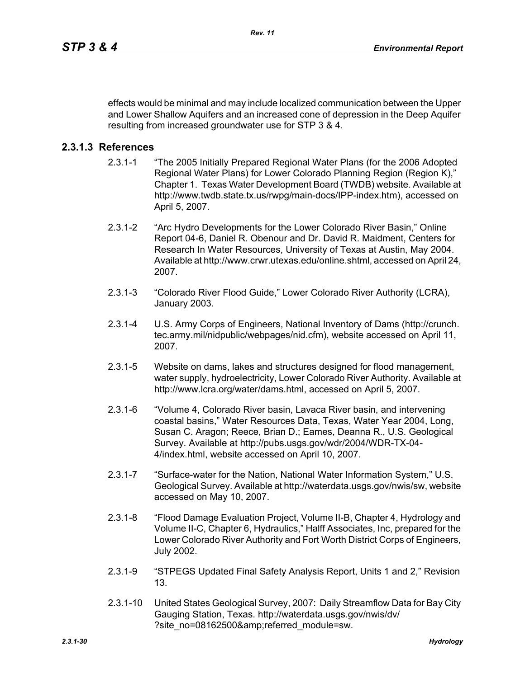effects would be minimal and may include localized communication between the Upper and Lower Shallow Aquifers and an increased cone of depression in the Deep Aquifer resulting from increased groundwater use for STP 3 & 4.

#### **2.3.1.3 References**

- 2.3.1-1 "The 2005 Initially Prepared Regional Water Plans (for the 2006 Adopted Regional Water Plans) for Lower Colorado Planning Region (Region K)," Chapter 1. Texas Water Development Board (TWDB) website. Available at http://www.twdb.state.tx.us/rwpg/main-docs/IPP-index.htm), accessed on April 5, 2007.
- 2.3.1-2 "Arc Hydro Developments for the Lower Colorado River Basin," Online Report 04-6, Daniel R. Obenour and Dr. David R. Maidment, Centers for Research In Water Resources, University of Texas at Austin, May 2004. Available at http://www.crwr.utexas.edu/online.shtml, accessed on April 24, 2007.
- 2.3.1-3 "Colorado River Flood Guide," Lower Colorado River Authority (LCRA), January 2003.
- 2.3.1-4 U.S. Army Corps of Engineers, National Inventory of Dams (http://crunch. tec.army.mil/nidpublic/webpages/nid.cfm), website accessed on April 11, 2007.
- 2.3.1-5 Website on dams, lakes and structures designed for flood management, water supply, hydroelectricity, Lower Colorado River Authority. Available at http://www.lcra.org/water/dams.html, accessed on April 5, 2007.
- 2.3.1-6 "Volume 4, Colorado River basin, Lavaca River basin, and intervening coastal basins," Water Resources Data, Texas, Water Year 2004, Long, Susan C. Aragon; Reece, Brian D.; Eames, Deanna R., U.S. Geological Survey. Available at http://pubs.usgs.gov/wdr/2004/WDR-TX-04- 4/index.html, website accessed on April 10, 2007.
- 2.3.1-7 "Surface-water for the Nation, National Water Information System," U.S. Geological Survey. Available at http://waterdata.usgs.gov/nwis/sw, website accessed on May 10, 2007.
- 2.3.1-8 "Flood Damage Evaluation Project, Volume II-B, Chapter 4, Hydrology and Volume II-C, Chapter 6, Hydraulics," Halff Associates, Inc, prepared for the Lower Colorado River Authority and Fort Worth District Corps of Engineers, July 2002.
- 2.3.1-9 "STPEGS Updated Final Safety Analysis Report, Units 1 and 2," Revision 13.
- 2.3.1-10 United States Geological Survey, 2007: Daily Streamflow Data for Bay City Gauging Station, Texas. http://waterdata.usgs.gov/nwis/dv/ ?site\_no=08162500&referred\_module=sw.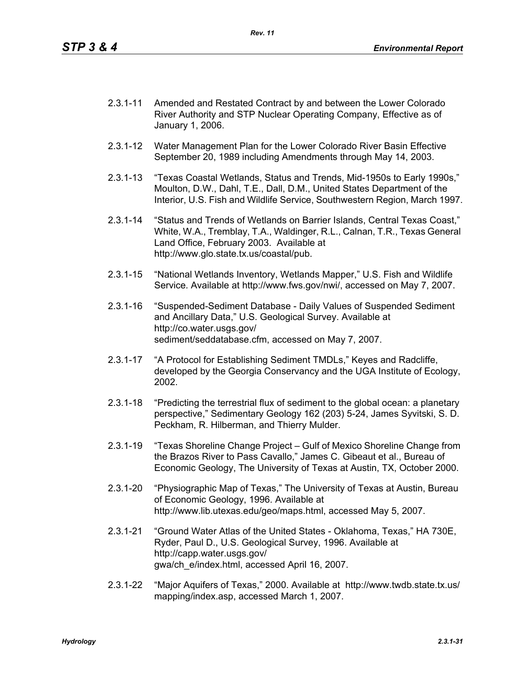- 2.3.1-11 Amended and Restated Contract by and between the Lower Colorado River Authority and STP Nuclear Operating Company, Effective as of January 1, 2006.
- 2.3.1-12 Water Management Plan for the Lower Colorado River Basin Effective September 20, 1989 including Amendments through May 14, 2003.
- 2.3.1-13 "Texas Coastal Wetlands, Status and Trends, Mid-1950s to Early 1990s," Moulton, D.W., Dahl, T.E., Dall, D.M., United States Department of the Interior, U.S. Fish and Wildlife Service, Southwestern Region, March 1997.
- 2.3.1-14 "Status and Trends of Wetlands on Barrier Islands, Central Texas Coast," White, W.A., Tremblay, T.A., Waldinger, R.L., Calnan, T.R., Texas General Land Office, February 2003. Available at http://www.glo.state.tx.us/coastal/pub.
- 2.3.1-15 "National Wetlands Inventory, Wetlands Mapper," U.S. Fish and Wildlife Service. Available at http://www.fws.gov/nwi/, accessed on May 7, 2007.
- 2.3.1-16 "Suspended-Sediment Database Daily Values of Suspended Sediment and Ancillary Data," U.S. Geological Survey. Available at http://co.water.usgs.gov/ sediment/seddatabase.cfm, accessed on May 7, 2007.
- 2.3.1-17 "A Protocol for Establishing Sediment TMDLs," Keyes and Radcliffe, developed by the Georgia Conservancy and the UGA Institute of Ecology, 2002.
- 2.3.1-18 "Predicting the terrestrial flux of sediment to the global ocean: a planetary perspective," Sedimentary Geology 162 (203) 5-24, James Syvitski, S. D. Peckham, R. Hilberman, and Thierry Mulder.
- 2.3.1-19 "Texas Shoreline Change Project Gulf of Mexico Shoreline Change from the Brazos River to Pass Cavallo," James C. Gibeaut et al., Bureau of Economic Geology, The University of Texas at Austin, TX, October 2000.
- 2.3.1-20 "Physiographic Map of Texas," The University of Texas at Austin, Bureau of Economic Geology, 1996. Available at http://www.lib.utexas.edu/geo/maps.html, accessed May 5, 2007.
- 2.3.1-21 "Ground Water Atlas of the United States Oklahoma, Texas," HA 730E, Ryder, Paul D., U.S. Geological Survey, 1996. Available at http://capp.water.usgs.gov/ gwa/ch\_e/index.html, accessed April 16, 2007.
- 2.3.1-22 "Major Aquifers of Texas," 2000. Available at http://www.twdb.state.tx.us/ mapping/index.asp, accessed March 1, 2007.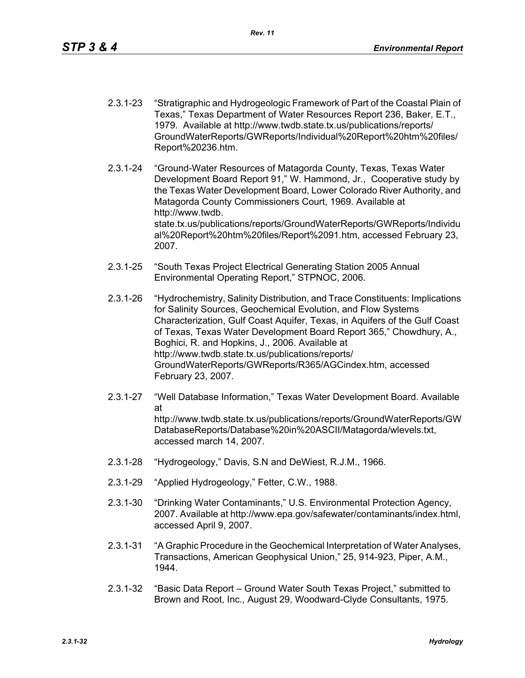- 2.3.1-23 "Stratigraphic and Hydrogeologic Framework of Part of the Coastal Plain of Texas," Texas Department of Water Resources Report 236, Baker, E.T., 1979. Available at http://www.twdb.state.tx.us/publications/reports/ GroundWaterReports/GWReports/Individual%20Report%20htm%20files/ Report%20236.htm.
- 2.3.1-24 "Ground-Water Resources of Matagorda County, Texas, Texas Water Development Board Report 91," W. Hammond, Jr., Cooperative study by the Texas Water Development Board, Lower Colorado River Authority, and Matagorda County Commissioners Court, 1969. Available at http://www.twdb. state.tx.us/publications/reports/GroundWaterReports/GWReports/Individu al%20Report%20htm%20files/Report%2091.htm, accessed February 23, 2007.
- 2.3.1-25 "South Texas Project Electrical Generating Station 2005 Annual Environmental Operating Report," STPNOC, 2006.
- 2.3.1-26 "Hydrochemistry, Salinity Distribution, and Trace Constituents: Implications for Salinity Sources, Geochemical Evolution, and Flow Systems Characterization, Gulf Coast Aquifer, Texas, in Aquifers of the Gulf Coast of Texas, Texas Water Development Board Report 365," Chowdhury, A., Boghici, R. and Hopkins, J., 2006. Available at http://www.twdb.state.tx.us/publications/reports/ GroundWaterReports/GWReports/R365/AGCindex.htm, accessed February 23, 2007.
- 2.3.1-27 "Well Database Information," Texas Water Development Board. Available at http://www.twdb.state.tx.us/publications/reports/GroundWaterReports/GW DatabaseReports/Database%20in%20ASCII/Matagorda/wlevels.txt, accessed march 14, 2007.
- 2.3.1-28 "Hydrogeology," Davis, S.N and DeWiest, R.J.M., 1966.
- 2.3.1-29 "Applied Hydrogeology," Fetter, C.W., 1988.
- 2.3.1-30 "Drinking Water Contaminants," U.S. Environmental Protection Agency, 2007. Available at http://www.epa.gov/safewater/contaminants/index.html, accessed April 9, 2007.
- 2.3.1-31 "A Graphic Procedure in the Geochemical Interpretation of Water Analyses, Transactions, American Geophysical Union," 25, 914-923, Piper, A.M., 1944.
- 2.3.1-32 "Basic Data Report Ground Water South Texas Project," submitted to Brown and Root, Inc., August 29, Woodward-Clyde Consultants, 1975.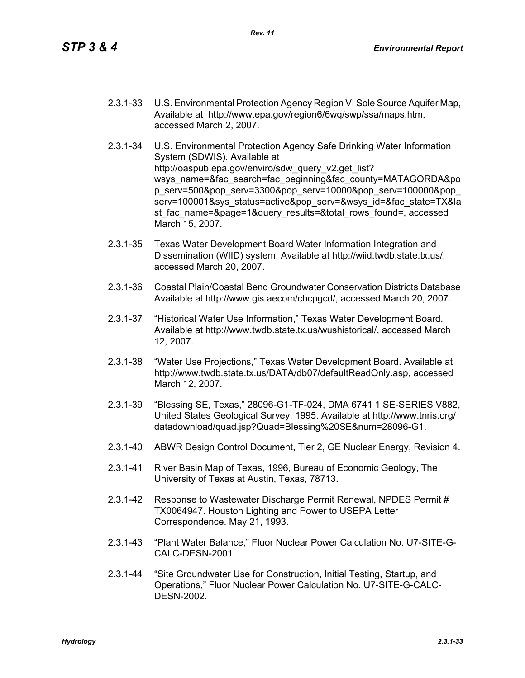- 2.3.1-33 U.S. Environmental Protection Agency Region VI Sole Source Aquifer Map, Available at http://www.epa.gov/region6/6wq/swp/ssa/maps.htm, accessed March 2, 2007.
- 2.3.1-34 U.S. Environmental Protection Agency Safe Drinking Water Information System (SDWIS). Available at http://oaspub.epa.gov/enviro/sdw\_query\_v2.get\_list? wsys\_name=&fac\_search=fac\_beginning&fac\_county=MATAGORDA&po p\_serv=500&pop\_serv=3300&pop\_serv=10000&pop\_serv=100000&pop\_ serv=100001&sys\_status=active&pop\_serv=&wsys\_id=&fac\_state=TX&la st fac\_name=&page=1&query\_results=&total\_rows\_found=, accessed March 15, 2007.
- 2.3.1-35 Texas Water Development Board Water Information Integration and Dissemination (WIID) system. Available at http://wiid.twdb.state.tx.us/, accessed March 20, 2007.
- 2.3.1-36 Coastal Plain/Coastal Bend Groundwater Conservation Districts Database Available at http://www.gis.aecom/cbcpgcd/, accessed March 20, 2007.
- 2.3.1-37 "Historical Water Use Information," Texas Water Development Board. Available at http://www.twdb.state.tx.us/wushistorical/, accessed March 12, 2007.
- 2.3.1-38 "Water Use Projections," Texas Water Development Board. Available at http://www.twdb.state.tx.us/DATA/db07/defaultReadOnly.asp, accessed March 12, 2007.
- 2.3.1-39 "Blessing SE, Texas," 28096-G1-TF-024, DMA 6741 1 SE-SERIES V882, United States Geological Survey, 1995. Available at http://www.tnris.org/ datadownload/quad.jsp?Quad=Blessing%20SE&num=28096-G1.
- 2.3.1-40 ABWR Design Control Document, Tier 2, GE Nuclear Energy, Revision 4.
- 2.3.1-41 River Basin Map of Texas, 1996, Bureau of Economic Geology, The University of Texas at Austin, Texas, 78713.
- 2.3.1-42 Response to Wastewater Discharge Permit Renewal, NPDES Permit # TX0064947. Houston Lighting and Power to USEPA Letter Correspondence. May 21, 1993.
- 2.3.1-43 "Plant Water Balance," Fluor Nuclear Power Calculation No. U7-SITE-G-CALC-DESN-2001.
- 2.3.1-44 "Site Groundwater Use for Construction, Initial Testing, Startup, and Operations," Fluor Nuclear Power Calculation No. U7-SITE-G-CALC-DESN-2002.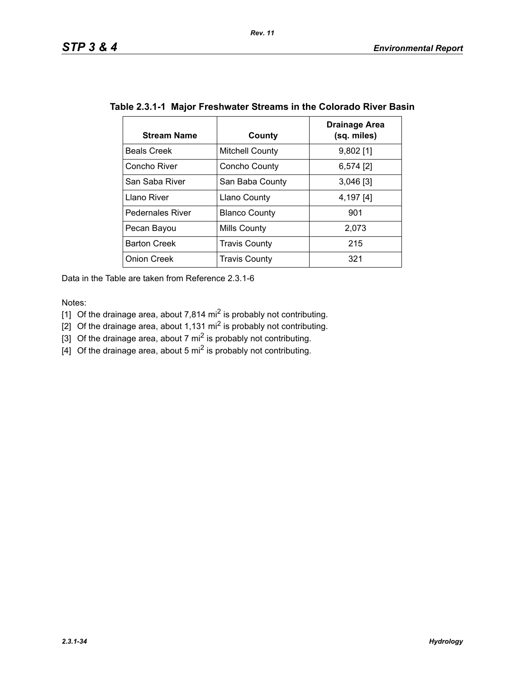| <b>Stream Name</b>      | County                 | <b>Drainage Area</b><br>(sq. miles) |
|-------------------------|------------------------|-------------------------------------|
| <b>Beals Creek</b>      | <b>Mitchell County</b> | $9,802$ [1]                         |
| Concho River            | Concho County          | $6,574$ [2]                         |
| San Saba River          | San Baba County        | $3,046$ [3]                         |
| Llano River             | Llano County           | 4,197 [4]                           |
| <b>Pedernales River</b> | <b>Blanco County</b>   | 901                                 |
| Pecan Bayou             | Mills County           | 2,073                               |
| <b>Barton Creek</b>     | <b>Travis County</b>   | 215                                 |
| <b>Onion Creek</b>      | <b>Travis County</b>   | 321                                 |

|  | Table 2.3.1-1 Major Freshwater Streams in the Colorado River Basin |  |  |  |
|--|--------------------------------------------------------------------|--|--|--|
|--|--------------------------------------------------------------------|--|--|--|

Data in the Table are taken from Reference 2.3.1-6

Notes:

[1] Of the drainage area, about 7,814 mi<sup>2</sup> is probably not contributing.

[2] Of the drainage area, about 1,131 mi<sup>2</sup> is probably not contributing.

[3] Of the drainage area, about 7 mi<sup>2</sup> is probably not contributing.

 $\left[4\right]$  Of the drainage area, about 5 mi<sup>2</sup> is probably not contributing.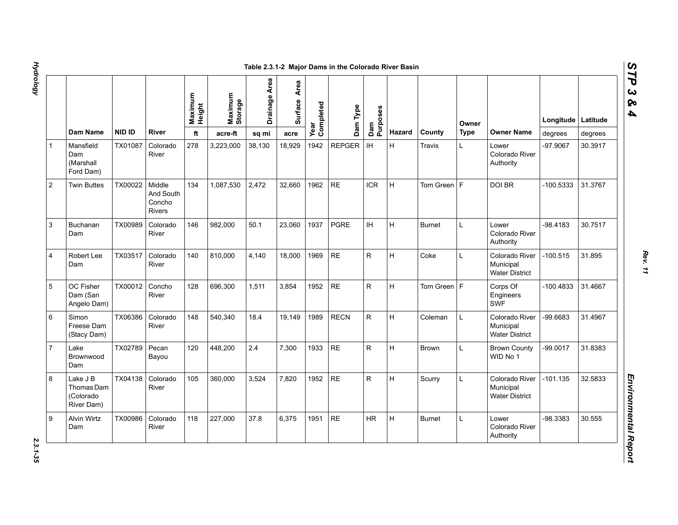1 Mansfield Dam (Marshall Ford Dam)

3 Buchanan Dam

4 Robert Lee Dam

5 OC Fisher Dam (San Angelo Dam)

> Freese Dam (Stacy Dam)

Brownwood Dam

6 Simon

7 Lake

8 Lake J B Thomas Dam (Colorado River Dam)

9 Alvin Wirtz Dam

2 | Twin Buttes | TX00022 | Middle

|                                                   |               |                                                | Maximum<br>Height | Maximum<br>Storage | Drainage Area | Area<br>Surface | Year<br>Completed | Dam Type      | Dam<br>Purposes |             |               | Owner       |                                                      | Longitude   | Latitude |
|---------------------------------------------------|---------------|------------------------------------------------|-------------------|--------------------|---------------|-----------------|-------------------|---------------|-----------------|-------------|---------------|-------------|------------------------------------------------------|-------------|----------|
| Dam Name                                          | <b>NID ID</b> | <b>River</b>                                   | ft                | acre-ft            | sq mi         | acre            |                   |               |                 | Hazard      | County        | <b>Type</b> | <b>Owner Name</b>                                    | degrees     | degrees  |
| Mansfield<br>Dam<br>(Marshall<br>Ford Dam)        | TX01087       | Colorado<br>River                              | 278               | 3,223,000          | 38,130        | 18,929          | 1942              | <b>REPGER</b> | IH              | H           | <b>Travis</b> | L.          | Lower<br>Colorado River<br>Authority                 | -97.9067    | 30.3917  |
| Twin Buttes                                       | TX00022       | Middle<br>And South<br>Concho<br><b>Rivers</b> | 134               | 1,087,530          | 2,472         | 32,660          | 1962              | $\sf RE$      | <b>ICR</b>      | $\mathsf H$ | Tom Green $F$ |             | <b>DOI BR</b>                                        | $-100.5333$ | 31.3767  |
| Buchanan<br>Dam                                   | TX00989       | Colorado<br>River                              | 146               | 982.000            | 50.1          | 23.060          | 1937              | <b>PGRE</b>   | IH.             | H           | <b>Burnet</b> | L           | Lower<br>Colorado River<br>Authority                 | -98.4183    | 30.7517  |
| Robert Lee<br>Dam                                 | TX03517       | Colorado<br>River                              | 140               | 810,000            | 4,140         | 18,000          | 1969              | <b>RE</b>     | R.              | H           | Coke          | L           | Colorado River<br>Municipal<br><b>Water District</b> | $-100.515$  | 31.895   |
| OC Fisher<br>Dam (San<br>Angelo Dam)              | TX00012       | Concho<br>River                                | 128               | 696,300            | 1,511         | 3,854           | 1952              | $\sf RE$      | R               | H           | Tom Green   F |             | Corps Of<br>Engineers<br><b>SWF</b>                  | $-100.4833$ | 31.4667  |
| Simon<br>Freese Dam<br>(Stacy Dam)                | TX06386       | Colorado<br>River                              | 148               | 540,340            | 18.4          | 19,149          | 1989              | <b>RECN</b>   | R               | H           | Coleman       |             | Colorado River<br>Municipal<br><b>Water District</b> | -99.6683    | 31.4967  |
| Lake<br>Brownwood<br>Dam                          | TX02789       | Pecan<br>Bayou                                 | 120               | 448,200            | 2.4           | 7,300           | 1933              | $\sf RE$      | R               | H           | Brown         | L.          | <b>Brown County</b><br>WID No 1                      | $-99.0017$  | 31.8383  |
| Lake J B<br>Thomas Dam<br>(Colorado<br>River Dam) | TX04138       | Colorado<br>River                              | 105               | 360,000            | 3,524         | 7,820           | 1952              | $\sf RE$      | R.              | H           | Scurry        | L           | Colorado River<br>Municipal<br><b>Water District</b> | $-101.135$  | 32.5833  |
| Alvin Wirtz<br>Dam                                | TX00986       | Colorado<br>River                              | 118               | 227,000            | 37.8          | 6,375           | 1951              | <b>RE</b>     | <b>HR</b>       | H           | <b>Burnet</b> | L           | Lower<br>Colorado River<br>Authority                 | -98.3383    | 30.555   |

*STP 3 & 4*

2.3.1-35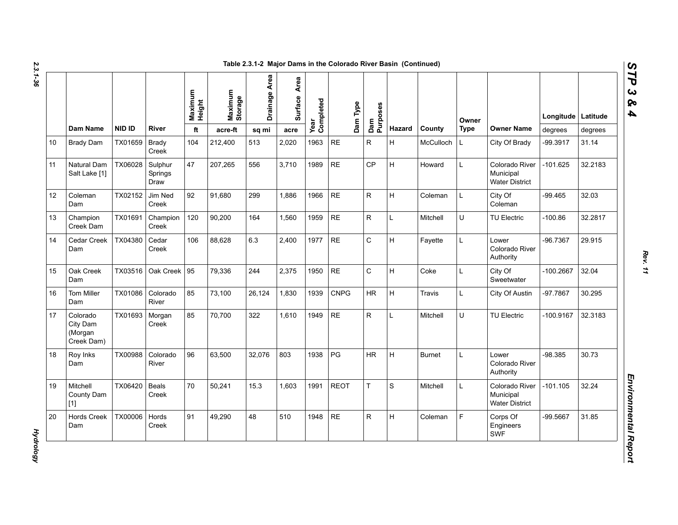|    |                                               |               |                            |     | Maximum<br>Height | Maximum<br>Storage | Drainage Area | Area<br>Surface | Year<br>Completed | Dam Type                | Purposes |               |             | Owner                                                |             | Longitude   Latitude |  |
|----|-----------------------------------------------|---------------|----------------------------|-----|-------------------|--------------------|---------------|-----------------|-------------------|-------------------------|----------|---------------|-------------|------------------------------------------------------|-------------|----------------------|--|
|    | <b>Dam Name</b>                               | <b>NID ID</b> | River                      | ft  | acre-ft           | sq mi              | acre          |                 |                   | Dam                     | Hazard   | County        | <b>Type</b> | <b>Owner Name</b>                                    | degrees     | degrees              |  |
| 10 | <b>Brady Dam</b>                              | TX01659       | <b>Brady</b><br>Creek      | 104 | 212,400           | 513                | 2,020         | 1963            | <b>RE</b>         | $\mathsf{R}$            | H        | McCulloch     | L           | City Of Brady                                        | -99.3917    | 31.14                |  |
| 11 | Natural Dam<br>Salt Lake [1]                  | TX06028       | Sulphur<br>Springs<br>Draw | 47  | 207,265           | 556                | 3,710         | 1989            | <b>RE</b>         | CP                      | H        | Howard        | L           | Colorado River<br>Municipal<br><b>Water District</b> | $-101.625$  | 32.2183              |  |
| 12 | Coleman<br>Dam                                | TX02152       | Jim Ned<br>Creek           | 92  | 91,680            | 299                | 1.886         | 1966            | <b>RE</b>         | $\overline{\mathsf{R}}$ | H        | Coleman       | L           | City Of<br>Coleman                                   | $-99.465$   | 32.03                |  |
| 13 | Champion<br>Creek Dam                         | TX01691       | Champion<br>Creek          | 120 | 90,200            | 164                | 1.560         | 1959            | <b>RE</b>         | $\mathsf{R}$            | L        | Mitchell      | U           | <b>TU Electric</b>                                   | $-100.86$   | 32.2817              |  |
| 14 | Cedar Creek<br>Dam                            | TX04380       | Cedar<br>Creek             | 106 | 88,628            | 6.3                | 2,400         | 1977            | <b>RE</b>         | $\mathsf C$             | Н        | Fayette       | L           | Lower<br>Colorado River<br>Authority                 | $-96.7367$  | 29.915               |  |
| 15 | Oak Creek<br>Dam                              | TX03516       | Oak Creek 95               |     | 79,336            | 244                | 2,375         | 1950            | <b>RE</b>         | $\mathsf{C}$            | H        | Coke          | L           | City Of<br>Sweetwater                                | $-100.2667$ | 32.04                |  |
| 16 | <b>Tom Miller</b><br>Dam                      | TX01086       | Colorado<br>River          | 85  | 73,100            | 26,124             | 1,830         | 1939            | <b>CNPG</b>       | <b>HR</b>               | H        | Travis        | L           | City Of Austin                                       | -97.7867    | 30.295               |  |
| 17 | Colorado<br>City Dam<br>(Morgan<br>Creek Dam) | TX01693       | Morgan<br>Creek            | 85  | 70.700            | 322                | 1.610         | 1949            | <b>RE</b>         | $\mathsf{R}$            | L        | Mitchell      | U           | <b>TU Electric</b>                                   | $-100.9167$ | 32.3183              |  |
| 18 | Roy Inks<br>Dam                               | TX00988       | Colorado<br>River          | 96  | 63,500            | 32,076             | 803           | 1938            | PG                | <b>HR</b>               | H        | <b>Burnet</b> | L           | Lower<br>Colorado River<br>Authority                 | $-98.385$   | 30.73                |  |
| 19 | Mitchell<br>County Dam<br>$[1]$               | TX06420       | Beals<br>Creek             | 70  | 50,241            | 15.3               | 1,603         | 1991            | <b>REOT</b>       | T                       | S        | Mitchell      | L           | Colorado River<br>Municipal<br><b>Water District</b> | $-101.105$  | 32.24                |  |
| 20 | <b>Hords Creek</b><br>Dam                     | TX00006       | Hords<br>Creek             | 91  | 49,290            | 48                 | 510           | 1948            | <b>RE</b>         | $\mathsf{R}$            | Н        | Coleman       | F           | Corps Of<br>Engineers<br>SWF                         | $-99.5667$  | 31.85                |  |

**Hydrology** *Hydrology*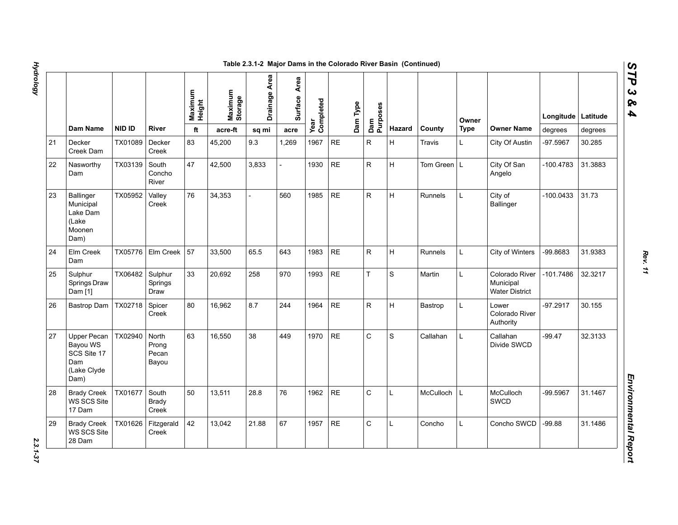|    |                                                                             |         |                                  |                   |                    | Table 2.3.1-2 Major Dams in the Colorado River Basin (Continued) |                 |                   |           |          |                 |              |                |             |                                                      |             |          |
|----|-----------------------------------------------------------------------------|---------|----------------------------------|-------------------|--------------------|------------------------------------------------------------------|-----------------|-------------------|-----------|----------|-----------------|--------------|----------------|-------------|------------------------------------------------------|-------------|----------|
|    |                                                                             |         |                                  | Maximum<br>Height | Maximum<br>Storage | Drainage Area                                                    | Area<br>Surface | Year<br>Completed |           | Dam Type | Dam<br>Purposes |              |                | Owner       |                                                      | Longitude   | Latitude |
|    | Dam Name                                                                    | NID ID  | River                            | ft                | acre-ft            | sq mi                                                            | acre            |                   |           |          |                 | Hazard       | County         | <b>Type</b> | <b>Owner Name</b>                                    | degrees     | degrees  |
| 21 | Decker<br>Creek Dam                                                         | TX01089 | Decker<br>Creek                  | 83                | 45,200             | 9.3                                                              | 1,269           | 1967              | <b>RE</b> |          | $\mathsf{R}$    | H            | Travis         | L           | City Of Austin                                       | -97.5967    | 30.285   |
| 22 | Nasworthy<br>Dam                                                            | TX03139 | South<br>Concho<br>River         | 47                | 42,500             | 3,833                                                            |                 | 1930              | <b>RE</b> |          | ${\sf R}$       | Iн.          | Tom Green L    |             | City Of San<br>Angelo                                | $-100.4783$ | 31.3883  |
| 23 | <b>Ballinger</b><br>Municipal<br>Lake Dam<br>(Lake<br>Moonen<br>Dam)        | TX05952 | Valley<br>Creek                  | 76                | 34,353             |                                                                  | 560             | 1985              | <b>RE</b> |          | ${\sf R}$       | H            | <b>Runnels</b> | L.          | City of<br><b>Ballinger</b>                          | -100.0433   | 31.73    |
| 24 | Elm Creek<br>Dam                                                            | TX05776 | Elm Creek                        | 57                | 33,500             | 65.5                                                             | 643             | 1983              | <b>RE</b> |          | ${\sf R}$       | H            | Runnels        | L           | City of Winters                                      | -99.8683    | 31.9383  |
| 25 | Sulphur<br>Springs Draw<br>Dam [1]                                          | TX06482 | Sulphur<br>Springs<br>Draw       | 33                | 20,692             | 258                                                              | 970             | 1993              | <b>RE</b> |          | $\bar{T}$       | S            | Martin         | L           | Colorado River<br>Municipal<br><b>Water District</b> | -101.7486   | 32.3217  |
| 26 | Bastrop Dam                                                                 | TX02718 | Spicer<br>Creek                  | 80                | 16,962             | 8.7                                                              | 244             | 1964              | <b>RE</b> |          | ${\sf R}$       | H            | Bastrop        | L           | Lower<br>Colorado River<br>Authority                 | $-97.2917$  | 30.155   |
| 27 | <b>Upper Pecan</b><br>Bayou WS<br>SCS Site 17<br>Dam<br>(Lake Clyde<br>Dam) | TX02940 | North<br>Prong<br>Pecan<br>Bayou | 63                | 16,550             | 38                                                               | 449             | 1970              | <b>RE</b> |          | $\mathsf{C}$    | S            | Callahan       | L.          | Callahan<br>Divide SWCD                              | $-99.47$    | 32.3133  |
| 28 | <b>Brady Creek</b><br>WS SCS Site<br>17 Dam                                 | TX01677 | South<br>Brady<br>Creek          | 50                | 13,511             | 28.8                                                             | 76              | 1962              | <b>RE</b> |          | $\mathsf{C}$    | $\mathsf{L}$ | McCulloch      | L           | McCulloch<br><b>SWCD</b>                             | -99.5967    | 31.1467  |
| 29 | <b>Brady Creek</b><br>WS SCS Site<br>28 Dam                                 | TX01626 | Fitzgerald<br>Creek              | 42                | 13,042             | 21.88                                                            | 67              | 1957              | <b>RE</b> |          | $\mathsf C$     | $\mathbf{L}$ | Concho         | L           | Concho SWCD                                          | $-99.88$    | 31.1486  |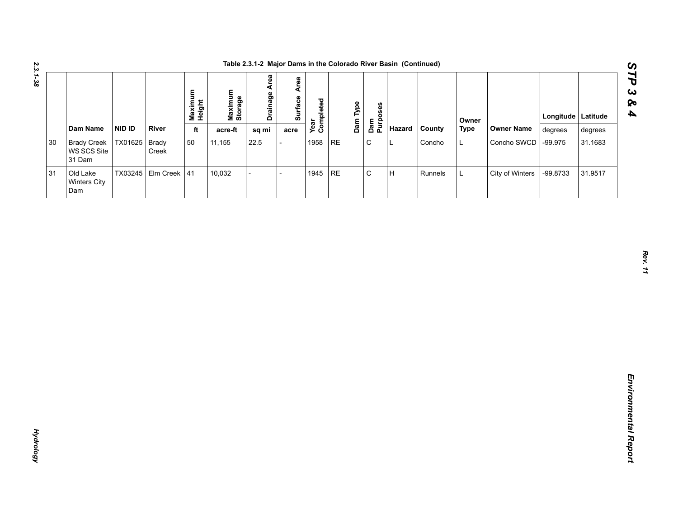| Dam Name<br><b>NID ID</b><br>River<br>Hazard<br>County<br><b>Type</b><br><b>Owner Name</b><br>ft<br>acre-ft<br>degrees<br>sq mi<br>degrees<br>acre<br>$\mathsf C$<br>TX01625 Brady<br>50<br>1958<br>$\sf RE$<br><b>Brady Creek</b><br>11,155<br>22.5<br>L<br>Concho<br>Concho SWCD<br>$-99.975$<br>31.1683<br>L<br>WS SCS Site<br>Creek<br>31 Dam<br>$\mathsf C$<br>TX03245 Elm Creek 41<br>$\sf RE$<br>$\sf H$<br>10,032<br>1945<br>City of Winters<br>-99.8733<br>31.9517<br>Old Lake<br>Runnels<br>$\overline{a}$<br>L<br>$\overline{a}$<br>Winters City<br>Dam |        |  | Maximum<br>Height | Maximum<br>Storage | <b>Drainage Area</b> | Surface Area | Year<br>Completed | Dam Type<br>Dam<br>Purposes |  | Owner | Longitude Latitude |  |
|--------------------------------------------------------------------------------------------------------------------------------------------------------------------------------------------------------------------------------------------------------------------------------------------------------------------------------------------------------------------------------------------------------------------------------------------------------------------------------------------------------------------------------------------------------------------|--------|--|-------------------|--------------------|----------------------|--------------|-------------------|-----------------------------|--|-------|--------------------|--|
|                                                                                                                                                                                                                                                                                                                                                                                                                                                                                                                                                                    |        |  |                   |                    |                      |              |                   |                             |  |       |                    |  |
|                                                                                                                                                                                                                                                                                                                                                                                                                                                                                                                                                                    | $30\,$ |  |                   |                    |                      |              |                   |                             |  |       |                    |  |
|                                                                                                                                                                                                                                                                                                                                                                                                                                                                                                                                                                    | 31     |  |                   |                    |                      |              |                   |                             |  |       |                    |  |
|                                                                                                                                                                                                                                                                                                                                                                                                                                                                                                                                                                    |        |  |                   |                    |                      |              |                   |                             |  |       |                    |  |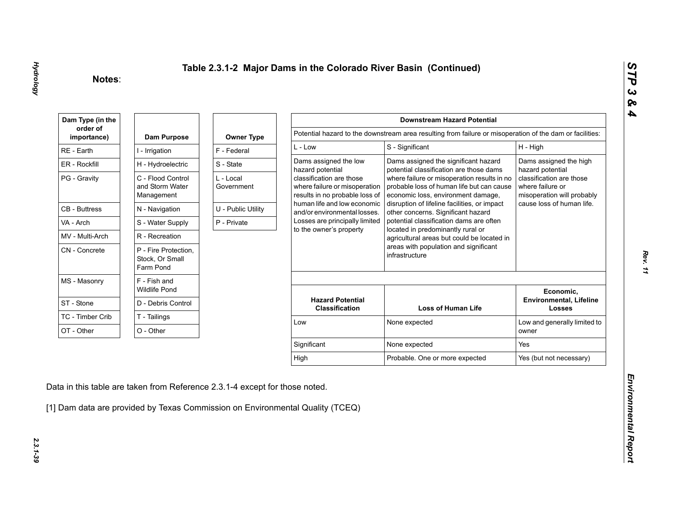| Dam Type (in the        |                                                      |                         |                                                                                             | <b>Downstream Hazard Potential</b>                                                                                             |                                                                            |
|-------------------------|------------------------------------------------------|-------------------------|---------------------------------------------------------------------------------------------|--------------------------------------------------------------------------------------------------------------------------------|----------------------------------------------------------------------------|
| order of<br>importance) | Dam Purpose                                          | <b>Owner Type</b>       |                                                                                             | Potential hazard to the downstream area resulting from failure or misoperation of the dam or facilities:                       |                                                                            |
| RE - Earth              | I - Irrigation                                       | F - Federal             | $L - Low$                                                                                   | S - Significant                                                                                                                | H - High                                                                   |
| ER - Rockfill           | H - Hydroelectric                                    | S - State               | Dams assigned the low<br>hazard potential                                                   | Dams assigned the significant hazard<br>potential classification are those dams                                                | Dams assigned the high<br>hazard potential                                 |
| PG - Gravity            | C - Flood Control<br>and Storm Water<br>Management   | L - Local<br>Government | classification are those<br>where failure or misoperation<br>results in no probable loss of | where failure or misoperation results in no<br>probable loss of human life but can cause<br>economic loss, environment damage, | classification are those<br>where failure or<br>misoperation will probably |
| <b>CB - Buttress</b>    | N - Navigation                                       | U - Public Utility      | human life and low economic<br>and/or environmental losses.                                 | disruption of lifeline facilities, or impact<br>other concerns. Significant hazard                                             | cause loss of human life.                                                  |
| VA - Arch               | S - Water Supply                                     | P - Private             | Losses are principally limited                                                              | potential classification dams are often                                                                                        |                                                                            |
| MV - Multi-Arch         | R - Recreation                                       |                         | to the owner's property                                                                     | located in predominantly rural or<br>agricultural areas but could be located in                                                |                                                                            |
| CN - Concrete           | P - Fire Protection,<br>Stock, Or Small<br>Farm Pond |                         |                                                                                             | areas with population and significant<br>infrastructure                                                                        |                                                                            |
| MS - Masonry            | F - Fish and<br><b>Wildlife Pond</b>                 |                         |                                                                                             |                                                                                                                                | Economic,                                                                  |
| ST - Stone              | D - Debris Control                                   |                         | <b>Hazard Potential</b><br><b>Classification</b>                                            | <b>Loss of Human Life</b>                                                                                                      | <b>Environmental, Lifeline</b><br><b>Losses</b>                            |
| TC - Timber Crib        | T - Tailings                                         |                         | Low                                                                                         | None expected                                                                                                                  | Low and generally limited to                                               |
| OT - Other              | O - Other                                            |                         |                                                                                             |                                                                                                                                | owner                                                                      |
|                         |                                                      |                         | Significant                                                                                 | None expected                                                                                                                  | Yes                                                                        |
|                         |                                                      |                         |                                                                                             |                                                                                                                                | Yes (but not necessary)                                                    |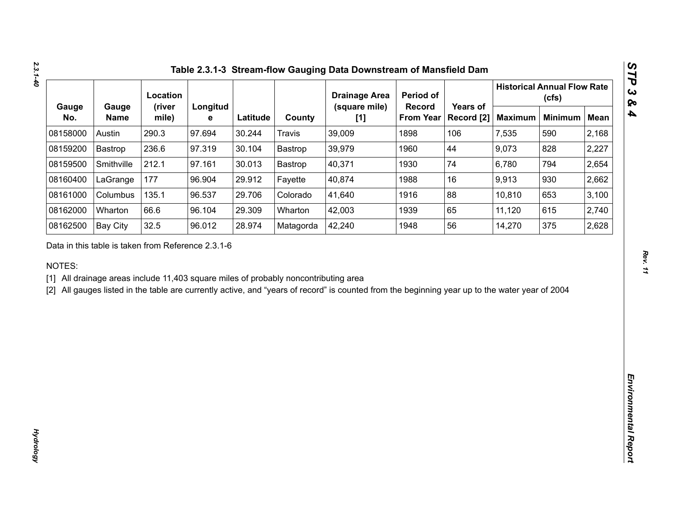|              |                      | Location                                           |               |          |                                                                                     | <b>Drainage Area</b>                                                                                                                           | Period of                  |                        |                | <b>Historical Annual Flow Rate</b><br>(cfs) |             |
|--------------|----------------------|----------------------------------------------------|---------------|----------|-------------------------------------------------------------------------------------|------------------------------------------------------------------------------------------------------------------------------------------------|----------------------------|------------------------|----------------|---------------------------------------------|-------------|
| Gauge<br>No. | Gauge<br><b>Name</b> | (river<br>mile)                                    | Longitud<br>е | Latitude | County                                                                              | (square mile)<br>[1]                                                                                                                           | Record<br><b>From Year</b> | Years of<br>Record [2] | <b>Maximum</b> | <b>Minimum</b>                              | <b>Mean</b> |
| 08158000     | Austin               | 290.3                                              | 97.694        | 30.244   | <b>Travis</b>                                                                       | 39,009                                                                                                                                         | 1898                       | 106                    | 7,535          | 590                                         | 2,168       |
| 08159200     | Bastrop              | 236.6                                              | 97.319        | 30.104   | Bastrop                                                                             | 39,979                                                                                                                                         | 1960                       | 44                     | 9,073          | 828                                         | 2,227       |
| 08159500     | Smithville           | 212.1                                              | 97.161        | 30.013   | Bastrop                                                                             | 40,371                                                                                                                                         | 1930                       | 74                     | 6,780          | 794                                         | 2,654       |
| 08160400     | LaGrange             | 177                                                | 96.904        | 29.912   | Fayette                                                                             | 40,874                                                                                                                                         | 1988                       | 16                     | 9,913          | 930                                         | 2,662       |
| 08161000     | Columbus             | 135.1                                              | 96.537        | 29.706   | Colorado                                                                            | 41,640                                                                                                                                         | 1916                       | 88                     | 10,810         | 653                                         | 3,100       |
| 08162000     | Wharton              | 66.6                                               | 96.104        | 29.309   | Wharton                                                                             | 42,003                                                                                                                                         | 1939                       | 65                     | 11,120         | 615                                         | 2,740       |
| 08162500     | <b>Bay City</b>      | 32.5                                               | 96.012        | 28.974   | Matagorda                                                                           | 42,240                                                                                                                                         | 1948                       | 56                     | 14,270         | 375                                         | 2,628       |
| NOTES:       |                      | Data in this table is taken from Reference 2.3.1-6 |               |          | [1] All drainage areas include 11,403 square miles of probably noncontributing area | [2] All gauges listed in the table are currently active, and "years of record" is counted from the beginning year up to the water year of 2004 |                            |                        |                |                                             |             |
|              |                      |                                                    |               |          |                                                                                     |                                                                                                                                                |                            |                        |                |                                             |             |
|              |                      |                                                    |               |          |                                                                                     |                                                                                                                                                |                            |                        |                |                                             |             |
|              |                      |                                                    |               |          |                                                                                     |                                                                                                                                                |                            |                        |                |                                             |             |
|              |                      |                                                    |               |          |                                                                                     |                                                                                                                                                |                            |                        |                |                                             |             |
|              |                      |                                                    |               |          |                                                                                     |                                                                                                                                                |                            |                        |                |                                             |             |
|              |                      |                                                    |               |          |                                                                                     |                                                                                                                                                |                            |                        |                |                                             |             |
|              |                      |                                                    |               |          |                                                                                     |                                                                                                                                                |                            |                        |                |                                             |             |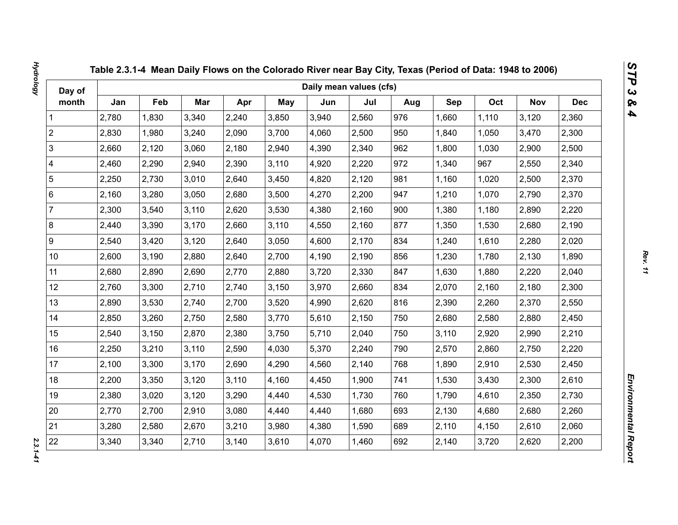| Day of                  |       |       |       |       |            | Daily mean values (cfs) |       |     |       |       |            |            |
|-------------------------|-------|-------|-------|-------|------------|-------------------------|-------|-----|-------|-------|------------|------------|
| month                   | Jan   | Feb   | Mar   | Apr   | <b>May</b> | Jun                     | Jul   | Aug | Sep   | Oct   | <b>Nov</b> | <b>Dec</b> |
| 1                       | 2,780 | 1,830 | 3,340 | 2,240 | 3,850      | 3,940                   | 2,560 | 976 | 1,660 | 1,110 | 3,120      | 2,360      |
| $\overline{2}$          | 2,830 | 1,980 | 3,240 | 2,090 | 3,700      | 4,060                   | 2,500 | 950 | 1,840 | 1,050 | 3,470      | 2,300      |
| 3                       | 2,660 | 2,120 | 3,060 | 2,180 | 2,940      | 4,390                   | 2,340 | 962 | 1,800 | 1,030 | 2,900      | 2,500      |
| $\overline{\mathbf{4}}$ | 2,460 | 2,290 | 2,940 | 2,390 | 3,110      | 4,920                   | 2,220 | 972 | 1,340 | 967   | 2,550      | 2,340      |
| $\sqrt{5}$              | 2,250 | 2,730 | 3,010 | 2,640 | 3,450      | 4,820                   | 2,120 | 981 | 1,160 | 1,020 | 2,500      | 2,370      |
| $\,6\,$                 | 2,160 | 3,280 | 3,050 | 2,680 | 3,500      | 4,270                   | 2,200 | 947 | 1,210 | 1,070 | 2,790      | 2,370      |
| $\overline{7}$          | 2,300 | 3,540 | 3,110 | 2,620 | 3,530      | 4,380                   | 2,160 | 900 | 1,380 | 1,180 | 2,890      | 2,220      |
| $\bf 8$                 | 2,440 | 3,390 | 3,170 | 2,660 | 3,110      | 4,550                   | 2,160 | 877 | 1,350 | 1,530 | 2,680      | 2,190      |
| $\boldsymbol{9}$        | 2,540 | 3,420 | 3,120 | 2,640 | 3,050      | 4,600                   | 2,170 | 834 | 1,240 | 1,610 | 2,280      | 2,020      |
| 10 <sup>1</sup>         | 2,600 | 3,190 | 2,880 | 2,640 | 2,700      | 4,190                   | 2,190 | 856 | 1,230 | 1,780 | 2,130      | 1,890      |
| 11                      | 2,680 | 2,890 | 2,690 | 2,770 | 2,880      | 3,720                   | 2,330 | 847 | 1,630 | 1,880 | 2,220      | 2,040      |
| 12                      | 2,760 | 3,300 | 2,710 | 2,740 | 3,150      | 3,970                   | 2,660 | 834 | 2,070 | 2,160 | 2,180      | 2,300      |
| 13                      | 2,890 | 3,530 | 2,740 | 2,700 | 3,520      | 4,990                   | 2,620 | 816 | 2,390 | 2,260 | 2,370      | 2,550      |
| 14                      | 2,850 | 3,260 | 2,750 | 2,580 | 3,770      | 5,610                   | 2,150 | 750 | 2,680 | 2,580 | 2,880      | 2,450      |
| 15                      | 2,540 | 3,150 | 2,870 | 2,380 | 3,750      | 5,710                   | 2,040 | 750 | 3,110 | 2,920 | 2,990      | 2,210      |
| 16                      | 2,250 | 3,210 | 3,110 | 2,590 | 4,030      | 5,370                   | 2,240 | 790 | 2,570 | 2,860 | 2,750      | 2,220      |
| 17                      | 2,100 | 3,300 | 3,170 | 2,690 | 4,290      | 4,560                   | 2,140 | 768 | 1,890 | 2,910 | 2,530      | 2,450      |
| 18                      | 2,200 | 3,350 | 3,120 | 3,110 | 4,160      | 4,450                   | 1,900 | 741 | 1,530 | 3,430 | 2,300      | 2,610      |
| 19                      | 2,380 | 3,020 | 3,120 | 3,290 | 4,440      | 4,530                   | 1,730 | 760 | 1,790 | 4,610 | 2,350      | 2,730      |
| 20                      | 2,770 | 2,700 | 2,910 | 3,080 | 4,440      | 4,440                   | 1,680 | 693 | 2,130 | 4,680 | 2,680      | 2,260      |
| 21                      | 3,280 | 2,580 | 2,670 | 3,210 | 3,980      | 4,380                   | 1,590 | 689 | 2,110 | 4,150 | 2,610      | 2,060      |
| 22                      | 3,340 | 3,340 | 2,710 | 3,140 | 3,610      | 4,070                   | 1,460 | 692 | 2,140 | 3,720 | 2,620      | 2,200      |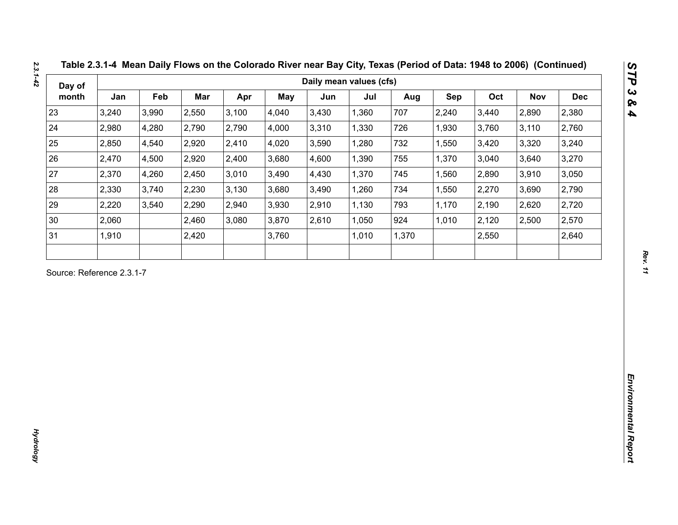| Day of                    |       |       |       |       |       | Daily mean values (cfs) |       |       |            |       |       |            |
|---------------------------|-------|-------|-------|-------|-------|-------------------------|-------|-------|------------|-------|-------|------------|
| month                     | Jan   | Feb   | Mar   | Apr   | May   | Jun                     | Jul   | Aug   | <b>Sep</b> | Oct   | Nov   | <b>Dec</b> |
| 23                        | 3,240 | 3,990 | 2,550 | 3,100 | 4,040 | 3,430                   | 1,360 | 707   | 2,240      | 3,440 | 2,890 | 2,380      |
| 24                        | 2,980 | 4,280 | 2,790 | 2,790 | 4,000 | 3,310                   | 1,330 | 726   | 1,930      | 3,760 | 3,110 | 2,760      |
| 25                        | 2,850 | 4,540 | 2,920 | 2,410 | 4,020 | 3,590                   | 1,280 | 732   | 1,550      | 3,420 | 3,320 | 3,240      |
| 26                        | 2,470 | 4,500 | 2,920 | 2,400 | 3,680 | 4,600                   | 1,390 | 755   | 1,370      | 3,040 | 3,640 | 3,270      |
| 27                        | 2,370 | 4,260 | 2,450 | 3,010 | 3,490 | 4,430                   | 1,370 | 745   | 1,560      | 2,890 | 3,910 | 3,050      |
| 28                        | 2,330 | 3,740 | 2,230 | 3,130 | 3,680 | 3,490                   | 1,260 | 734   | 1,550      | 2,270 | 3,690 | 2,790      |
| 29                        | 2,220 | 3,540 | 2,290 | 2,940 | 3,930 | 2,910                   | 1,130 | 793   | 1,170      | 2,190 | 2,620 | 2,720      |
| 30                        | 2,060 |       | 2,460 | 3,080 | 3,870 | 2,610                   | 1,050 | 924   | 1,010      | 2,120 | 2,500 | 2,570      |
| 31                        | 1,910 |       | 2,420 |       | 3,760 |                         | 1,010 | 1,370 |            | 2,550 |       | 2,640      |
| Source: Reference 2.3.1-7 |       |       |       |       |       |                         |       |       |            |       |       |            |
|                           |       |       |       |       |       |                         |       |       |            |       |       |            |

*Hydrology* 

**Hydrology**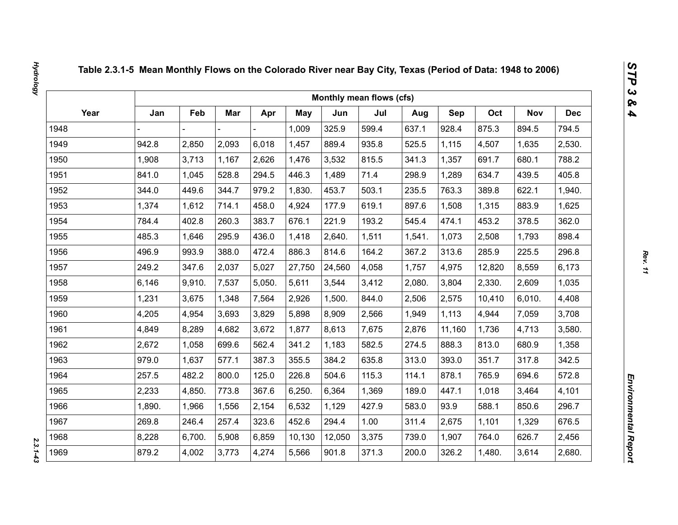|      |        |        |       |        |            |        | Monthly mean flows (cfs) |        |            |        |            |            |
|------|--------|--------|-------|--------|------------|--------|--------------------------|--------|------------|--------|------------|------------|
| Year | Jan    | Feb    | Mar   | Apr    | <b>May</b> | Jun    | Jul                      | Aug    | <b>Sep</b> | Oct    | <b>Nov</b> | <b>Dec</b> |
| 1948 |        |        |       |        | 1,009      | 325.9  | 599.4                    | 637.1  | 928.4      | 875.3  | 894.5      | 794.5      |
| 1949 | 942.8  | 2,850  | 2,093 | 6,018  | 1,457      | 889.4  | 935.8                    | 525.5  | 1,115      | 4,507  | 1,635      | 2,530.     |
| 1950 | 1,908  | 3,713  | 1,167 | 2,626  | 1,476      | 3,532  | 815.5                    | 341.3  | 1,357      | 691.7  | 680.1      | 788.2      |
| 1951 | 841.0  | 1,045  | 528.8 | 294.5  | 446.3      | 1,489  | 71.4                     | 298.9  | 1,289      | 634.7  | 439.5      | 405.8      |
| 1952 | 344.0  | 449.6  | 344.7 | 979.2  | 1,830.     | 453.7  | 503.1                    | 235.5  | 763.3      | 389.8  | 622.1      | 1,940.     |
| 1953 | 1,374  | 1,612  | 714.1 | 458.0  | 4,924      | 177.9  | 619.1                    | 897.6  | 1,508      | 1,315  | 883.9      | 1,625      |
| 1954 | 784.4  | 402.8  | 260.3 | 383.7  | 676.1      | 221.9  | 193.2                    | 545.4  | 474.1      | 453.2  | 378.5      | 362.0      |
| 1955 | 485.3  | 1,646  | 295.9 | 436.0  | 1,418      | 2,640. | 1,511                    | 1,541. | 1,073      | 2,508  | 1,793      | 898.4      |
| 1956 | 496.9  | 993.9  | 388.0 | 472.4  | 886.3      | 814.6  | 164.2                    | 367.2  | 313.6      | 285.9  | 225.5      | 296.8      |
| 1957 | 249.2  | 347.6  | 2,037 | 5,027  | 27,750     | 24,560 | 4,058                    | 1,757  | 4,975      | 12,820 | 8,559      | 6,173      |
| 1958 | 6,146  | 9,910. | 7,537 | 5,050. | 5,611      | 3,544  | 3,412                    | 2,080. | 3,804      | 2,330. | 2,609      | 1,035      |
| 1959 | 1,231  | 3,675  | 1,348 | 7,564  | 2,926      | 1,500. | 844.0                    | 2,506  | 2,575      | 10,410 | 6,010.     | 4,408      |
| 1960 | 4,205  | 4,954  | 3,693 | 3,829  | 5,898      | 8,909  | 2,566                    | 1,949  | 1,113      | 4,944  | 7,059      | 3,708      |
| 1961 | 4,849  | 8,289  | 4,682 | 3,672  | 1,877      | 8,613  | 7,675                    | 2,876  | 11,160     | 1,736  | 4,713      | 3,580.     |
| 1962 | 2,672  | 1,058  | 699.6 | 562.4  | 341.2      | 1,183  | 582.5                    | 274.5  | 888.3      | 813.0  | 680.9      | 1,358      |
| 1963 | 979.0  | 1,637  | 577.1 | 387.3  | 355.5      | 384.2  | 635.8                    | 313.0  | 393.0      | 351.7  | 317.8      | 342.5      |
| 1964 | 257.5  | 482.2  | 800.0 | 125.0  | 226.8      | 504.6  | 115.3                    | 114.1  | 878.1      | 765.9  | 694.6      | 572.8      |
| 1965 | 2,233  | 4,850. | 773.8 | 367.6  | 6,250.     | 6,364  | 1,369                    | 189.0  | 447.1      | 1,018  | 3,464      | 4,101      |
| 1966 | 1,890. | 1,966  | 1,556 | 2,154  | 6,532      | 1,129  | 427.9                    | 583.0  | 93.9       | 588.1  | 850.6      | 296.7      |
| 1967 | 269.8  | 246.4  | 257.4 | 323.6  | 452.6      | 294.4  | 1.00                     | 311.4  | 2,675      | 1,101  | 1,329      | 676.5      |
| 1968 | 8,228  | 6,700. | 5,908 | 6,859  | 10,130     | 12,050 | 3,375                    | 739.0  | 1,907      | 764.0  | 626.7      | 2,456      |
| 1969 | 879.2  | 4,002  | 3,773 | 4,274  | 5,566      | 901.8  | 371.3                    | 200.0  | 326.2      | 1,480. | 3,614      | 2,680.     |

 $2.3.1 - 4.3$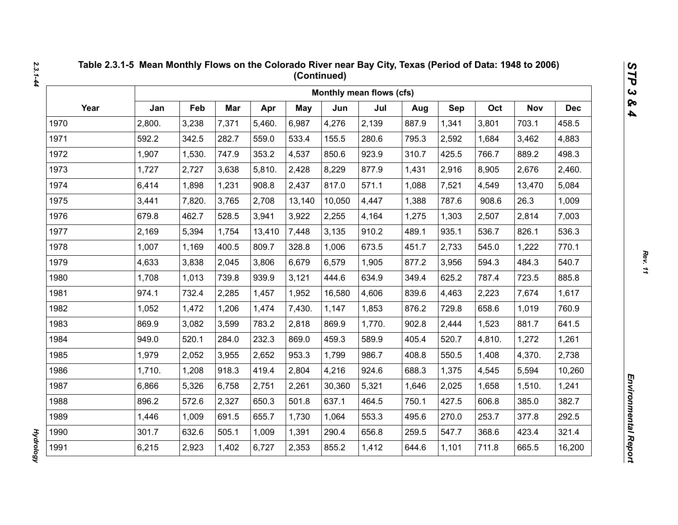|      |        |        |       |        |            |        | Monthly mean flows (cfs) |       |       |        |            |            |
|------|--------|--------|-------|--------|------------|--------|--------------------------|-------|-------|--------|------------|------------|
| Year | Jan    | Feb    | Mar   | Apr    | <b>May</b> | Jun    | Jul                      | Aug   | Sep   | Oct    | <b>Nov</b> | <b>Dec</b> |
| 1970 | 2,800. | 3,238  | 7,371 | 5,460. | 6,987      | 4,276  | 2,139                    | 887.9 | 1,341 | 3,801  | 703.1      | 458.5      |
| 1971 | 592.2  | 342.5  | 282.7 | 559.0  | 533.4      | 155.5  | 280.6                    | 795.3 | 2,592 | 1,684  | 3,462      | 4,883      |
| 1972 | 1,907  | 1,530. | 747.9 | 353.2  | 4,537      | 850.6  | 923.9                    | 310.7 | 425.5 | 766.7  | 889.2      | 498.3      |
| 1973 | 1,727  | 2,727  | 3,638 | 5,810. | 2,428      | 8,229  | 877.9                    | 1,431 | 2,916 | 8,905  | 2,676      | 2,460.     |
| 1974 | 6,414  | 1,898  | 1,231 | 908.8  | 2,437      | 817.0  | 571.1                    | 1,088 | 7,521 | 4,549  | 13,470     | 5,084      |
| 1975 | 3,441  | 7,820. | 3,765 | 2,708  | 13,140     | 10,050 | 4,447                    | 1,388 | 787.6 | 908.6  | 26.3       | 1,009      |
| 1976 | 679.8  | 462.7  | 528.5 | 3,941  | 3,922      | 2,255  | 4,164                    | 1,275 | 1,303 | 2,507  | 2,814      | 7,003      |
| 1977 | 2,169  | 5,394  | 1,754 | 13,410 | 7,448      | 3,135  | 910.2                    | 489.1 | 935.1 | 536.7  | 826.1      | 536.3      |
| 1978 | 1,007  | 1,169  | 400.5 | 809.7  | 328.8      | 1,006  | 673.5                    | 451.7 | 2,733 | 545.0  | 1,222      | 770.1      |
| 1979 | 4,633  | 3,838  | 2,045 | 3,806  | 6,679      | 6,579  | 1,905                    | 877.2 | 3,956 | 594.3  | 484.3      | 540.7      |
| 1980 | 1,708  | 1,013  | 739.8 | 939.9  | 3,121      | 444.6  | 634.9                    | 349.4 | 625.2 | 787.4  | 723.5      | 885.8      |
| 1981 | 974.1  | 732.4  | 2,285 | 1,457  | 1,952      | 16,580 | 4,606                    | 839.6 | 4,463 | 2,223  | 7,674      | 1,617      |
| 1982 | 1,052  | 1,472  | 1,206 | 1,474  | 7,430.     | 1,147  | 1,853                    | 876.2 | 729.8 | 658.6  | 1,019      | 760.9      |
| 1983 | 869.9  | 3,082  | 3,599 | 783.2  | 2,818      | 869.9  | 1,770.                   | 902.8 | 2,444 | 1,523  | 881.7      | 641.5      |
| 1984 | 949.0  | 520.1  | 284.0 | 232.3  | 869.0      | 459.3  | 589.9                    | 405.4 | 520.7 | 4,810. | 1,272      | 1,261      |
| 1985 | 1,979  | 2,052  | 3,955 | 2,652  | 953.3      | 1,799  | 986.7                    | 408.8 | 550.5 | 1,408  | 4,370.     | 2,738      |
| 1986 | 1,710. | 1,208  | 918.3 | 419.4  | 2,804      | 4,216  | 924.6                    | 688.3 | 1,375 | 4,545  | 5,594      | 10,260     |
| 1987 | 6,866  | 5,326  | 6,758 | 2,751  | 2,261      | 30,360 | 5,321                    | 1,646 | 2,025 | 1,658  | 1,510.     | 1,241      |
| 1988 | 896.2  | 572.6  | 2,327 | 650.3  | 501.8      | 637.1  | 464.5                    | 750.1 | 427.5 | 606.8  | 385.0      | 382.7      |
| 1989 | 1,446  | 1,009  | 691.5 | 655.7  | 1,730      | 1,064  | 553.3                    | 495.6 | 270.0 | 253.7  | 377.8      | 292.5      |
| 1990 | 301.7  | 632.6  | 505.1 | 1,009  | 1,391      | 290.4  | 656.8                    | 259.5 | 547.7 | 368.6  | 423.4      | 321.4      |
| 1991 | 6,215  | 2,923  | 1,402 | 6,727  | 2,353      | 855.2  | 1,412                    | 644.6 | 1,101 | 711.8  | 665.5      | 16,200     |

**Hydrology** *Hydrology*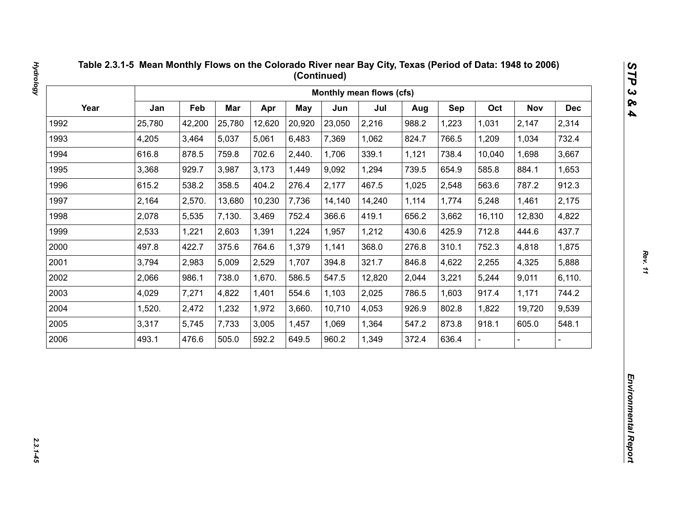|      |        |        |        |        |        |        | Monthly mean flows (cfs) |       |       |        |            |            |
|------|--------|--------|--------|--------|--------|--------|--------------------------|-------|-------|--------|------------|------------|
| Year | Jan    | Feb    | Mar    | Apr    | May    | Jun    | Jul                      | Aug   | Sep   | Oct    | <b>Nov</b> | <b>Dec</b> |
| 1992 | 25,780 | 42,200 | 25,780 | 12,620 | 20,920 | 23,050 | 2,216                    | 988.2 | 1,223 | 1,031  | 2,147      | 2,314      |
| 1993 | 4,205  | 3,464  | 5,037  | 5,061  | 6,483  | 7,369  | 1,062                    | 824.7 | 766.5 | 1,209  | 1,034      | 732.4      |
| 1994 | 616.8  | 878.5  | 759.8  | 702.6  | 2,440. | 1,706  | 339.1                    | 1,121 | 738.4 | 10,040 | 1,698      | 3,667      |
| 1995 | 3,368  | 929.7  | 3,987  | 3,173  | 1,449  | 9,092  | 1,294                    | 739.5 | 654.9 | 585.8  | 884.1      | 1,653      |
| 1996 | 615.2  | 538.2  | 358.5  | 404.2  | 276.4  | 2,177  | 467.5                    | 1,025 | 2,548 | 563.6  | 787.2      | 912.3      |
| 1997 | 2,164  | 2,570. | 13,680 | 10,230 | 7,736  | 14,140 | 14,240                   | 1,114 | 1,774 | 5,248  | 1,461      | 2,175      |
| 1998 | 2,078  | 5,535  | 7,130. | 3,469  | 752.4  | 366.6  | 419.1                    | 656.2 | 3,662 | 16,110 | 12,830     | 4,822      |
| 1999 | 2,533  | 1,221  | 2,603  | 1,391  | 1,224  | 1,957  | 1,212                    | 430.6 | 425.9 | 712.8  | 444.6      | 437.7      |
| 2000 | 497.8  | 422.7  | 375.6  | 764.6  | 1,379  | 1,141  | 368.0                    | 276.8 | 310.1 | 752.3  | 4,818      | 1,875      |
| 2001 | 3,794  | 2,983  | 5,009  | 2,529  | 1,707  | 394.8  | 321.7                    | 846.8 | 4,622 | 2,255  | 4,325      | 5,888      |
| 2002 | 2,066  | 986.1  | 738.0  | 1,670. | 586.5  | 547.5  | 12,820                   | 2,044 | 3,221 | 5,244  | 9,011      | 6,110.     |
| 2003 | 4,029  | 7,271  | 4,822  | 1,401  | 554.6  | 1,103  | 2,025                    | 786.5 | 1,603 | 917.4  | 1,171      | 744.2      |
| 2004 | 1,520. | 2,472  | 1,232  | 1,972  | 3,660. | 10,710 | 4,053                    | 926.9 | 802.8 | 1,822  | 19,720     | 9,539      |
| 2005 | 3,317  | 5,745  | 7,733  | 3,005  | 1,457  | 1,069  | 1,364                    | 547.2 | 873.8 | 918.1  | 605.0      | 548.1      |
| 2006 | 493.1  | 476.6  | 505.0  | 592.2  | 649.5  | 960.2  | 1,349                    | 372.4 | 636.4 |        |            |            |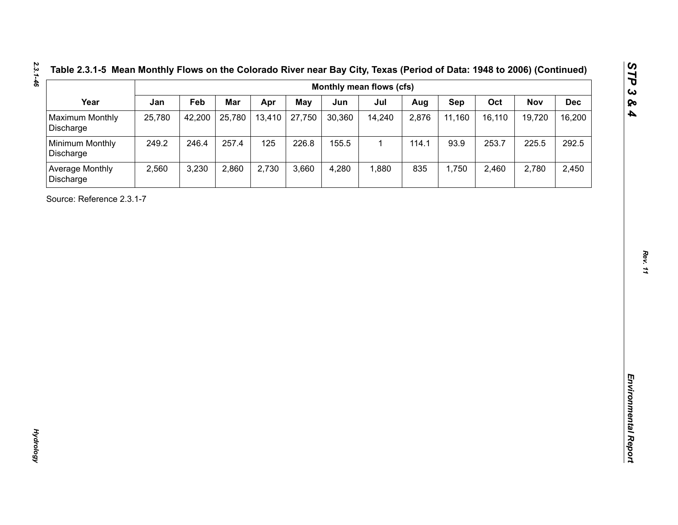| Year<br>Maximum Monthly<br>Discharge<br>Minimum Monthly<br>Discharge<br>Average Monthly<br>Discharge<br>Source: Reference 2.3.1-7 | Jan<br>25,780<br>249.2<br>2,560 | Feb<br>42,200<br>246.4<br>3,230 | Mar<br>25,780<br>257.4<br>2,860 | Apr<br>13,410<br>125<br>2,730 | <b>May</b><br>27,750<br>226.8<br>3,660 | Jun<br>30,360<br>155.5<br>4,280 | Jul<br>14,240<br>$\mathbf{1}$<br>1,880 | Aug<br>2,876<br>114.1<br>835 | Sep<br>11,160<br>93.9<br>1,750 | Oct<br>16,110<br>253.7<br>2,460 | <b>Nov</b><br>19,720<br>225.5<br>2,780 | <b>Dec</b><br>16,200<br>292.5<br>2,450 |
|-----------------------------------------------------------------------------------------------------------------------------------|---------------------------------|---------------------------------|---------------------------------|-------------------------------|----------------------------------------|---------------------------------|----------------------------------------|------------------------------|--------------------------------|---------------------------------|----------------------------------------|----------------------------------------|
|                                                                                                                                   |                                 |                                 |                                 |                               |                                        |                                 |                                        |                              |                                |                                 |                                        |                                        |
|                                                                                                                                   |                                 |                                 |                                 |                               |                                        |                                 |                                        |                              |                                |                                 |                                        |                                        |
|                                                                                                                                   |                                 |                                 |                                 |                               |                                        |                                 |                                        |                              |                                |                                 |                                        |                                        |
|                                                                                                                                   |                                 |                                 |                                 |                               |                                        |                                 |                                        |                              |                                |                                 |                                        |                                        |
|                                                                                                                                   |                                 |                                 |                                 |                               |                                        |                                 |                                        |                              |                                |                                 |                                        |                                        |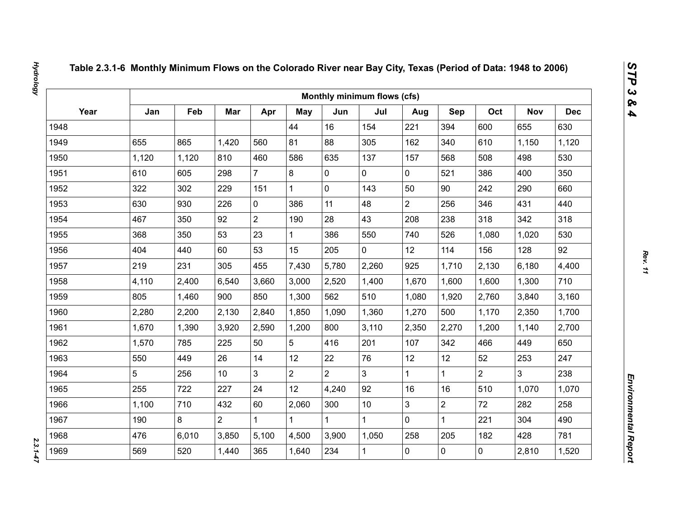|      |       |       |                 |                |                |                | Monthly minimum flows (cfs) |                |                |                |                |            |
|------|-------|-------|-----------------|----------------|----------------|----------------|-----------------------------|----------------|----------------|----------------|----------------|------------|
| Year | Jan   | Feb   | Mar             | Apr            | May            | Jun            | Jul                         | Aug            | Sep            | Oct            | <b>Nov</b>     | <b>Dec</b> |
| 1948 |       |       |                 |                | 44             | 16             | 154                         | 221            | 394            | 600            | 655            | 630        |
| 1949 | 655   | 865   | 1,420           | 560            | 81             | 88             | 305                         | 162            | 340            | 610            | 1,150          | 1,120      |
| 1950 | 1,120 | 1,120 | 810             | 460            | 586            | 635            | 137                         | 157            | 568            | 508            | 498            | 530        |
| 1951 | 610   | 605   | 298             | $\overline{7}$ | 8              | $\mathbf 0$    | 0                           | $\mathbf 0$    | 521            | 386            | 400            | 350        |
| 1952 | 322   | 302   | 229             | 151            | $\mathbf{1}$   | $\mathbf 0$    | 143                         | 50             | 90             | 242            | 290            | 660        |
| 1953 | 630   | 930   | 226             | $\mathbf 0$    | 386            | 11             | 48                          | $\overline{2}$ | 256            | 346            | 431            | 440        |
| 1954 | 467   | 350   | 92              | $\overline{2}$ | 190            | 28             | 43                          | 208            | 238            | 318            | 342            | 318        |
| 1955 | 368   | 350   | 53              | 23             | $\mathbf{1}$   | 386            | 550                         | 740            | 526            | 1,080          | 1,020          | 530        |
| 1956 | 404   | 440   | 60              | 53             | 15             | 205            | $\overline{0}$              | 12             | 114            | 156            | 128            | 92         |
| 1957 | 219   | 231   | 305             | 455            | 7,430          | 5,780          | 2,260                       | 925            | 1,710          | 2,130          | 6,180          | 4,400      |
| 1958 | 4,110 | 2,400 | 6,540           | 3,660          | 3,000          | 2,520          | 1,400                       | 1,670          | 1,600          | 1,600          | 1,300          | 710        |
| 1959 | 805   | 1,460 | 900             | 850            | 1,300          | 562            | 510                         | 1,080          | 1,920          | 2,760          | 3,840          | 3,160      |
| 1960 | 2,280 | 2,200 | 2,130           | 2,840          | 1,850          | 1,090          | 1,360                       | 1,270          | 500            | 1,170          | 2,350          | 1,700      |
| 1961 | 1,670 | 1,390 | 3,920           | 2,590          | 1,200          | 800            | 3,110                       | 2,350          | 2,270          | 1,200          | 1,140          | 2,700      |
| 1962 | 1,570 | 785   | 225             | 50             | 5              | 416            | 201                         | 107            | 342            | 466            | 449            | 650        |
| 1963 | 550   | 449   | 26              | 14             | 12             | 22             | 76                          | 12             | 12             | 52             | 253            | 247        |
| 1964 | 5     | 256   | 10 <sup>°</sup> | $\overline{3}$ | $\overline{2}$ | $\overline{2}$ | $\overline{3}$              | $\mathbf{1}$   | $\mathbf{1}$   | $\overline{2}$ | $\overline{3}$ | 238        |
| 1965 | 255   | 722   | 227             | 24             | 12             | 4,240          | 92                          | 16             | 16             | 510            | 1,070          | 1,070      |
| 1966 | 1,100 | 710   | 432             | 60             | 2,060          | 300            | 10                          | 3              | $\overline{2}$ | 72             | 282            | 258        |
| 1967 | 190   | 8     | $\overline{2}$  | $\mathbf 1$    | $\mathbf{1}$   |                | $\mathbf{1}$                | $\mathbf 0$    | $\mathbf{1}$   | 221            | 304            | 490        |
| 1968 | 476   | 6,010 | 3,850           | 5,100          | 4,500          | 3,900          | 1,050                       | 258            | 205            | 182            | 428            | 781        |
| 1969 | 569   | 520   | 1,440           | 365            | 1,640          | 234            | $\mathbf{1}$                | 0              | $\mathbf 0$    | $\mathbf 0$    | 2,810          | 1,520      |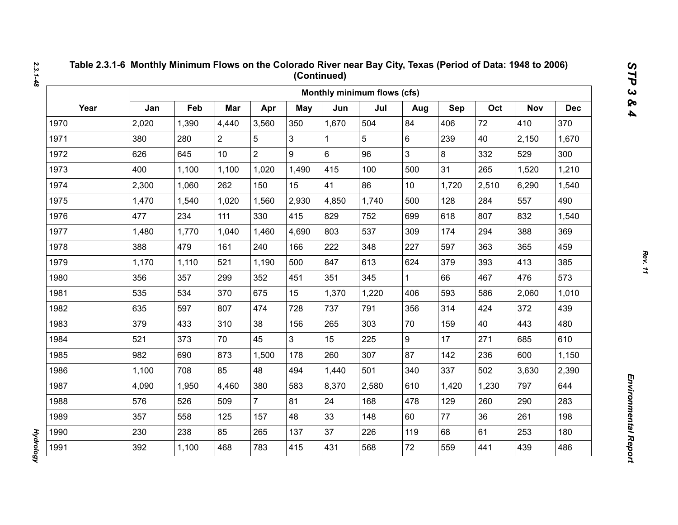|      |       |       |                |                |                |       | Monthly minimum flows (cfs) |                 |       |       |            |            |
|------|-------|-------|----------------|----------------|----------------|-------|-----------------------------|-----------------|-------|-------|------------|------------|
| Year | Jan   | Feb   | Mar            | Apr            | May            | Jun   | Jul                         | Aug             | Sep   | Oct   | <b>Nov</b> | <b>Dec</b> |
| 1970 | 2,020 | 1,390 | 4,440          | 3,560          | 350            | 1,670 | 504                         | 84              | 406   | 72    | 410        | 370        |
| 1971 | 380   | 280   | $\overline{2}$ | 5              | 3              | 1     | 5                           | 6               | 239   | 40    | 2,150      | 1,670      |
| 1972 | 626   | 645   | 10             | $\overline{2}$ | 9              | 6     | 96                          | 3               | 8     | 332   | 529        | 300        |
| 1973 | 400   | 1,100 | 1,100          | 1,020          | 1,490          | 415   | 100                         | 500             | 31    | 265   | 1,520      | 1,210      |
| 1974 | 2,300 | 1,060 | 262            | 150            | 15             | 41    | 86                          | 10 <sup>1</sup> | 1,720 | 2,510 | 6,290      | 1,540      |
| 1975 | 1,470 | 1,540 | 1,020          | 1,560          | 2,930          | 4,850 | 1,740                       | 500             | 128   | 284   | 557        | 490        |
| 1976 | 477   | 234   | 111            | 330            | 415            | 829   | 752                         | 699             | 618   | 807   | 832        | 1,540      |
| 1977 | 1,480 | 1,770 | 1,040          | 1,460          | 4,690          | 803   | 537                         | 309             | 174   | 294   | 388        | 369        |
| 1978 | 388   | 479   | 161            | 240            | 166            | 222   | 348                         | 227             | 597   | 363   | 365        | 459        |
| 1979 | 1,170 | 1,110 | 521            | 1,190          | 500            | 847   | 613                         | 624             | 379   | 393   | 413        | 385        |
| 1980 | 356   | 357   | 299            | 352            | 451            | 351   | 345                         | $\mathbf{1}$    | 66    | 467   | 476        | 573        |
| 1981 | 535   | 534   | 370            | 675            | 15             | 1,370 | 1,220                       | 406             | 593   | 586   | 2,060      | 1,010      |
| 1982 | 635   | 597   | 807            | 474            | 728            | 737   | 791                         | 356             | 314   | 424   | 372        | 439        |
| 1983 | 379   | 433   | 310            | 38             | 156            | 265   | 303                         | 70              | 159   | 40    | 443        | 480        |
| 1984 | 521   | 373   | 70             | 45             | 3 <sup>1</sup> | 15    | 225                         | 9               | 17    | 271   | 685        | 610        |
| 1985 | 982   | 690   | 873            | 1,500          | 178            | 260   | 307                         | 87              | 142   | 236   | 600        | 1,150      |
| 1986 | 1,100 | 708   | 85             | 48             | 494            | 1,440 | 501                         | 340             | 337   | 502   | 3,630      | 2,390      |
| 1987 | 4,090 | 1,950 | 4,460          | 380            | 583            | 8,370 | 2,580                       | 610             | 1,420 | 1,230 | 797        | 644        |
| 1988 | 576   | 526   | 509            | $\overline{7}$ | 81             | 24    | 168                         | 478             | 129   | 260   | 290        | 283        |
| 1989 | 357   | 558   | 125            | 157            | 48             | 33    | 148                         | 60              | 77    | 36    | 261        | 198        |
| 1990 | 230   | 238   | 85             | 265            | 137            | 37    | 226                         | 119             | 68    | 61    | 253        | 180        |
| 1991 | 392   | 1,100 | 468            | 783            | 415            | 431   | 568                         | 72              | 559   | 441   | 439        | 486        |

**Hydrology** *Hydrology*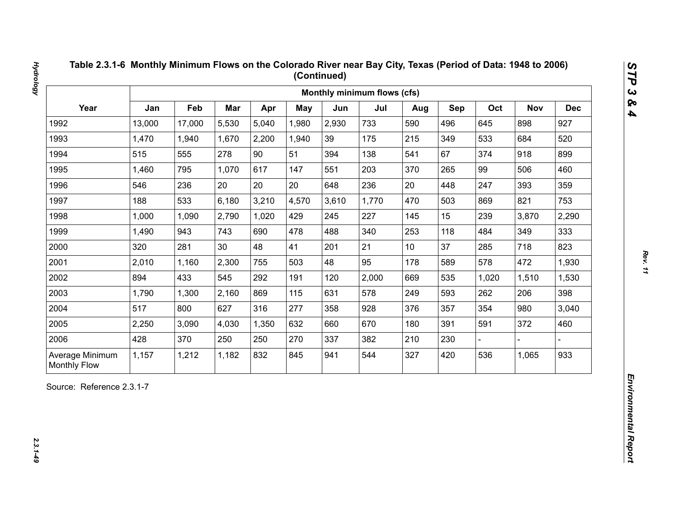| Year<br>Jan<br>Feb<br>Mar<br>Oct<br>Apr<br><b>May</b><br>Jun<br>Jul<br>Sep<br><b>Nov</b><br>Aug<br>13,000<br>5,530<br>5,040<br>2,930<br>733<br>496<br>898<br>1992<br>17,000<br>1,980<br>590<br>645<br>1993<br>1,470<br>2,200<br>39<br>175<br>215<br>349<br>533<br>684<br>1,940<br>1,670<br>1,940<br>90<br>67<br>1994<br>515<br>555<br>278<br>51<br>138<br>374<br>918<br>394<br>541<br>1995<br>1,460<br>795<br>1,070<br>617<br>203<br>265<br>99<br>506<br>147<br>551<br>370<br>20<br>20<br>20<br>236<br>20<br>393<br>1996<br>546<br>236<br>448<br>247<br>648<br>1997<br>188<br>533<br>6,180<br>3,210<br>4,570<br>3,610<br>1,770<br>503<br>821<br>470<br>869<br>2,790<br>1,020<br>227<br>15<br>239<br>1998<br>1,000<br>1,090<br>429<br>245<br>145<br>3,870<br>1999<br>1,490<br>943<br>743<br>690<br>478<br>488<br>340<br>253<br>118<br>349<br>484<br>21<br>37<br>2000<br>281<br>30<br>48<br>41<br>285<br>718<br>320<br>201<br>10 <sup>°</sup><br>2001<br>2,300<br>48<br>95<br>178<br>589<br>578<br>472<br>2,010<br>1,160<br>755<br>503<br>2002<br>894<br>433<br>545<br>292<br>2,000<br>535<br>191<br>120<br>669<br>1,020<br>1,510<br>2003<br>869<br>578<br>593<br>1,790<br>1,300<br>2,160<br>115<br>631<br>249<br>262<br>206<br>2004<br>517<br>277<br>354<br>980<br>800<br>627<br>316<br>928<br>357<br>358<br>376<br>2005<br>670<br>372<br>2,250<br>3,090<br>4,030<br>1,350<br>632<br>180<br>391<br>591<br>660<br>2006<br>428<br>370<br>250<br>250<br>270<br>337<br>382<br>210<br>230 |  |  |  | Monthly minimum flows (cfs) |  |  |            |
|-------------------------------------------------------------------------------------------------------------------------------------------------------------------------------------------------------------------------------------------------------------------------------------------------------------------------------------------------------------------------------------------------------------------------------------------------------------------------------------------------------------------------------------------------------------------------------------------------------------------------------------------------------------------------------------------------------------------------------------------------------------------------------------------------------------------------------------------------------------------------------------------------------------------------------------------------------------------------------------------------------------------------------------------------------------------------------------------------------------------------------------------------------------------------------------------------------------------------------------------------------------------------------------------------------------------------------------------------------------------------------------------------------------------------------------------------------------------------------------|--|--|--|-----------------------------|--|--|------------|
|                                                                                                                                                                                                                                                                                                                                                                                                                                                                                                                                                                                                                                                                                                                                                                                                                                                                                                                                                                                                                                                                                                                                                                                                                                                                                                                                                                                                                                                                                     |  |  |  |                             |  |  | <b>Dec</b> |
|                                                                                                                                                                                                                                                                                                                                                                                                                                                                                                                                                                                                                                                                                                                                                                                                                                                                                                                                                                                                                                                                                                                                                                                                                                                                                                                                                                                                                                                                                     |  |  |  |                             |  |  | 927        |
|                                                                                                                                                                                                                                                                                                                                                                                                                                                                                                                                                                                                                                                                                                                                                                                                                                                                                                                                                                                                                                                                                                                                                                                                                                                                                                                                                                                                                                                                                     |  |  |  |                             |  |  | 520        |
|                                                                                                                                                                                                                                                                                                                                                                                                                                                                                                                                                                                                                                                                                                                                                                                                                                                                                                                                                                                                                                                                                                                                                                                                                                                                                                                                                                                                                                                                                     |  |  |  |                             |  |  | 899        |
|                                                                                                                                                                                                                                                                                                                                                                                                                                                                                                                                                                                                                                                                                                                                                                                                                                                                                                                                                                                                                                                                                                                                                                                                                                                                                                                                                                                                                                                                                     |  |  |  |                             |  |  | 460        |
|                                                                                                                                                                                                                                                                                                                                                                                                                                                                                                                                                                                                                                                                                                                                                                                                                                                                                                                                                                                                                                                                                                                                                                                                                                                                                                                                                                                                                                                                                     |  |  |  |                             |  |  | 359        |
|                                                                                                                                                                                                                                                                                                                                                                                                                                                                                                                                                                                                                                                                                                                                                                                                                                                                                                                                                                                                                                                                                                                                                                                                                                                                                                                                                                                                                                                                                     |  |  |  |                             |  |  | 753        |
|                                                                                                                                                                                                                                                                                                                                                                                                                                                                                                                                                                                                                                                                                                                                                                                                                                                                                                                                                                                                                                                                                                                                                                                                                                                                                                                                                                                                                                                                                     |  |  |  |                             |  |  | 2,290      |
|                                                                                                                                                                                                                                                                                                                                                                                                                                                                                                                                                                                                                                                                                                                                                                                                                                                                                                                                                                                                                                                                                                                                                                                                                                                                                                                                                                                                                                                                                     |  |  |  |                             |  |  | 333        |
|                                                                                                                                                                                                                                                                                                                                                                                                                                                                                                                                                                                                                                                                                                                                                                                                                                                                                                                                                                                                                                                                                                                                                                                                                                                                                                                                                                                                                                                                                     |  |  |  |                             |  |  | 823        |
|                                                                                                                                                                                                                                                                                                                                                                                                                                                                                                                                                                                                                                                                                                                                                                                                                                                                                                                                                                                                                                                                                                                                                                                                                                                                                                                                                                                                                                                                                     |  |  |  |                             |  |  | 1,930      |
|                                                                                                                                                                                                                                                                                                                                                                                                                                                                                                                                                                                                                                                                                                                                                                                                                                                                                                                                                                                                                                                                                                                                                                                                                                                                                                                                                                                                                                                                                     |  |  |  |                             |  |  | 1,530      |
|                                                                                                                                                                                                                                                                                                                                                                                                                                                                                                                                                                                                                                                                                                                                                                                                                                                                                                                                                                                                                                                                                                                                                                                                                                                                                                                                                                                                                                                                                     |  |  |  |                             |  |  | 398        |
|                                                                                                                                                                                                                                                                                                                                                                                                                                                                                                                                                                                                                                                                                                                                                                                                                                                                                                                                                                                                                                                                                                                                                                                                                                                                                                                                                                                                                                                                                     |  |  |  |                             |  |  | 3,040      |
|                                                                                                                                                                                                                                                                                                                                                                                                                                                                                                                                                                                                                                                                                                                                                                                                                                                                                                                                                                                                                                                                                                                                                                                                                                                                                                                                                                                                                                                                                     |  |  |  |                             |  |  | 460        |
|                                                                                                                                                                                                                                                                                                                                                                                                                                                                                                                                                                                                                                                                                                                                                                                                                                                                                                                                                                                                                                                                                                                                                                                                                                                                                                                                                                                                                                                                                     |  |  |  |                             |  |  |            |
| 832<br>544<br>420<br>536<br>Average Minimum<br>1,157<br>1,212<br>1,182<br>845<br>327<br>1,065<br>941<br><b>Monthly Flow</b>                                                                                                                                                                                                                                                                                                                                                                                                                                                                                                                                                                                                                                                                                                                                                                                                                                                                                                                                                                                                                                                                                                                                                                                                                                                                                                                                                         |  |  |  |                             |  |  | 933        |

*Hydrology 2.3.1-49*

**Hydrology**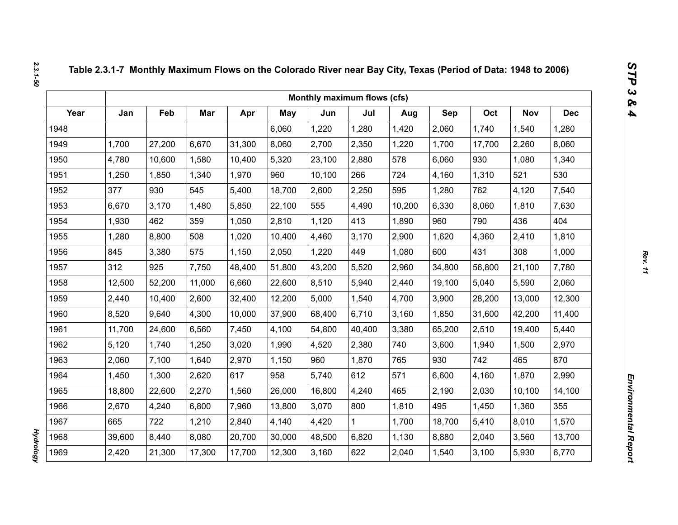|      |        |        |        |        |            | Monthly maximum flows (cfs) |        |        |        |        |            |            |
|------|--------|--------|--------|--------|------------|-----------------------------|--------|--------|--------|--------|------------|------------|
| Year | Jan    | Feb    | Mar    | Apr    | <b>May</b> | Jun                         | Jul    | Aug    | Sep    | Oct    | <b>Nov</b> | <b>Dec</b> |
| 1948 |        |        |        |        | 6,060      | 1,220                       | 1,280  | 1,420  | 2,060  | 1,740  | 1,540      | 1,280      |
| 1949 | 1,700  | 27,200 | 6,670  | 31,300 | 8,060      | 2,700                       | 2,350  | 1,220  | 1,700  | 17,700 | 2,260      | 8,060      |
| 1950 | 4,780  | 10,600 | 1,580  | 10,400 | 5,320      | 23,100                      | 2,880  | 578    | 6,060  | 930    | 1,080      | 1,340      |
| 1951 | 1,250  | 1,850  | 1,340  | 1,970  | 960        | 10,100                      | 266    | 724    | 4,160  | 1,310  | 521        | 530        |
| 1952 | 377    | 930    | 545    | 5,400  | 18,700     | 2,600                       | 2,250  | 595    | 1,280  | 762    | 4,120      | 7,540      |
| 1953 | 6,670  | 3,170  | 1,480  | 5,850  | 22,100     | 555                         | 4,490  | 10,200 | 6,330  | 8,060  | 1,810      | 7,630      |
| 1954 | 1,930  | 462    | 359    | 1,050  | 2,810      | 1,120                       | 413    | 1,890  | 960    | 790    | 436        | 404        |
| 1955 | 1,280  | 8,800  | 508    | 1,020  | 10,400     | 4,460                       | 3,170  | 2,900  | 1,620  | 4,360  | 2,410      | 1,810      |
| 1956 | 845    | 3,380  | 575    | 1,150  | 2,050      | 1,220                       | 449    | 1,080  | 600    | 431    | 308        | 1,000      |
| 1957 | 312    | 925    | 7,750  | 48,400 | 51,800     | 43,200                      | 5,520  | 2,960  | 34,800 | 56,800 | 21,100     | 7,780      |
| 1958 | 12,500 | 52,200 | 11,000 | 6,660  | 22,600     | 8,510                       | 5,940  | 2,440  | 19,100 | 5,040  | 5,590      | 2,060      |
| 1959 | 2,440  | 10,400 | 2,600  | 32,400 | 12,200     | 5,000                       | 1,540  | 4,700  | 3,900  | 28,200 | 13,000     | 12,300     |
| 1960 | 8,520  | 9,640  | 4,300  | 10,000 | 37,900     | 68,400                      | 6,710  | 3,160  | 1,850  | 31,600 | 42,200     | 11,400     |
| 1961 | 11,700 | 24,600 | 6,560  | 7,450  | 4,100      | 54,800                      | 40,400 | 3,380  | 65,200 | 2,510  | 19,400     | 5,440      |
| 1962 | 5,120  | 1,740  | 1,250  | 3,020  | 1,990      | 4,520                       | 2,380  | 740    | 3,600  | 1,940  | 1,500      | 2,970      |
| 1963 | 2,060  | 7,100  | 1,640  | 2,970  | 1,150      | 960                         | 1,870  | 765    | 930    | 742    | 465        | 870        |
| 1964 | 1,450  | 1,300  | 2,620  | 617    | 958        | 5,740                       | 612    | 571    | 6,600  | 4,160  | 1,870      | 2,990      |
| 1965 | 18,800 | 22,600 | 2,270  | 1,560  | 26,000     | 16,800                      | 4,240  | 465    | 2,190  | 2,030  | 10,100     | 14,100     |
| 1966 | 2,670  | 4,240  | 6,800  | 7,960  | 13,800     | 3,070                       | 800    | 1,810  | 495    | 1,450  | 1,360      | 355        |
| 1967 | 665    | 722    | 1,210  | 2,840  | 4,140      | 4,420                       | 1      | 1,700  | 18,700 | 5,410  | 8,010      | 1,570      |
| 1968 | 39,600 | 8,440  | 8,080  | 20,700 | 30,000     | 48,500                      | 6,820  | 1,130  | 8,880  | 2,040  | 3,560      | 13,700     |
| 1969 | 2,420  | 21,300 | 17,300 | 17,700 | 12,300     | 3,160                       | 622    | 2,040  | 1,540  | 3,100  | 5,930      | 6,770      |

*Hydrology* 

**Hydrology**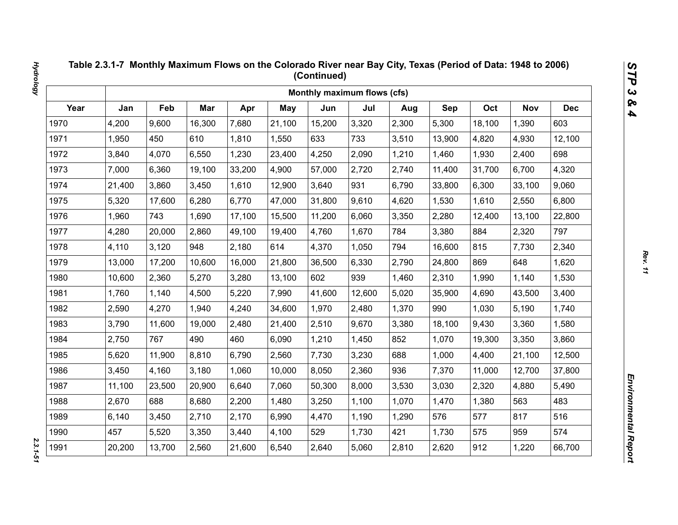|      |        |        |        |        |        | Monthly maximum flows (cfs) |        |       |        |        |            |            |
|------|--------|--------|--------|--------|--------|-----------------------------|--------|-------|--------|--------|------------|------------|
| Year | Jan    | Feb    | Mar    | Apr    | May    | Jun                         | Jul    | Aug   | Sep    | Oct    | <b>Nov</b> | <b>Dec</b> |
| 1970 | 4,200  | 9,600  | 16,300 | 7,680  | 21,100 | 15,200                      | 3,320  | 2,300 | 5,300  | 18,100 | 1,390      | 603        |
| 1971 | 1,950  | 450    | 610    | 1,810  | 1,550  | 633                         | 733    | 3,510 | 13,900 | 4,820  | 4,930      | 12,100     |
| 1972 | 3,840  | 4,070  | 6,550  | 1,230  | 23,400 | 4,250                       | 2,090  | 1,210 | 1,460  | 1,930  | 2,400      | 698        |
| 1973 | 7,000  | 6,360  | 19,100 | 33,200 | 4,900  | 57,000                      | 2,720  | 2,740 | 11,400 | 31,700 | 6,700      | 4,320      |
| 1974 | 21,400 | 3,860  | 3,450  | 1,610  | 12,900 | 3,640                       | 931    | 6,790 | 33,800 | 6,300  | 33,100     | 9,060      |
| 1975 | 5,320  | 17,600 | 6,280  | 6,770  | 47,000 | 31,800                      | 9,610  | 4,620 | 1,530  | 1,610  | 2,550      | 6,800      |
| 1976 | 1,960  | 743    | 1,690  | 17,100 | 15,500 | 11,200                      | 6,060  | 3,350 | 2,280  | 12,400 | 13,100     | 22,800     |
| 1977 | 4,280  | 20,000 | 2,860  | 49,100 | 19,400 | 4,760                       | 1,670  | 784   | 3,380  | 884    | 2,320      | 797        |
| 1978 | 4,110  | 3,120  | 948    | 2,180  | 614    | 4,370                       | 1,050  | 794   | 16,600 | 815    | 7,730      | 2,340      |
| 1979 | 13,000 | 17,200 | 10,600 | 16,000 | 21,800 | 36,500                      | 6,330  | 2,790 | 24,800 | 869    | 648        | 1,620      |
| 1980 | 10,600 | 2,360  | 5,270  | 3,280  | 13,100 | 602                         | 939    | 1,460 | 2,310  | 1,990  | 1,140      | 1,530      |
| 1981 | 1,760  | 1,140  | 4,500  | 5,220  | 7,990  | 41,600                      | 12,600 | 5,020 | 35,900 | 4,690  | 43,500     | 3,400      |
| 1982 | 2,590  | 4,270  | 1,940  | 4,240  | 34,600 | 1,970                       | 2,480  | 1,370 | 990    | 1,030  | 5,190      | 1,740      |
| 1983 | 3,790  | 11,600 | 19,000 | 2,480  | 21,400 | 2,510                       | 9,670  | 3,380 | 18,100 | 9,430  | 3,360      | 1,580      |
| 1984 | 2,750  | 767    | 490    | 460    | 6,090  | 1,210                       | 1,450  | 852   | 1,070  | 19,300 | 3,350      | 3,860      |
| 1985 | 5,620  | 11,900 | 8,810  | 6,790  | 2,560  | 7,730                       | 3,230  | 688   | 1,000  | 4,400  | 21,100     | 12,500     |
| 1986 | 3,450  | 4,160  | 3,180  | 1,060  | 10,000 | 8,050                       | 2,360  | 936   | 7,370  | 11,000 | 12,700     | 37,800     |
| 1987 | 11,100 | 23,500 | 20,900 | 6,640  | 7,060  | 50,300                      | 8,000  | 3,530 | 3,030  | 2,320  | 4,880      | 5,490      |
| 1988 | 2,670  | 688    | 8,680  | 2,200  | 1,480  | 3,250                       | 1,100  | 1,070 | 1,470  | 1,380  | 563        | 483        |
| 1989 | 6,140  | 3,450  | 2,710  | 2,170  | 6,990  | 4,470                       | 1,190  | 1,290 | 576    | 577    | 817        | 516        |
| 1990 | 457    | 5,520  | 3,350  | 3,440  | 4,100  | 529                         | 1,730  | 421   | 1,730  | 575    | 959        | 574        |
| 1991 | 20,200 | 13,700 | 2,560  | 21,600 | 6,540  | 2,640                       | 5,060  | 2,810 | 2,620  | 912    | 1,220      | 66,700     |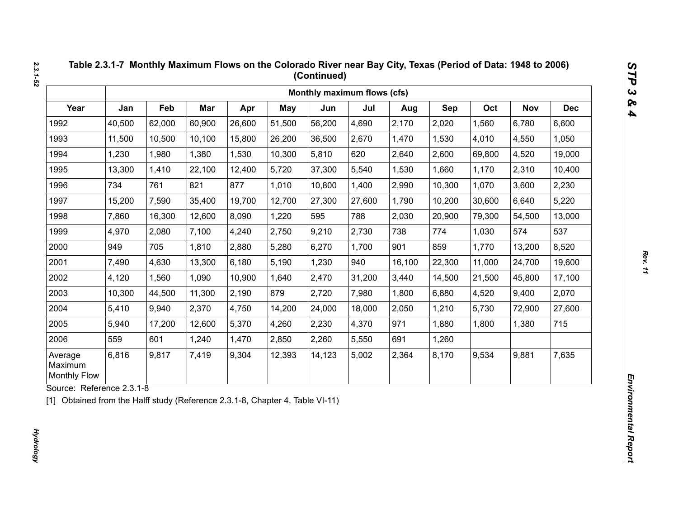|                                           |        |        |        |        |            | Monthly maximum flows (cfs) |        |        |        |        |            |            |
|-------------------------------------------|--------|--------|--------|--------|------------|-----------------------------|--------|--------|--------|--------|------------|------------|
| Year                                      | Jan    | Feb    | Mar    | Apr    | <b>May</b> | Jun                         | Jul    | Aug    | Sep    | Oct    | <b>Nov</b> | <b>Dec</b> |
| 1992                                      | 40,500 | 62,000 | 60,900 | 26,600 | 51,500     | 56,200                      | 4,690  | 2,170  | 2,020  | 1,560  | 6,780      | 6,600      |
| 1993                                      | 11,500 | 10,500 | 10,100 | 15,800 | 26,200     | 36,500                      | 2,670  | 1,470  | 1,530  | 4,010  | 4,550      | 1,050      |
| 1994                                      | 1,230  | 1,980  | 1,380  | 1,530  | 10,300     | 5,810                       | 620    | 2,640  | 2,600  | 69,800 | 4,520      | 19,000     |
| 1995                                      | 13,300 | 1,410  | 22,100 | 12,400 | 5,720      | 37,300                      | 5,540  | 1,530  | 1,660  | 1,170  | 2,310      | 10,400     |
| 1996                                      | 734    | 761    | 821    | 877    | 1,010      | 10,800                      | 1,400  | 2,990  | 10,300 | 1,070  | 3,600      | 2,230      |
| 1997                                      | 15,200 | 7,590  | 35,400 | 19,700 | 12,700     | 27,300                      | 27,600 | 1,790  | 10,200 | 30,600 | 6,640      | 5,220      |
| 1998                                      | 7,860  | 16,300 | 12,600 | 8,090  | 1,220      | 595                         | 788    | 2,030  | 20,900 | 79,300 | 54,500     | 13,000     |
| 1999                                      | 4,970  | 2,080  | 7,100  | 4,240  | 2,750      | 9,210                       | 2,730  | 738    | 774    | 1,030  | 574        | 537        |
| 2000                                      | 949    | 705    | 1,810  | 2,880  | 5,280      | 6,270                       | 1,700  | 901    | 859    | 1,770  | 13,200     | 8,520      |
| 2001                                      | 7,490  | 4,630  | 13,300 | 6,180  | 5,190      | 1,230                       | 940    | 16,100 | 22,300 | 11,000 | 24,700     | 19,600     |
| 2002                                      | 4,120  | 1,560  | 1,090  | 10,900 | 1,640      | 2,470                       | 31,200 | 3,440  | 14,500 | 21,500 | 45,800     | 17,100     |
| 2003                                      | 10,300 | 44,500 | 11,300 | 2,190  | 879        | 2,720                       | 7,980  | 1,800  | 6,880  | 4,520  | 9,400      | 2,070      |
| 2004                                      | 5,410  | 9,940  | 2,370  | 4,750  | 14,200     | 24,000                      | 18,000 | 2,050  | 1,210  | 5,730  | 72,900     | 27,600     |
| 2005                                      | 5,940  | 17,200 | 12,600 | 5,370  | 4,260      | 2,230                       | 4,370  | 971    | 1,880  | 1,800  | 1,380      | 715        |
| 2006                                      | 559    | 601    | 1,240  | 1,470  | 2,850      | 2,260                       | 5,550  | 691    | 1,260  |        |            |            |
| Average<br>Maximum<br><b>Monthly Flow</b> | 6,816  | 9,817  | 7,419  | 9,304  | 12,393     | 14,123                      | 5,002  | 2,364  | 8,170  | 9,534  | 9,881      | 7,635      |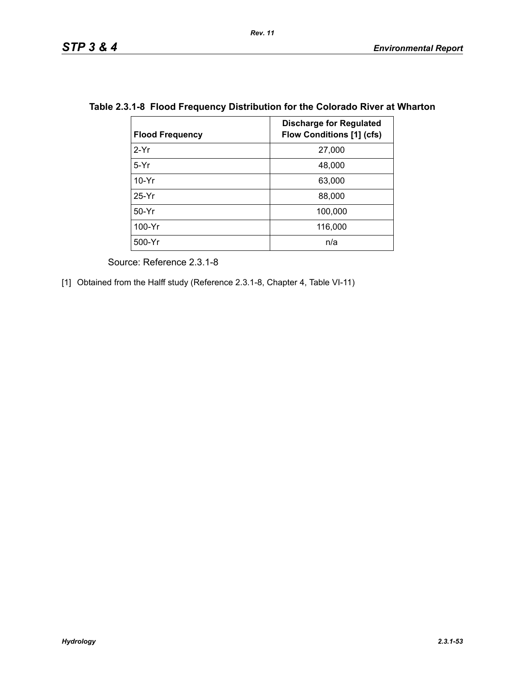| <b>Flood Frequency</b> | <b>Discharge for Regulated</b><br><b>Flow Conditions [1] (cfs)</b> |
|------------------------|--------------------------------------------------------------------|
| $2-Yr$                 | 27,000                                                             |
| $5-Yr$                 | 48,000                                                             |
| $10-Yr$                | 63,000                                                             |
| $25-Yr$                | 88,000                                                             |
| $50-Yr$                | 100,000                                                            |
| 100-Yr                 | 116,000                                                            |
| 500-Yr                 | n/a                                                                |

## **Table 2.3.1-8 Flood Frequency Distribution for the Colorado River at Wharton**

*Rev. 11*

Source: Reference 2.3.1-8

[1] Obtained from the Halff study (Reference 2.3.1-8, Chapter 4, Table VI-11)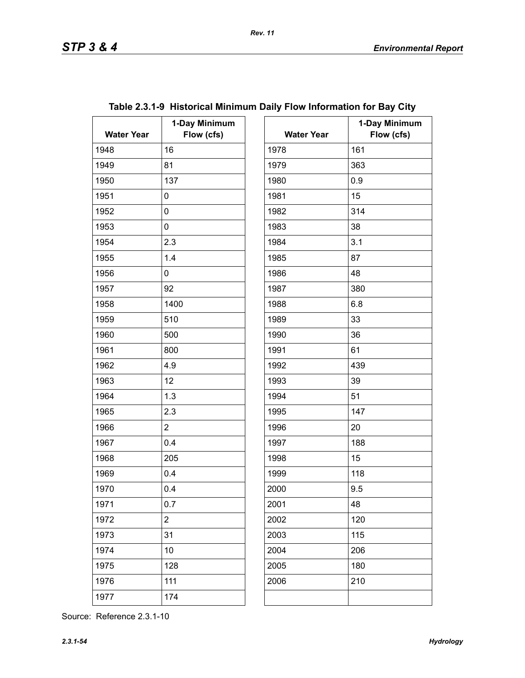| <b>Water Year</b> | 1-Day Minimum<br>Flow (cfs) | <b>Water Year</b> | $\mathbf 1$ |
|-------------------|-----------------------------|-------------------|-------------|
| 1948              | 16                          | 1978              | 161         |
| 1949              | 81                          | 1979              | 363         |
| 1950              | 137                         | 1980              | 0.9         |
| 1951              | 0                           | 1981              | 15          |
| 1952              | 0                           | 1982              | 314         |
| 1953              | 0                           | 1983              | 38          |
| 1954              | 2.3                         | 1984              | 3.1         |
| 1955              | 1.4                         | 1985              | 87          |
| 1956              | 0                           | 1986              | 48          |
| 1957              | 92                          | 1987              | 380         |
| 1958              | 1400                        | 1988              | 6.8         |
| 1959              | 510                         | 1989              | 33          |
| 1960              | 500                         | 1990              | 36          |
| 1961              | 800                         | 1991              | 61          |
| 1962              | 4.9                         | 1992              | 439         |
| 1963              | 12                          | 1993              | 39          |
| 1964              | 1.3                         | 1994              | 51          |
| 1965              | 2.3                         | 1995              | 147         |
| 1966              | $\overline{2}$              | 1996              | 20          |
| 1967              | 0.4                         | 1997              | 188         |
| 1968              | 205                         | 1998              | 15          |
| 1969              | 0.4                         | 1999              | 118         |
| 1970              | 0.4                         | 2000              | 9.5         |
| 1971              | 0.7                         | 2001              | 48          |
| 1972              | $\overline{c}$              | 2002              | 120         |
| 1973              | 31                          | 2003              | 115         |
| 1974              | 10                          | 2004              | 206         |
| 1975              | 128                         | 2005              | 180         |
| 1976              | 111                         | 2006              | 210         |
| 1977              | 174                         |                   |             |
|                   |                             |                   |             |

# **Table 2.3.1-9 Historical Minimum Daily Flow Information for Bay City**

*Rev. 11*

| ay Minimum<br>Flow (cfs) | <b>Water Year</b> | 1-Day Minimum<br>Flow (cfs) |
|--------------------------|-------------------|-----------------------------|
|                          | 1978              | 161                         |
|                          | 1979              | 363                         |
|                          | 1980              | 0.9                         |
|                          | 1981              | 15                          |
|                          | 1982              | 314                         |
|                          | 1983              | 38                          |
|                          | 1984              | 3.1                         |
|                          | 1985              | 87                          |
|                          | 1986              | 48                          |
|                          | 1987              | 380                         |
|                          | 1988              | 6.8                         |
|                          | 1989              | 33                          |
|                          | 1990              | 36                          |
|                          | 1991              | 61                          |
|                          | 1992              | 439                         |
|                          | 1993              | 39                          |
|                          | 1994              | 51                          |
|                          | 1995              | 147                         |
|                          | 1996              | 20                          |
|                          | 1997              | 188                         |
|                          | 1998              | 15                          |
|                          | 1999              | 118                         |
|                          | 2000              | 9.5                         |
|                          | 2001              | 48                          |
|                          | 2002              | 120                         |
|                          | 2003              | 115                         |
|                          | 2004              | 206                         |
|                          | 2005              | 180                         |
|                          | 2006              | 210                         |
|                          |                   |                             |
|                          |                   |                             |

Source: Reference 2.3.1-10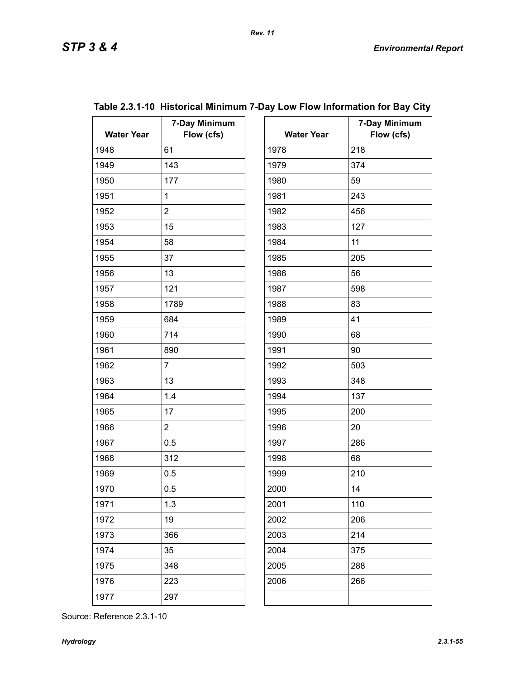| <b>Water Year</b> | 7-Day Minimum<br>Flow (cfs) | <b>Water Year</b> | 7.  |
|-------------------|-----------------------------|-------------------|-----|
| 1948              | 61                          | 1978              | 218 |
| 1949              | 143                         | 1979              | 374 |
| 1950              | 177                         | 1980              | 59  |
| 1951              | $\mathbf{1}$                | 1981              | 243 |
| 1952              | $\overline{2}$              | 1982              | 456 |
| 1953              | 15                          | 1983              | 127 |
| 1954              | 58                          | 1984              | 11  |
| 1955              | 37                          | 1985              | 205 |
| 1956              | 13                          | 1986              | 56  |
| 1957              | 121                         | 1987              | 598 |
| 1958              | 1789                        | 1988              | 83  |
| 1959              | 684                         | 1989              | 41  |
| 1960              | 714                         | 1990              | 68  |
| 1961              | 890                         | 1991              | 90  |
| 1962              | $\overline{7}$              | 1992              | 503 |
| 1963              | 13                          | 1993              | 348 |
| 1964              | 1.4                         | 1994              | 137 |
| 1965              | 17                          | 1995              | 200 |
| 1966              | $\overline{2}$              | 1996              | 20  |
| 1967              | 0.5                         | 1997              | 286 |
| 1968              | 312                         | 1998              | 68  |
| 1969              | 0.5                         | 1999              | 210 |
| 1970              | 0.5                         | 2000              | 14  |
| 1971              | 1.3                         | 2001              | 110 |
| 1972              | 19                          | 2002              | 206 |
| 1973              | 366                         | 2003              | 214 |
| 1974              | 35                          | 2004              | 375 |
| 1975              | 348                         | 2005              | 288 |
| 1976              | 223                         | 2006              | 266 |
| 1977              | 297                         |                   |     |

| ay Minimum<br>Flow (cfs) | <b>Water Year</b> | 7-Day Minimum<br>Flow (cfs) |
|--------------------------|-------------------|-----------------------------|
|                          | 1978              | 218                         |
|                          | 1979              | 374                         |
|                          | 1980              | 59                          |
|                          | 1981              | 243                         |
|                          | 1982              | 456                         |
|                          | 1983              | 127                         |
|                          | 1984              | 11                          |
|                          | 1985              | 205                         |
|                          | 1986              | 56                          |
|                          | 1987              | 598                         |
|                          | 1988              | 83                          |
|                          | 1989              | 41                          |
|                          | 1990              | 68                          |
|                          | 1991              | 90                          |
|                          | 1992              | 503                         |
|                          | 1993              | 348                         |
|                          | 1994              | 137                         |
|                          | 1995              | 200                         |
|                          | 1996              | 20                          |
|                          | 1997              | 286                         |
|                          | 1998              | 68                          |
|                          | 1999              | 210                         |
|                          | 2000              | 14                          |
|                          | 2001              | 110                         |
|                          | 2002              | 206                         |
|                          | 2003              | 214                         |
|                          | 2004              | 375                         |
|                          | 2005              | 288                         |
|                          | 2006              | 266                         |

## **Table 2.3.1-10 Historical Minimum 7-Day Low Flow Information for Bay City**  $\overline{\phantom{a}}$

Source: Reference 2.3.1-10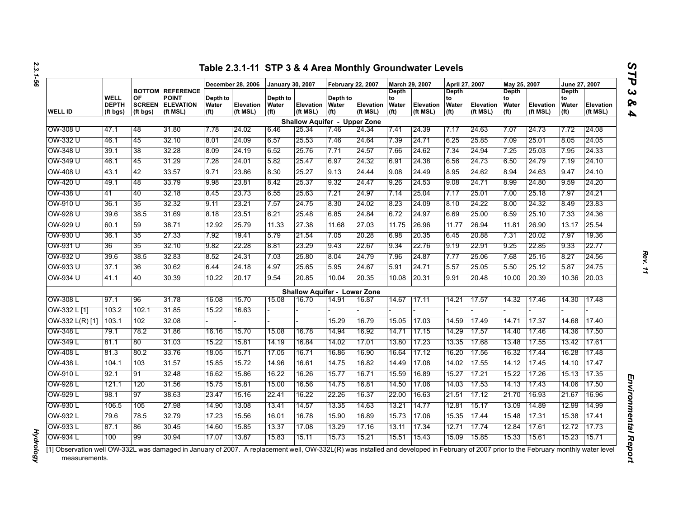|                   |                                  |                                 |                                                                         |                                        | December 28, 2006     | <b>January 30, 2007</b>                |                                     | <b>February 22, 2007</b>               |                       | March 29, 2007                            |                              | April 27, 2007                                   |                              | May 25, 2007                                     |                       | June 27, 2007                             |                       |
|-------------------|----------------------------------|---------------------------------|-------------------------------------------------------------------------|----------------------------------------|-----------------------|----------------------------------------|-------------------------------------|----------------------------------------|-----------------------|-------------------------------------------|------------------------------|--------------------------------------------------|------------------------------|--------------------------------------------------|-----------------------|-------------------------------------------|-----------------------|
| <b>WELL ID</b>    | WELL<br><b>DEPTH</b><br>(ft bgs) | OF<br><b>SCREEN</b><br>(ft bgs) | <b>BOTTOM REFERENCE</b><br><b>POINT</b><br><b>ELEVATION</b><br>(ft MSL) | Depth to<br>Water<br>(f <sup>t</sup> ) | Elevation<br>(ft MSL) | Depth to<br>Water<br>(f <sup>t</sup> ) | <b>Elevation</b><br>(ft MSL)        | Depth to<br>Water<br>(f <sup>t</sup> ) | Elevation<br>(ft MSL) | Depth<br>to<br>Water<br>(f <sup>t</sup> ) | <b>Elevation</b><br>(ft MSL) | <b>Depth</b><br>to<br>Water<br>(f <sup>t</sup> ) | <b>Elevation</b><br>(ft MSL) | <b>Depth</b><br>to<br>Water<br>(f <sup>t</sup> ) | Elevation<br>(ft MSL) | Depth<br>to<br>Water<br>(f <sup>t</sup> ) | Elevation<br>(ft MSL) |
|                   |                                  |                                 |                                                                         |                                        |                       |                                        | <b>Shallow Aquifer - Upper Zone</b> |                                        |                       |                                           |                              |                                                  |                              |                                                  |                       |                                           |                       |
| OW-308 U          | 47.1                             | 48                              | 31.80                                                                   | 7.78                                   | 24.02                 | 6.46                                   | 25.34                               | 7.46                                   | 24.34                 | 7.41                                      | 24.39                        | 7.17                                             | 24.63                        | 7.07                                             | 24.73                 | 7.72                                      | 24.08                 |
| OW-332 U          | 46.1                             | 45                              | 32.10                                                                   | 8.01                                   | 24.09                 | 6.57                                   | 25.53                               | 7.46                                   | 24.64                 | 7.39                                      | 24.71                        | 6.25                                             | 25.85                        | 7.09                                             | 25.01                 | 8.05                                      | 24.05                 |
| OW-348 U          | 39.1                             | 38                              | 32.28                                                                   | 8.09                                   | 24.19                 | 6.52                                   | 25.76                               | 7.71                                   | 24.57                 | 7.66                                      | 24.62                        | 7.34                                             | 24.94                        | 7.25                                             | 25.03                 | 7.95                                      | 24.33                 |
| OW-349 U          | 46.1                             | 45                              | 31.29                                                                   | 7.28                                   | 24.01                 | 5.82                                   | 25.47                               | 6.97                                   | 24.32                 | 6.91                                      | 24.38                        | 6.56                                             | 24.73                        | 6.50                                             | 24.79                 | 7.19                                      | 24.10                 |
| OW-408 U          | 43.1                             | 42                              | 33.57                                                                   | 9.71                                   | 23.86                 | 8.30                                   | 25.27                               | 9.13                                   | 24.44                 | 9.08                                      | 24.49                        | 8.95                                             | 24.62                        | 8.94                                             | 24.63                 | 9.47                                      | 24.10                 |
| OW-420 U          | 49.1                             | 48                              | 33.79                                                                   | 9.98                                   | 23.81                 | 8.42                                   | 25.37                               | 9.32                                   | 24.47                 | 9.26                                      | 24.53                        | 9.08                                             | 24.71                        | 8.99                                             | 24.80                 | 9.59                                      | 24.20                 |
| OW-438 U          | 41                               | 40                              | 32.18                                                                   | 8.45                                   | 23.73                 | 6.55                                   | 25.63                               | 7.21                                   | 24.97                 | 7.14                                      | 25.04                        | 7.17                                             | 25.01                        | 7.00                                             | 25.18                 | 7.97                                      | 24.21                 |
| OW-910 U          | 36.1                             | 35                              | 32.32                                                                   | 9.11                                   | 23.21                 | 7.57                                   | 24.75                               | 8.30                                   | 24.02                 | 8.23                                      | 24.09                        | 8.10                                             | 24.22                        | 8.00                                             | 24.32                 | 8.49                                      | 23.83                 |
| OW-928 U          | 39.6                             | 38.5                            | 31.69                                                                   | 8.18                                   | 23.51                 | 6.21                                   | 25.48                               | 6.85                                   | 24.84                 | 6.72                                      | 24.97                        | 6.69                                             | 25.00                        | 6.59                                             | 25.10                 | 7.33                                      | 24.36                 |
| OW-929 U          | 60.1                             | 59                              | 38.71                                                                   | 12.92                                  | 25.79                 | 11.33                                  | 27.38                               | 11.68                                  | 27.03                 | 11.75                                     | 26.96                        | 11.77                                            | 26.94                        | 11.81                                            | 26.90                 | 13.17                                     | 25.54                 |
| OW-930 U          | 36.1                             | 35                              | 27.33                                                                   | 7.92                                   | 19.41                 | 5.79                                   | 21.54                               | 7.05                                   | 20.28                 | 6.98                                      | 20.35                        | 6.45                                             | 20.88                        | 7.31                                             | 20.02                 | 7.97                                      | 19.36                 |
| OW-931 U          | 36                               | 35                              | 32.10                                                                   | 9.82                                   | 22.28                 | 8.81                                   | 23.29                               | 9.43                                   | 22.67                 | 9.34                                      | 22.76                        | 9.19                                             | 22.91                        | 9.25                                             | 22.85                 | 9.33                                      | 22.77                 |
| OW-932 U          | 39.6                             | 38.5                            | 32.83                                                                   | 8.52                                   | 24.31                 | 7.03                                   | 25.80                               | 8.04                                   | 24.79                 | 7.96                                      | 24.87                        | 7.77                                             | 25.06                        | 7.68                                             | 25.15                 | 8.27                                      | 24.56                 |
| OW-933 U          | 37.1                             | 36                              | 30.62                                                                   | 6.44                                   | 24.18                 | 4.97                                   | 25.65                               | 5.95                                   | 24.67                 | 5.91                                      | 24.71                        | 5.57                                             | 25.05                        | 5.50                                             | 25.12                 | 5.87                                      | 24.75                 |
| OW-934 U          | 41.1                             | 40                              | 30.39                                                                   | 10.22                                  | 20.17                 | 9.54                                   | 20.85                               | 10.04                                  | 20.35                 | 10.08                                     | 20.31                        | 9.91                                             | 20.48                        | 10.00                                            | 20.39                 | 10.36                                     | 20.03                 |
|                   |                                  |                                 |                                                                         |                                        |                       |                                        | <b>Shallow Aquifer - Lower Zone</b> |                                        |                       |                                           |                              |                                                  |                              |                                                  |                       |                                           |                       |
| OW-308 L          | 97.1                             | 96                              | 31.78                                                                   | 16.08                                  | 15.70                 | 15.08                                  | 16.70                               | 14.91                                  | 16.87                 | 14.67                                     | 17.11                        | 14.21                                            | 17.57                        | 14.32                                            | 17.46                 | 14.30                                     | 17.48                 |
| OW-332 L [1]      | 103.2                            | 102.1                           | 31.85                                                                   | 15.22                                  | 16.63                 |                                        |                                     |                                        |                       |                                           |                              |                                                  |                              |                                                  |                       |                                           |                       |
| $OW-332 L(R)$ [1] | 103.1                            | 102                             | 32.08                                                                   |                                        |                       |                                        |                                     | 15.29                                  | 16.79                 | 15.05                                     | 17.03                        | 14.59                                            | 17.49                        | 14.71                                            | 17.37                 | 14.68                                     | 17.40                 |
| OW-348 L          | 79.1                             | 78.2                            | 31.86                                                                   | 16.16                                  | 15.70                 | 15.08                                  | 16.78                               | 14.94                                  | 16.92                 | 14.71                                     | 17.15                        | 14.29                                            | 17.57                        | 14.40                                            | 17.46                 | 14.36                                     | 17.50                 |
| OW-349 L          | 81.1                             | 80                              | 31.03                                                                   | 15.22                                  | 15.81                 | 14.19                                  | 16.84                               | 14.02                                  | 17.01                 | 13.80                                     | 17.23                        | 13.35                                            | 17.68                        | 13.48                                            | 17.55                 | 13.42                                     | 17.61                 |
| OW-408 L          | 81.3                             | 80.2                            | 33.76                                                                   | 18.05                                  | 15.71                 | 17.05                                  | 16.71                               | 16.86                                  | 16.90                 | 16.64                                     | 17.12                        | 16.20                                            | 17.56                        | 16.32                                            | 17.44                 | 16.28                                     | 17.48                 |
| OW-438 L          | 104.1                            | 103                             | 31.57                                                                   | 15.85                                  | 15.72                 | 14.96                                  | 16.61                               | 14.75                                  | 16.82                 | 14.49                                     | 17.08                        | 14.02                                            | 17.55                        | 14.12                                            | 17.45                 | 14.10                                     | 17.47                 |
| OW-910 L          | 92.1                             | 91                              | 32.48                                                                   | 16.62                                  | 15.86                 | 16.22                                  | 16.26                               | 15.77                                  | 16.71                 | 15.59                                     | 16.89                        | 15.27                                            | 17.21                        | 15.22                                            | 17.26                 | 15.13                                     | 17.35                 |
| OW-928 L          | 121.1                            | 120                             | 31.56                                                                   | 15.75                                  | 15.81                 | 15.00                                  | 16.56                               | 14.75                                  | 16.81                 | 14.50                                     | 17.06                        | 14.03                                            | 17.53                        | 14.13                                            | 17.43                 | 14.06                                     | 17.50                 |
| OW-929 L          | 98.1                             | 97                              | 38.63                                                                   | 23.47                                  | 15.16                 | 22.41                                  | 16.22                               | 22.26                                  | 16.37                 | 22.00                                     | 16.63                        | 21.51                                            | 17.12                        | 21.70                                            | 16.93                 | 21.67                                     | 16.96                 |
| OW-930 L          | 106.5                            | 105                             | 27.98                                                                   | 14.90                                  | 13.08                 | 13.41                                  | 14.57                               | 13.35                                  | 14.63                 | 13.21                                     | 14.77                        | 12.81                                            | 15.17                        | 13.09                                            | 14.89                 | 12.99                                     | 14.99                 |
| OW-932 L          | 79.6                             | 785                             | 32.79                                                                   | 17.23                                  | 15.56                 | 16.01                                  | 16.78                               | 15.90                                  | 16.89                 | 15.73                                     | 17.06                        | 15.35                                            | 17.44                        | 15.48                                            | 17.31                 | 15.38                                     | 17.41                 |
| OW-933 L          | 87.1                             | 86                              | 30.45                                                                   | 14.60                                  | 15.85                 | 13.37                                  | 17.08                               | 13.29                                  | 17.16                 | 13.11                                     | 17.34                        | 12.71                                            | 17.74                        | 12.84                                            | 17.61                 | 12.72                                     | 17.73                 |
| OW-934 L          | 100                              | 99                              | 30.94                                                                   | 17.07                                  | 13.87                 | 15.83                                  | 15.11                               | 15.73                                  | 15.21                 | 15.51                                     | 15.43                        | 15.09                                            | 15.85                        | 15.33                                            | 15.61                 | 15.23                                     | 15.71                 |

*Hydrology* 

**Hydrology**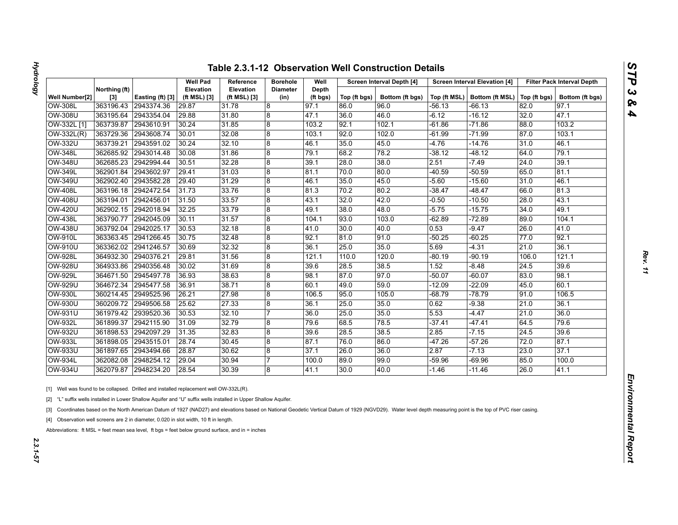| n |
|---|
|   |
|   |
| j |
|   |
| ć |
|   |
| 灰 |
|   |
| A |

|                |                        |                  | Well Pad                         | Reference                        | <b>Borehole</b>         | Well              |              | Screen Interval Depth [4] |          | <b>Screen Interval Elevation [4]</b>          |       | <b>Filter Pack Interval Depth</b> |
|----------------|------------------------|------------------|----------------------------------|----------------------------------|-------------------------|-------------------|--------------|---------------------------|----------|-----------------------------------------------|-------|-----------------------------------|
| Well Number[2] | Northing (ft)<br>$[3]$ | Easting (ft) [3] | <b>Elevation</b><br>(ft MSL) [3] | <b>Elevation</b><br>(ft MSL) [3] | <b>Diameter</b><br>(in) | Depth<br>(ft bgs) | Top (ft bgs) | Bottom (ft bgs)           |          | Top (ft MSL)   Bottom (ft MSL)   Top (ft bgs) |       | Bottom (ft bgs)                   |
| OW-308L        | 363196.43              | 2943374.36       | 29.87                            | 31.78                            | 8                       | 97.1              | 86.0         | 96.0                      | -56.13   | -66.13                                        | 82.0  | 97.1                              |
| <b>OW-308U</b> | 363195.64              | 2943354.04       | 29.88                            | 31.80                            | 8                       | 47.1              | 36.0         | 46.0                      | $-6.12$  | -16.12                                        | 32.0  | 47.1                              |
| OW-332L [1]    | 363739.87              | 2943610.91       | 30.24                            | 31.85                            | 8                       | 103.2             | 92.1         | 102.1                     | -61.86   | $-71.86$                                      | 88.0  | 103.2                             |
| $OW-332L(R)$   | 363729.36              | 2943608.74       | 30.01                            | 32.08                            | 8                       | 103.1             | 92.0         | 102.0                     | -61.99   | $-71.99$                                      | 87.0  | 103.1                             |
| <b>OW-332U</b> | 363739.21              | 2943591.02       | 30.24                            | 32.10                            | 8                       | 46.1              | 35.0         | 45.0                      | -4.76    | $-14.76$                                      | 31.0  | 46.1                              |
| <b>OW-348L</b> | 362685.92              | 2943014.48       | 30.08                            | 31.86                            | 8                       | 79.1              | 68.2         | 78.2                      | $-38.12$ | $-48.12$                                      | 64.0  | 79.1                              |
| <b>OW-348U</b> | 362685.23              | 2942994.44       | 30.51                            | 32.28                            | 8                       | 39.1              | 28.0         | 38.0                      | 2.51     | -7.49                                         | 24.0  | 39.1                              |
| <b>OW-349L</b> | 362901.84              | 2943602.97       | 29.41                            | 31.03                            | 8                       | 81.1              | 70.0         | 80.0                      | $-40.59$ | $-50.59$                                      | 65.0  | 81.1                              |
| OW-349U        | 362902.40              | 2943582.28       | 29.40                            | 31.29                            | 8                       | 46.1              | 35.0         | 45.0                      | $-5.60$  | $-15.60$                                      | 31.0  | 46.1                              |
| <b>OW-408L</b> | 363196.18              | 2942472.54       | 31.73                            | 33.76                            | 8                       | 81.3              | 70.2         | 80.2                      | $-38.47$ | $-48.47$                                      | 66.0  | 81.3                              |
| <b>OW-408U</b> | 363194.01              | 2942456.01       | 31.50                            | 33.57                            | 8                       | 43.1              | 32.0         | 42.0                      | -0.50    | -10.50                                        | 28.0  | 43.1                              |
| <b>OW-420U</b> | 362902.15              | 2942018.94       | 32.25                            | 33.79                            | 8                       | 49.1              | 38.0         | 48.0                      | $-5.75$  | $-15.75$                                      | 34.0  | 49.1                              |
| <b>OW-438L</b> | 363790.77              | 2942045.09       | 30.11                            | 31.57                            | 8                       | 104.1             | 93.0         | 103.0                     | $-62.89$ | $-72.89$                                      | 89.0  | 104.1                             |
| <b>OW-438U</b> | 363792.04              | 2942025.17       | 30.53                            | 32.18                            | 8                       | 41.0              | 30.0         | 40.0                      | 0.53     | $-9.47$                                       | 26.0  | 41.0                              |
| <b>OW-910L</b> | 363363.45              | 2941266.45       | 30.75                            | 32.48                            | 8                       | 92.1              | 81.0         | 91.0                      | $-50.25$ | $-60.25$                                      | 77.0  | 92.1                              |
| OW-910U        | 363362.02              | 2941246.57       | 30.69                            | 32.32                            | 8                       | 36.1              | 25.0         | 35.0                      | 5.69     | $-4.31$                                       | 21.0  | 36.1                              |
| <b>OW-928L</b> | 364932.30              | 2940376.21       | 29.81                            | 31.56                            | 8                       | 121.1             | 110.0        | 120.0                     | -80.19   | $-90.19$                                      | 106.0 | 121.1                             |
| <b>OW-928U</b> | 364933.86              | 2940356.48       | 30.02                            | 31.69                            | 8                       | 39.6              | 28.5         | 38.5                      | 1.52     | $-8.48$                                       | 24.5  | 39.6                              |
| <b>OW-929L</b> | 364671.50              | 2945497.78       | 36.93                            | 38.63                            | 8                       | 98.1              | 87.0         | 97.0                      | $-50.07$ | $-60.07$                                      | 83.0  | 98.1                              |
| <b>OW-929U</b> | 364672.34              | 2945477.58       | 36.91                            | 38.71                            | 8                       | 60.1              | 49.0         | 59.0                      | $-12.09$ | -22.09                                        | 45.0  | 60.1                              |
| OW-930L        | 360214.45              | 2949525.96       | 26.21                            | 27.98                            | 8                       | 106.5             | 95.0         | 105.0                     | -68.79   | -78.79                                        | 91.0  | 106.5                             |
| OW-930U        | 360209.72              | 2949506.58       | 25.62                            | 27.33                            | 8                       | 36.1              | 25.0         | 35.0                      | 0.62     | -9.38                                         | 21.0  | 36.1                              |
| <b>OW-931U</b> | 361979.42              | 2939520.36       | 30.53                            | 32.10                            | 7                       | 36.0              | 25.0         | 35.0                      | 5.53     | $-4.47$                                       | 21.0  | 36.0                              |
| <b>OW-932L</b> | 361899.37              | 2942115.90       | 31.09                            | 32.79                            | 8                       | 79.6              | 68.5         | 78.5                      | -37.41   | -47.41                                        | 64.5  | 79.6                              |
| <b>OW-932U</b> | 361898.53              | 2942097.29       | 31.35                            | 32.83                            | 8                       | 39.6              | 28.5         | 38.5                      | 2.85     | $-7.15$                                       | 24.5  | 39.6                              |
| <b>OW-933L</b> | 361898.05              | 2943515.01       | 28.74                            | 30.45                            | 8                       | 87.1              | 76.0         | 86.0                      | $-47.26$ | $-57.26$                                      | 72.0  | 87.1                              |
| <b>OW-933U</b> | 361897.65              | 2943494.66       | 28.87                            | 30.62                            | 8                       | 37.1              | 26.0         | 36.0                      | 2.87     | $-7.13$                                       | 23.0  | 37.1                              |
| <b>OW-934L</b> | 362082.08              | 2948254.12       | 29.04                            | 30.94                            |                         | 100.0             | 89.0         | 99.0                      | $-59.96$ | -69.96                                        | 85.0  | 100.0                             |
|                | 362079.87              | 2948234.20       | 28.54                            | 30.39                            | 8                       | 41.1              | 30.0         | 40.0                      | -1.46    | $-11.46$                                      | 26.0  | 41.1                              |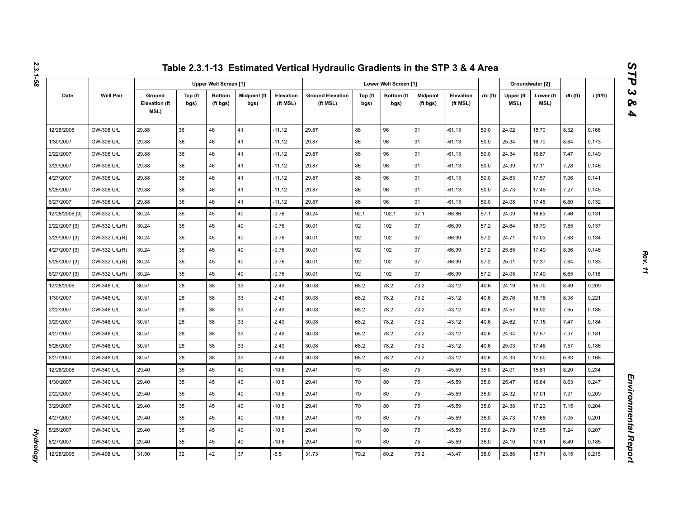|                |                  |                                        |                 |                              |                      |                       | Table 2.3.1-13 Estimated Vertical Hydraulic Gradients in the STP 3 & 4 Area |                 |                       |                             |                       |           |                   |                   |         |             |
|----------------|------------------|----------------------------------------|-----------------|------------------------------|----------------------|-----------------------|-----------------------------------------------------------------------------|-----------------|-----------------------|-----------------------------|-----------------------|-----------|-------------------|-------------------|---------|-------------|
|                |                  |                                        |                 | <b>Upper Well Screen [1]</b> |                      |                       |                                                                             |                 | Lower Well Screen [1] |                             |                       |           |                   | Groundwater [2]   |         |             |
| Date           | <b>Well Pair</b> | Ground<br><b>Elevation (ft</b><br>MSL) | Top (ft<br>bgs) | <b>Bottom</b><br>(ft bgs)    | Midpoint (ft<br>bgs) | Elevation<br>(ft MSL) | <b>Ground Elevation</b><br>(ft MSL)                                         | Top (ft<br>bgs) | Bottom (ft<br>bgs)    | <b>Midpoint</b><br>(ft bgs) | Elevation<br>(ft MSL) | $dx$ (ft) | Upper (ft<br>MSL) | Lower (ft<br>MSL) | dh (ft) | $i$ (ft/ft) |
| 12/28/2006     | OW-308 U/L       | 29.88                                  | 36              | 46                           | 41                   | $-11.12$              | 29.87                                                                       | 86              | 96                    | 91                          | $-61.13$              | 50.0      | 24.02             | 15.70             | 8.32    | 0.166       |
| 1/30/2007      | OW-308 U/L       | 29.88                                  | 36              | 46                           | 41                   | $-11.12$              | 29.87                                                                       | 86              | 96                    | 91                          | $-61.13$              | 50.0      | 25.34             | 16.70             | 8.64    | 0.173       |
| 2/22/2007      | OW-308 U/L       | 29.88                                  | 36              | 46                           | 41                   | $-11.12$              | 29.87                                                                       | 86              | 96                    | 91                          | $-61.13$              | 50.0      | 24.34             | 16.87             | 7.47    | 0.149       |
| 3/29/2007      | OW-308 U/L       | 29.88                                  | 36              | 46                           | 41                   | $-11.12$              | 29.87                                                                       | 86              | 96                    | 91                          | $-61.13$              | 50.0      | 24.39             | 17.11             | 7.28    | 0.146       |
| 4/27/2007      | OW-308 U/L       | 29.88                                  | 36              | 46                           | 41                   | $-11.12$              | 29.87                                                                       | 86              | 96                    | 91                          | $-61.13$              | 50.0      | 24.63             | 17.57             | 7.06    | 0.141       |
| 5/25/2007      | OW-308 U/L       | 29.88                                  | 36              | 46                           | 41                   | $-11.12$              | 29.87                                                                       | 86              | 96                    | 91                          | $-61.13$              | 50.0      | 24.73             | 17.46             | 7.27    | 0.145       |
| 6/27/2007      | OW-308 U/L       | 29.88                                  | 36              | 46                           | 41                   | $-11.12$              | 29.87                                                                       | 86              | 96                    | 91                          | $-61.13$              | 50.0      | 24.08             | 17.48             | 6.60    | 0.132       |
| 12/28/2006 [3] | OW-332 U/L       | 30.24                                  | 35              | 45                           | 40                   | $-9.76$               | 30.24                                                                       | 92.1            | 102.1                 | 97.1                        | $-66.86$              | 57.1      | 24.09             | 16.63             | 7.46    | 0.131       |
| 2/22/2007 [3]  | OW-332 U/L(R)    | 30.24                                  | 35              | 45                           | 40                   | $-9.76$               | 30.01                                                                       | 92              | 102                   | 97                          | $-66.99$              | 57.2      | 24.64             | 16.79             | 7.85    | 0.137       |
| 3/29/2007 [3]  | OW-332 U/L(R)    | 30.24                                  | 35              | 45                           | 40                   | $-9.76$               | 30.01                                                                       | 92              | 102                   | 97                          | $-66.99$              | 57.2      | 24.71             | 17.03             | 7.68    | 0.134       |
| 4/27/2007 [3]  | OW-332 U/L(R)    | 30.24                                  | 35              | 45                           | 40                   | $-9.76$               | 30.01                                                                       | 92              | 102                   | 97                          | $-66.99$              | 57.2      | 25.85             | 17.49             | 8.36    | 0.146       |
| 5/25/2007 [3]  | OW-332 U/L(R)    | 30.24                                  | 35              | 45                           | 40                   | $-9.76$               | 30.01                                                                       | 92              | 102                   | 97                          | $-66.99$              | 57.2      | 25.01             | 17.37             | 7.64    | 0.133       |
| 6/27/2007 [3]  | OW-332 U/L(R)    | 30.24                                  | 35              | 45                           | 40                   | $-9.76$               | 30.01                                                                       | 92              | 102                   | 97                          | $-66.99$              | 57.2      | 24.05             | 17.40             | 6.65    | 0.116       |
| 12/28/2006     | OW-348 U/L       | 30.51                                  | 28              | 38                           | 33                   | $-2.49$               | 30.08                                                                       | 68.2            | 78.2                  | 73.2                        | $-43.12$              | 40.6      | 24.19             | 15.70             | 8.49    | 0.209       |
| 1/30/2007      | OW-348 U/L       | 30.51                                  | 28              | 38                           | 33                   | $-2.49$               | 30.08                                                                       | 68.2            | 78.2                  | 73.2                        | $-43.12$              | 40.6      | 25.76             | 16.78             | 8.98    | 0.221       |
| 2/22/2007      | OW-348 U/L       | 30.51                                  | 28              | 38                           | 33                   | $-2.49$               | 30.08                                                                       | 68.2            | 78.2                  | 73.2                        | $-43.12$              | 40.6      | 24.57             | 16.92             | 7.65    | 0.188       |
| 3/29/2007      | OW-348 U/L       | 30.51                                  | 28              | 38                           | 33                   | $-2.49$               | 30.08                                                                       | 68.2            | 78.2                  | 73.2                        | $-43.12$              | 40.6      | 24.62             | 17.15             | 7.47    | 0.184       |
| 4/27/2007      | OW-348 U/L       | 30.51                                  | 28              | 38                           | 33                   | $-2.49$               | 30.08                                                                       | 68.2            | 78.2                  | 73.2                        | $-43.12$              | 40.6      | 24.94             | 17.57             | 7.37    | 0.181       |
| 5/25/2007      | OW-348 U/L       | 30.51                                  | 28              | 38                           | 33                   | $-2.49$               | 30.08                                                                       | 68.2            | 78.2                  | 73.2                        | $-43.12$              | 40.6      | 25.03             | 17.46             | 7.57    | 0.186       |
| 6/27/2007      | OW-348 U/L       | 30.51                                  | 28              | 38                           | 33                   | $-2.49$               | 30.08                                                                       | 68.2            | 78.2                  | 73.2                        | $-43.12$              | 40.6      | 24.33             | 17.50             | 6.83    | 0.168       |
| 12/28/2006     | OW-349 U/L       | 29.40                                  | 35              | 45                           | 40                   | $-10.6$               | 29.41                                                                       | 70              | 80                    | 75                          | $-45.59$              | 35.0      | 24.01             | 15.81             | 8.20    | 0.234       |
| 1/30/2007      | OW-349 U/L       | 29.40                                  | 35              | 45                           | 40                   | $-10.6$               | 29.41                                                                       | 70              | 80                    | 75                          | $-45.59$              | 35.0      | 25.47             | 16.84             | 8.63    | 0.247       |
| 2/22/2007      | OW-349 U/L       | 29.40                                  | 35              | 45                           | 40                   | $-10.6$               | 29.41                                                                       | 70              | 80                    | 75                          | -45.59                | 35.0      | 24.32             | 17.01             | 7.31    | 0.209       |
| 3/29/2007      | OW-349 U/L       | 29.40                                  | 35              | 45                           | 40                   | $-10.6$               | 29.41                                                                       | 70              | 80                    | 75                          | $-45.59$              | 35.0      | 24.38             | 17.23             | 7.15    | 0.204       |
| 4/27/2007      | OW-349 U/L       | 29.40                                  | 35              | 45                           | 40                   | $-10.6$               | 29.41                                                                       | 70              | 80                    | 75                          | $-45.59$              | 35.0      | 24.73             | 17.68             | 7.05    | 0.201       |
| 5/25/2007      | OW-349 U/L       | 29.40                                  | 35              | 45                           | 40                   | $-10.6$               | 29.41                                                                       | 70              | 80                    | 75                          | $-45.59$              | 35.0      | 24.79             | 17.55             | 7.24    | 0.207       |
| 6/27/2007      | OW-349 U/L       | 29.40                                  | 35              | 45                           | 40                   | $-10.6$               | 29.41                                                                       | 70              | 80                    | 75                          | $-45.59$              | 35.0      | 24.10             | 17.61             | 6.49    | 0.185       |
| 12/28/2006     | OW-408 U/L       | 31.50                                  | 32              | 42                           | 37                   | $-5.5$                | 31.73                                                                       | 70.2            | 80.2                  | 75.2                        | $-43.47$              | 38.0      | 23.86             | 15.71             | 8.15    | 0.215       |

**Hydrology** *Hydrology*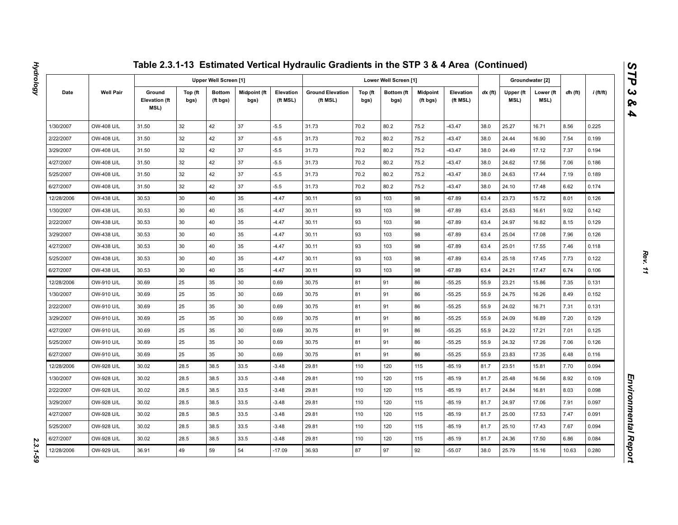|            |                  |                                        |                 |                              |                             |                       | Table 2.3.1-13 Estimated Vertical Hydraulic Gradients in the STP 3 & 4 Area (Continued) |                 |                       |                      |                       |           |                   |                   |         |                  |
|------------|------------------|----------------------------------------|-----------------|------------------------------|-----------------------------|-----------------------|-----------------------------------------------------------------------------------------|-----------------|-----------------------|----------------------|-----------------------|-----------|-------------------|-------------------|---------|------------------|
|            |                  |                                        |                 | <b>Upper Well Screen [1]</b> |                             |                       |                                                                                         |                 | Lower Well Screen [1] |                      |                       |           |                   | Groundwater [2]   |         |                  |
| Date       | <b>Well Pair</b> | Ground<br><b>Elevation (ft</b><br>MSL) | Top (ft<br>bgs) | <b>Bottom</b><br>(ft bgs)    | <b>Midpoint (ft</b><br>bgs) | Elevation<br>(ft MSL) | <b>Ground Elevation</b><br>(ft MSL)                                                     | Top (ft<br>bgs) | Bottom (ft<br>bgs)    | Midpoint<br>(ft bgs) | Elevation<br>(ft MSL) | $dx$ (ft) | Upper (ft<br>MSL) | Lower (ft<br>MSL) | dh (ft) | <i>i</i> (ft/ft) |
| 1/30/2007  | OW-408 U/L       | 31.50                                  | 32              | 42                           | 37                          | $-5.5$                | 31.73                                                                                   | 70.2            | 80.2                  | 75.2                 | $-43.47$              | 38.0      | 25.27             | 16.71             | 8.56    | 0.225            |
| 2/22/2007  | OW-408 U/L       | 31.50                                  | 32              | 42                           | 37                          | $-5.5$                | 31.73                                                                                   | 70.2            | 80.2                  | 75.2                 | $-43.47$              | 38.0      | 24.44             | 16.90             | 7.54    | 0.199            |
| 3/29/2007  | OW-408 U/L       | 31.50                                  | 32              | 42                           | 37                          | $-5.5$                | 31.73                                                                                   | 70.2            | 80.2                  | 75.2                 | $-43.47$              | 38.0      | 24.49             | 17.12             | 7.37    | 0.194            |
| 4/27/2007  | OW-408 U/L       | 31.50                                  | 32              | 42                           | 37                          | $-5.5$                | 31.73                                                                                   | 70.2            | 80.2                  | 75.2                 | $-43.47$              | 38.0      | 24.62             | 17.56             | 7.06    | 0.186            |
| 5/25/2007  | OW-408 U/L       | 31.50                                  | 32              | 42                           | 37                          | $-5.5$                | 31.73                                                                                   | 70.2            | 80.2                  | 75.2                 | $-43.47$              | 38.0      | 24.63             | 17.44             | 7.19    | 0.189            |
| 6/27/2007  | OW-408 U/L       | 31.50                                  | 32              | 42                           | 37                          | $-5.5$                | 31.73                                                                                   | 70.2            | 80.2                  | 75.2                 | $-43.47$              | 38.0      | 24.10             | 17.48             | 6.62    | 0.174            |
| 12/28/2006 | OW-438 U/L       | 30.53                                  | 30              | 40                           | 35                          | $-4.47$               | 30.11                                                                                   | 93              | 103                   | 98                   | $-67.89$              | 63.4      | 23.73             | 15.72             | 8.01    | 0.126            |
| 1/30/2007  | OW-438 U/L       | 30.53                                  | 30              | 40                           | 35                          | $-4.47$               | 30.11                                                                                   | 93              | 103                   | 98                   | $-67.89$              | 63.4      | 25.63             | 16.61             | 9.02    | 0.142            |
| 2/22/2007  | OW-438 U/L       | 30.53                                  | 30              | 40                           | 35                          | $-4.47$               | 30.11                                                                                   | 93              | 103                   | 98                   | $-67.89$              | 63.4      | 24.97             | 16.82             | 8.15    | 0.129            |
| 3/29/2007  | OW-438 U/L       | 30.53                                  | 30              | 40                           | 35                          | $-4.47$               | 30.11                                                                                   | 93              | 103                   | 98                   | $-67.89$              | 63.4      | 25.04             | 17.08             | 7.96    | 0.126            |
| 4/27/2007  | OW-438 U/L       | 30.53                                  | 30              | 40                           | 35                          | $-4.47$               | 30.11                                                                                   | 93              | 103                   | 98                   | $-67.89$              | 63.4      | 25.01             | 17.55             | 7.46    | 0.118            |
| 5/25/2007  | OW-438 U/L       | 30.53                                  | 30              | 40                           | 35                          | $-4.47$               | 30.11                                                                                   | 93              | 103                   | 98                   | $-67.89$              | 63.4      | 25.18             | 17.45             | 7.73    | 0.122            |
| 6/27/2007  | OW-438 U/L       | 30.53                                  | 30              | 40                           | 35                          | $-4.47$               | 30.11                                                                                   | 93              | 103                   | 98                   | $-67.89$              | 63.4      | 24.21             | 17.47             | 6.74    | 0.106            |
| 12/28/2006 | OW-910 U/L       | 30.69                                  | 25              | 35                           | 30                          | 0.69                  | 30.75                                                                                   | 81              | 91                    | 86                   | $-55.25$              | 55.9      | 23.21             | 15.86             | 7.35    | 0.131            |
| 1/30/2007  | OW-910 U/L       | 30.69                                  | 25              | 35                           | 30                          | 0.69                  | 30.75                                                                                   | 81              | 91                    | 86                   | $-55.25$              | 55.9      | 24.75             | 16.26             | 8.49    | 0.152            |
| 2/22/2007  | OW-910 U/L       | 30.69                                  | 25              | 35                           | 30                          | 0.69                  | 30.75                                                                                   | 81              | 91                    | 86                   | $-55.25$              | 55.9      | 24.02             | 16.71             | 7.31    | 0.131            |
| 3/29/2007  | OW-910 U/L       | 30.69                                  | 25              | 35                           | 30                          | 0.69                  | 30.75                                                                                   | 81              | 91                    | 86                   | $-55.25$              | 55.9      | 24.09             | 16.89             | 7.20    | 0.129            |
| 4/27/2007  | OW-910 U/L       | 30.69                                  | 25              | 35                           | 30                          | 0.69                  | 30.75                                                                                   | 81              | 91                    | 86                   | $-55.25$              | 55.9      | 24.22             | 17.21             | 7.01    | 0.125            |
| 5/25/2007  | OW-910 U/L       | 30.69                                  | 25              | 35                           | 30                          | 0.69                  | 30.75                                                                                   | 81              | 91                    | 86                   | $-55.25$              | 55.9      | 24.32             | 17.26             | 7.06    | 0.126            |
| 6/27/2007  | OW-910 U/L       | 30.69                                  | 25              | 35                           | 30                          | 0.69                  | 30.75                                                                                   | 81              | 91                    | 86                   | $-55.25$              | 55.9      | 23.83             | 17.35             | 6.48    | 0.116            |
| 12/28/2006 | OW-928 U/L       | 30.02                                  | 28.5            | 38.5                         | 33.5                        | $-3.48$               | 29.81                                                                                   | 110             | 120                   | 115                  | $-85.19$              | 81.7      | 23.51             | 15.81             | 7.70    | 0.094            |
| 1/30/2007  | OW-928 U/L       | 30.02                                  | 28.5            | 38.5                         | 33.5                        | $-3.48$               | 29.81                                                                                   | 110             | 120                   | 115                  | -85.19                | 81.7      | 25.48             | 16.56             | 8.92    | 0.109            |
| 2/22/2007  | OW-928 U/L       | 30.02                                  | 28.5            | 38.5                         | 33.5                        | $-3.48$               | 29.81                                                                                   | 110             | 120                   | 115                  | $-85.19$              | 81.7      | 24.84             | 16.81             | 8.03    | 0.098            |
| 3/29/2007  | OW-928 U/L       | 30.02                                  | 28.5            | 38.5                         | 33.5                        | $-3.48$               | 29.81                                                                                   | 110             | 120                   | 115                  | -85.19                | 81.7      | 24.97             | 17.06             | 7.91    | 0.097            |
| 4/27/2007  | OW-928 U/L       | 30.02                                  | 28.5            | 38.5                         | 33.5                        | $-3.48$               | 29.81                                                                                   | 110             | 120                   | 115                  | $-85.19$              | 81.7      | 25.00             | 17.53             | 7.47    | 0.091            |
| 5/25/2007  | OW-928 U/L       | 30.02                                  | 28.5            | 38.5                         | 33.5                        | $-3.48$               | 29.81                                                                                   | 110             | 120                   | 115                  | -85.19                | 81.7      | 25.10             | 17.43             | 7.67    | 0.094            |
| 6/27/2007  | OW-928 U/L       | 30.02                                  | 28.5            | 38.5                         | 33.5                        | $-3.48$               | 29.81                                                                                   | 110             | 120                   | 115                  | $-85.19$              | 81.7      | 24.36             | 17.50             | 6.86    | 0.084            |
| 12/28/2006 | OW-929 U/L       | 36.91                                  | 49              | 59                           | 54                          | $-17.09$              | 36.93                                                                                   | 87              | 97                    | 92                   | $-55.07$              | 38.0      | 25.79             | 15.16             | 10.63   | 0.280            |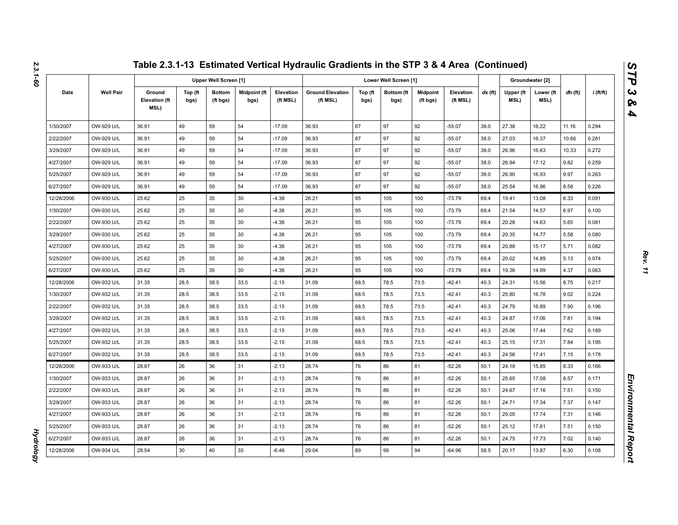|            |                  |                                        |                 |                           |                      |                       | Table 2.3.1-13 Estimated Vertical Hydraulic Gradients in the STP 3 & 4 Area (Continued) |                 |                       |                             |                       |           |                   |                   |         |             |
|------------|------------------|----------------------------------------|-----------------|---------------------------|----------------------|-----------------------|-----------------------------------------------------------------------------------------|-----------------|-----------------------|-----------------------------|-----------------------|-----------|-------------------|-------------------|---------|-------------|
|            |                  |                                        |                 | Upper Well Screen [1]     |                      |                       |                                                                                         |                 | Lower Well Screen [1] |                             |                       |           |                   | Groundwater [2]   |         |             |
| Date       | <b>Well Pair</b> | Ground<br><b>Elevation (ft</b><br>MSL) | Top (ft<br>bgs) | <b>Bottom</b><br>(ft bgs) | Midpoint (ft<br>bgs) | Elevation<br>(ft MSL) | <b>Ground Elevation</b><br>(ft MSL)                                                     | Top (ft<br>bgs) | Bottom (ft<br>bgs)    | <b>Midpoint</b><br>(ft bgs) | Elevation<br>(ft MSL) | $dx$ (ft) | Upper (ft<br>MSL) | Lower (ft<br>MSL) | dh (ft) | $i$ (ft/ft) |
| 1/30/2007  | OW-929 U/L       | 36.91                                  | 49              | 59                        | 54                   | $-17.09$              | 36.93                                                                                   | 87              | 97                    | 92                          | $-55.07$              | 38.0      | 27.38             | 16.22             | 11.16   | 0.294       |
| 2/22/2007  | OW-929 U/L       | 36.91                                  | 49              | 59                        | 54                   | $-17.09$              | 36.93                                                                                   | 87              | 97                    | 92                          | $-55.07$              | 38.0      | 27.03             | 16.37             | 10.66   | 0.281       |
| 3/29/2007  | OW-929 U/L       | 36.91                                  | 49              | 59                        | 54                   | $-17.09$              | 36.93                                                                                   | 87              | 97                    | 92                          | $-55.07$              | 38.0      | 26.96             | 16.63             | 10.33   | 0.272       |
| 4/27/2007  | OW-929 U/L       | 36.91                                  | 49              | 59                        | 54                   | $-17.09$              | 36.93                                                                                   | 87              | 97                    | 92                          | $-55.07$              | 38.0      | 26.94             | 17.12             | 9.82    | 0.259       |
| 5/25/2007  | OW-929 U/L       | 36.91                                  | 49              | 59                        | 54                   | $-17.09$              | 36.93                                                                                   | 87              | 97                    | 92                          | $-55.07$              | 38.0      | 26.90             | 16.93             | 9.97    | 0.263       |
| 6/27/2007  | OW-929 U/L       | 36.91                                  | 49              | 59                        | 54                   | $-17.09$              | 36.93                                                                                   | 87              | 97                    | 92                          | $-55.07$              | 38.0      | 25.54             | 16.96             | 8.58    | 0.226       |
| 12/28/2006 | OW-930 U/L       | 25.62                                  | 25              | 35                        | 30                   | $-4.38$               | 26.21                                                                                   | 95              | 105                   | 100                         | $-73.79$              | 69.4      | 19.41             | 13.08             | 6.33    | 0.091       |
| 1/30/2007  | OW-930 U/L       | 25.62                                  | 25              | 35                        | 30                   | $-4.38$               | 26.21                                                                                   | 95              | 105                   | 100                         | $-73.79$              | 69.4      | 21.54             | 14.57             | 6.97    | 0.100       |
| 2/22/2007  | OW-930 U/L       | 25.62                                  | 25              | 35                        | 30                   | $-4.38$               | 26.21                                                                                   | 95              | 105                   | 100                         | $-73.79$              | 69.4      | 20.28             | 14.63             | 5.65    | 0.081       |
| 3/29/2007  | OW-930 U/L       | 25.62                                  | 25              | 35                        | 30                   | $-4.38$               | 26.21                                                                                   | 95              | 105                   | 100                         | $-73.79$              | 69.4      | 20.35             | 14.77             | 5.58    | 0.080       |
| 4/27/2007  | OW-930 U/L       | 25.62                                  | 25              | 35                        | 30                   | $-4.38$               | 26.21                                                                                   | 95              | 105                   | 100                         | $-73.79$              | 69.4      | 20.88             | 15.17             | 5.71    | 0.082       |
| 5/25/2007  | OW-930 U/L       | 25.62                                  | 25              | 35                        | 30                   | $-4.38$               | 26.21                                                                                   | 95              | 105                   | 100                         | $-73.79$              | 69.4      | 20.02             | 14.89             | 5.13    | 0.074       |
| 6/27/2007  | OW-930 U/L       | 25.62                                  | 25              | 35                        | 30                   | $-4.38$               | 26.21                                                                                   | 95              | 105                   | 100                         | $-73.79$              | 69.4      | 19.36             | 14.99             | 4.37    | 0.063       |
| 12/28/2006 | OW-932 U/L       | 31.35                                  | 28.5            | 38.5                      | 33.5                 | $-2.15$               | 31.09                                                                                   | 68.5            | 78.5                  | 73.5                        | $-42.41$              | 40.3      | 24.31             | 15.56             | 8.75    | 0.217       |
| 1/30/2007  | OW-932 U/L       | 31.35                                  | 28.5            | 38.5                      | 33.5                 | $-2.15$               | 31.09                                                                                   | 68.5            | 78.5                  | 73.5                        | $-42.41$              | 40.3      | 25.80             | 16.78             | 9.02    | 0.224       |
| 2/22/2007  | OW-932 U/L       | 31.35                                  | 28.5            | 38.5                      | 33.5                 | $-2.15$               | 31.09                                                                                   | 68.5            | 78.5                  | 73.5                        | $-42.41$              | 40.3      | 24.79             | 16.89             | 7.90    | 0.196       |
| 3/29/2007  | OW-932 U/L       | 31.35                                  | 28.5            | 38.5                      | 33.5                 | $-2.15$               | 31.09                                                                                   | 68.5            | 78.5                  | 73.5                        | $-42.41$              | 40.3      | 24.87             | 17.06             | 7.81    | 0.194       |
| 4/27/2007  | OW-932 U/L       | 31.35                                  | 28.5            | 38.5                      | 33.5                 | $-2.15$               | 31.09                                                                                   | 68.5            | 78.5                  | 73.5                        | $-42.41$              | 40.3      | 25.06             | 17.44             | 7.62    | 0.189       |
| 5/25/2007  | OW-932 U/L       | 31.35                                  | 28.5            | 38.5                      | 33.5                 | $-2.15$               | 31.09                                                                                   | 68.5            | 78.5                  | 73.5                        | $-42.41$              | 40.3      | 25.15             | 17.31             | 7.84    | 0.195       |
| 6/27/2007  | OW-932 U/L       | 31.35                                  | 28.5            | 38.5                      | 33.5                 | $-2.15$               | 31.09                                                                                   | 68.5            | 78.5                  | 73.5                        | $-42.41$              | 40.3      | 24.56             | 17.41             | 7.15    | 0.178       |
| 12/28/2006 | OW-933 U/L       | 28.87                                  | 26              | 36                        | 31                   | $-2.13$               | 28.74                                                                                   | 76              | 86                    | 81                          | $-52.26$              | 50.1      | 24.18             | 15.85             | 8.33    | 0.166       |
| 1/30/2007  | OW-933 U/L       | 28.87                                  | 26              | 36                        | 31                   | $-2.13$               | 28.74                                                                                   | 76              | 86                    | 81                          | $-52.26$              | 50.1      | 25.65             | 17.08             | 8.57    | 0.171       |
| 2/22/2007  | OW-933 U/L       | 28.87                                  | 26              | 36                        | 31                   | $-2.13$               | 28.74                                                                                   | 76              | 86                    | 81                          | $-52.26$              | 50.1      | 24.67             | 17.16             | 7.51    | 0.150       |
| 3/29/2007  | OW-933 U/L       | 28.87                                  | 26              | 36                        | 31                   | $-2.13$               | 28.74                                                                                   | 76              | 86                    | 81                          | -52.26                | 50.1      | 24.71             | 17.34             | 7.37    | 0.147       |
| 4/27/2007  | OW-933 U/L       | 28.87                                  | 26              | 36                        | 31                   | $-2.13$               | 28.74                                                                                   | 76              | 86                    | 81                          | $-52.26$              | 50.1      | 25.05             | 17.74             | 7.31    | 0.146       |
| 5/25/2007  | OW-933 U/L       | 28.87                                  | 26              | 36                        | 31                   | $-2.13$               | 28.74                                                                                   | 76              | 86                    | 81                          | -52.26                | 50.1      | 25.12             | 17.61             | 7.51    | 0.150       |
| 6/27/2007  | OW-933 U/L       | 28.87                                  | 26              | 36                        | 31                   | $-2.13$               | 28.74                                                                                   | 76              | 86                    | 81                          | $-52.26$              | 50.1      | 24.75             | 17.73             | 7.02    | 0.140       |
| 12/28/2006 | OW-934 U/L       | 28.54                                  | 30              | 40                        | 35                   | $-6.46$               | 29.04                                                                                   | 89              | 99                    | 94                          | $-64.96$              | 58.5      | 20.17             | 13.87             | 6.30    | 0.108       |

*Hydrology* 

**Hydrology** 

*STP 3 & 4*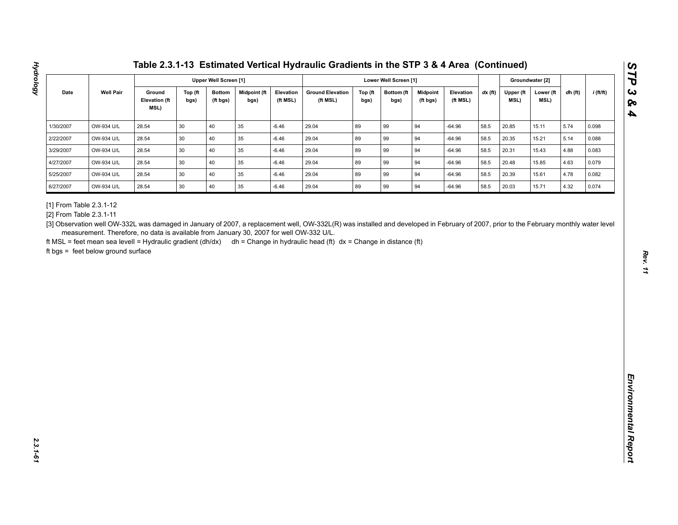| <b>Well Pair</b><br>Midpoint (ft<br><b>Ground Elevation</b><br>$dx$ (ft)<br>Date<br>Ground<br>Top (ft<br><b>Bottom</b><br>Elevation<br>Top (ft<br>Bottom (ft<br><b>Midpoint</b><br>Elevation<br>Upper (ft<br>Lower (ft<br>dh (ft)<br><b>Elevation (ft</b><br>MSL)<br>(ft bgs)<br>bgs)<br>(ft MSL)<br>(ft MSL)<br>(ft MSL)<br>MSL)<br>bgs)<br>bgs)<br>bgs)<br>(ft bgs)<br>MSL)<br>89<br>OW-934 U/L<br>28.54<br>30<br>40<br>35<br>$-6.46$<br>29.04<br>99<br>94<br>$-64.96$<br>58.5<br>20.85<br>5.74<br>15.11<br>0.098<br>OW-934 U/L<br>28.54<br>30<br>40<br>35<br>29.04<br>89<br>99<br>94<br>58.5<br>5.14<br>$-6.46$<br>$-64.96$<br>20.35<br>15.21<br>0.088<br>35<br>89<br>OW-934 U/L<br>28.54<br>30<br>40<br>$-6.46$<br>29.04<br>99<br>94<br>$-64.96$<br>58.5<br>20.31<br>15.43<br>4.88<br>0.083<br>30<br>40<br>35<br>89<br>OW-934 U/L<br>28.54<br>$-6.46$<br>29.04<br>99<br>94<br>$-64.96$<br>58.5<br>20.48<br>15.85<br>4.63<br>0.079<br>30<br>89<br>94<br>OW-934 U/L<br>28.54<br>40<br>35<br>29.04<br>99<br>$-64.96$<br>58.5<br>4.78<br>$-6.46$<br>20.39<br>15.61<br>0.082<br>89<br>OW-934 U/L<br>28.54<br>30<br>40<br>35<br>29.04<br>99<br>94<br>20.03<br>4.32<br>$-6.46$<br>$-64.96$<br>58.5<br>15.71<br>0.074<br>measurement. Therefore, no data is available from January 30, 2007 for well OW-332 U/L. | 1/30/2007<br>2/22/2007<br>3/29/2007<br>4/27/2007<br>5/25/2007<br>6/27/2007<br>[1] From Table 2.3.1-12<br>[2] From Table 2.3.1-11<br>ft MSL = feet mean sea levell = Hydraulic gradient (dh/dx) dh = Change in hydraulic head (ft) dx = Change in distance (ft)<br>ft bgs = feet below ground surface |  |  | <b>Upper Well Screen [1]</b> |  |  | Lower Well Screen [1] |  |  | Groundwater [2] |             |
|--------------------------------------------------------------------------------------------------------------------------------------------------------------------------------------------------------------------------------------------------------------------------------------------------------------------------------------------------------------------------------------------------------------------------------------------------------------------------------------------------------------------------------------------------------------------------------------------------------------------------------------------------------------------------------------------------------------------------------------------------------------------------------------------------------------------------------------------------------------------------------------------------------------------------------------------------------------------------------------------------------------------------------------------------------------------------------------------------------------------------------------------------------------------------------------------------------------------------------------------------------------------------------------------------------------|------------------------------------------------------------------------------------------------------------------------------------------------------------------------------------------------------------------------------------------------------------------------------------------------------|--|--|------------------------------|--|--|-----------------------|--|--|-----------------|-------------|
|                                                                                                                                                                                                                                                                                                                                                                                                                                                                                                                                                                                                                                                                                                                                                                                                                                                                                                                                                                                                                                                                                                                                                                                                                                                                                                              | [3] Observation well OW-332L was damaged in January of 2007, a replacement well, OW-332L(R) was installed and developed in February of 2007, prior to the February monthly water level                                                                                                               |  |  |                              |  |  |                       |  |  |                 | $i$ (ft/ft) |
|                                                                                                                                                                                                                                                                                                                                                                                                                                                                                                                                                                                                                                                                                                                                                                                                                                                                                                                                                                                                                                                                                                                                                                                                                                                                                                              |                                                                                                                                                                                                                                                                                                      |  |  |                              |  |  |                       |  |  |                 |             |
|                                                                                                                                                                                                                                                                                                                                                                                                                                                                                                                                                                                                                                                                                                                                                                                                                                                                                                                                                                                                                                                                                                                                                                                                                                                                                                              |                                                                                                                                                                                                                                                                                                      |  |  |                              |  |  |                       |  |  |                 |             |
|                                                                                                                                                                                                                                                                                                                                                                                                                                                                                                                                                                                                                                                                                                                                                                                                                                                                                                                                                                                                                                                                                                                                                                                                                                                                                                              |                                                                                                                                                                                                                                                                                                      |  |  |                              |  |  |                       |  |  |                 |             |
|                                                                                                                                                                                                                                                                                                                                                                                                                                                                                                                                                                                                                                                                                                                                                                                                                                                                                                                                                                                                                                                                                                                                                                                                                                                                                                              |                                                                                                                                                                                                                                                                                                      |  |  |                              |  |  |                       |  |  |                 |             |
|                                                                                                                                                                                                                                                                                                                                                                                                                                                                                                                                                                                                                                                                                                                                                                                                                                                                                                                                                                                                                                                                                                                                                                                                                                                                                                              |                                                                                                                                                                                                                                                                                                      |  |  |                              |  |  |                       |  |  |                 |             |
|                                                                                                                                                                                                                                                                                                                                                                                                                                                                                                                                                                                                                                                                                                                                                                                                                                                                                                                                                                                                                                                                                                                                                                                                                                                                                                              |                                                                                                                                                                                                                                                                                                      |  |  |                              |  |  |                       |  |  |                 |             |
|                                                                                                                                                                                                                                                                                                                                                                                                                                                                                                                                                                                                                                                                                                                                                                                                                                                                                                                                                                                                                                                                                                                                                                                                                                                                                                              |                                                                                                                                                                                                                                                                                                      |  |  |                              |  |  |                       |  |  |                 |             |
|                                                                                                                                                                                                                                                                                                                                                                                                                                                                                                                                                                                                                                                                                                                                                                                                                                                                                                                                                                                                                                                                                                                                                                                                                                                                                                              |                                                                                                                                                                                                                                                                                                      |  |  |                              |  |  |                       |  |  |                 |             |

**Hydrology**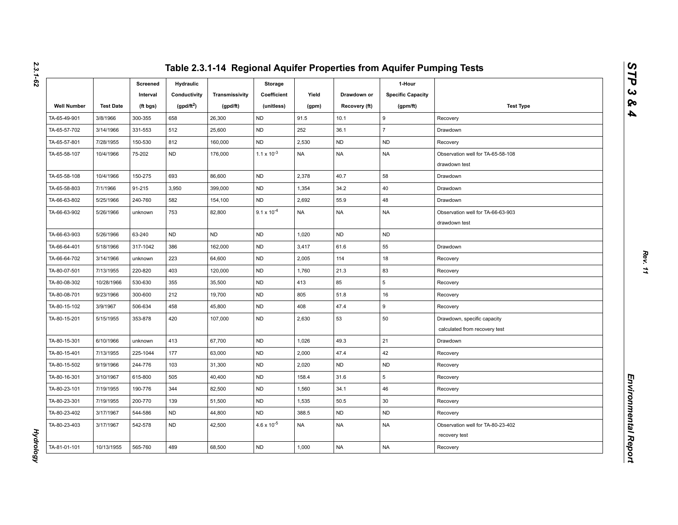|                    |                  | Screened<br>Interval | Hydraulic<br>Conductivity | Transmissivity | Storage<br>Coefficient | Yield     | Drawdown or   | 1-Hour<br><b>Specific Capacity</b> |                                                              |
|--------------------|------------------|----------------------|---------------------------|----------------|------------------------|-----------|---------------|------------------------------------|--------------------------------------------------------------|
| <b>Well Number</b> | <b>Test Date</b> | (ft bgs)             | $(gpd/ft^2)$              | (gpd/ft)       | (unitless)             | (gpm)     | Recovery (ft) | (gpm/ft)                           | <b>Test Type</b>                                             |
| TA-65-49-901       | 3/8/1966         | 300-355              | 658                       | 26,300         | <b>ND</b>              | 91.5      | 10.1          | 9                                  | Recovery                                                     |
| TA-65-57-702       | 3/14/1966        | 331-553              | 512                       | 25,600         | <b>ND</b>              | 252       | 36.1          | $\overline{7}$                     | Drawdown                                                     |
| TA-65-57-801       | 7/28/1955        | 150-530              | 812                       | 160,000        | <b>ND</b>              | 2,530     | <b>ND</b>     | <b>ND</b>                          | Recovery                                                     |
| TA-65-58-107       | 10/4/1966        | 75-202               | <b>ND</b>                 | 176,000        | $1.1 \times 10^{-3}$   | <b>NA</b> | <b>NA</b>     | <b>NA</b>                          | Observation well for TA-65-58-108<br>drawdown test           |
| TA-65-58-108       | 10/4/1966        | 150-275              | 693                       | 86,600         | <b>ND</b>              | 2,378     | 40.7          | 58                                 | Drawdown                                                     |
| TA-65-58-803       | 7/1/1966         | 91-215               | 3,950                     | 399,000        | <b>ND</b>              | 1,354     | 34.2          | 40                                 | Drawdown                                                     |
| TA-66-63-802       | 5/25/1966        | 240-760              | 582                       | 154,100        | <b>ND</b>              | 2,692     | 55.9          | 48                                 | Drawdown                                                     |
| TA-66-63-902       | 5/26/1966        | unknown              | 753                       | 82,800         | $9.1 \times 10^{-4}$   | <b>NA</b> | <b>NA</b>     | <b>NA</b>                          | Observation well for TA-66-63-903<br>drawdown test           |
| TA-66-63-903       | 5/26/1966        | 63-240               | <b>ND</b>                 | <b>ND</b>      | <b>ND</b>              | 1,020     | <b>ND</b>     | <b>ND</b>                          |                                                              |
| TA-66-64-401       | 5/18/1966        | 317-1042             | 386                       | 162,000        | <b>ND</b>              | 3,417     | 61.6          | 55                                 | Drawdown                                                     |
| TA-66-64-702       | 3/14/1966        | unknown              | 223                       | 64,600         | <b>ND</b>              | 2,005     | 114           | 18                                 | Recovery                                                     |
| TA-80-07-501       | 7/13/1955        | 220-820              | 403                       | 120,000        | <b>ND</b>              | 1,760     | 21.3          | 83                                 | Recovery                                                     |
| TA-80-08-302       | 10/28/1966       | 530-630              | 355                       | 35,500         | <b>ND</b>              | 413       | 85            | 5                                  | Recovery                                                     |
| TA-80-08-701       | 9/23/1966        | 300-600              | 212                       | 19,700         | <b>ND</b>              | 805       | 51.8          | 16                                 | Recovery                                                     |
| TA-80-15-102       | 3/9/1967         | 506-634              | 458                       | 45,800         | <b>ND</b>              | 408       | 47.4          | 9                                  | Recovery                                                     |
| TA-80-15-201       | 5/15/1955        | 353-878              | 420                       | 107,000        | <b>ND</b>              | 2,630     | 53            | 50                                 | Drawdown, specific capacity<br>calculated from recovery test |
| TA-80-15-301       | 6/10/1966        | unknown              | 413                       | 67,700         | <b>ND</b>              | 1,026     | 49.3          | 21                                 | Drawdown                                                     |
| TA-80-15-401       | 7/13/1955        | 225-1044             | 177                       | 63,000         | <b>ND</b>              | 2,000     | 47.4          | 42                                 | Recovery                                                     |
| TA-80-15-502       | 9/19/1966        | 244-776              | 103                       | 31,300         | <b>ND</b>              | 2,020     | <b>ND</b>     | <b>ND</b>                          | Recovery                                                     |
| TA-80-16-301       | 3/10/1967        | 615-800              | 505                       | 40,400         | <b>ND</b>              | 158.4     | 31.6          | 5                                  | Recovery                                                     |
| TA-80-23-101       | 7/19/1955        | 190-776              | 344                       | 82,500         | ND                     | 1,560     | 34.1          | 46                                 | Recovery                                                     |
| TA-80-23-301       | 7/19/1955        | 200-770              | 139                       | 51,500         | <b>ND</b>              | 1,535     | 50.5          | 30                                 | Recovery                                                     |
| TA-80-23-402       | 3/17/1967        | 544-586              | <b>ND</b>                 | 44,800         | <b>ND</b>              | 388.5     | <b>ND</b>     | <b>ND</b>                          | Recovery                                                     |
| TA-80-23-403       | 3/17/1967        | 542-578              | <b>ND</b>                 | 42,500         | $4.6 \times 10^{-5}$   | <b>NA</b> | <b>NA</b>     | NA                                 | Observation well for TA-80-23-402<br>recovery test           |
| TA-81-01-101       | 10/13/1955       | 565-760              | 489                       | 68,500         | <b>ND</b>              | 1,000     | <b>NA</b>     | <b>NA</b>                          | Recovery                                                     |

*Hydrology* 

**Hydrology**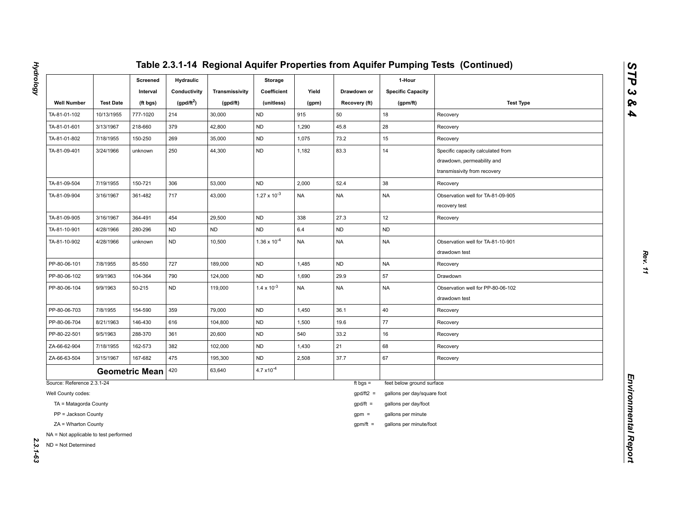|                                                              |                  | Screened<br>Interval  | <b>Hydraulic</b><br>Conductivity | Transmissivity | Storage<br>Coefficient | Yield     | Drawdown or   | 1-Hour<br><b>Specific Capacity</b> |                                                                                                 |
|--------------------------------------------------------------|------------------|-----------------------|----------------------------------|----------------|------------------------|-----------|---------------|------------------------------------|-------------------------------------------------------------------------------------------------|
| <b>Well Number</b>                                           | <b>Test Date</b> | (ft bgs)              | (gpd/ft <sup>2</sup> )           | (gpd/ft)       | (unitless)             | (gpm)     | Recovery (ft) | (gpm/ft)                           | <b>Test Type</b>                                                                                |
| TA-81-01-102                                                 | 10/13/1955       | 777-1020              | 214                              | 30,000         | <b>ND</b>              | 915       | 50            | 18                                 | Recovery                                                                                        |
| TA-81-01-601                                                 | 3/13/1967        | 218-660               | 379                              | 42,800         | <b>ND</b>              | 1,290     | 45.8          | 28                                 | Recovery                                                                                        |
| TA-81-01-802                                                 | 7/18/1955        | 150-250               | 269                              | 35,000         | <b>ND</b>              | 1,075     | 73.2          | 15                                 | Recovery                                                                                        |
| TA-81-09-401                                                 | 3/24/1966        | unknown               | 250                              | 44,300         | <b>ND</b>              | 1,182     | 83.3          | 14                                 | Specific capacity calculated from<br>drawdown, permeability and<br>transmissivity from recovery |
| TA-81-09-504                                                 | 7/19/1955        | 150-721               | 306                              | 53,000         | <b>ND</b>              | 2,000     | 52.4          | 38                                 | Recovery                                                                                        |
| TA-81-09-904                                                 | 3/16/1967        | 361-482               | 717                              | 43,000         | $1.27 \times 10^{-3}$  | <b>NA</b> | <b>NA</b>     | <b>NA</b>                          | Observation well for TA-81-09-905<br>recovery test                                              |
| TA-81-09-905                                                 | 3/16/1967        | 364-491               | 454                              | 29,500         | <b>ND</b>              | 338       | 27.3          | 12                                 | Recovery                                                                                        |
| TA-81-10-901                                                 | 4/28/1966        | 280-296               | ND                               | ND             | <b>ND</b>              | $6.4\,$   | <b>ND</b>     | ND                                 |                                                                                                 |
| TA-81-10-902                                                 | 4/28/1966        | unknown               | <b>ND</b>                        | 10,500         | $1.36 \times 10^{-4}$  | <b>NA</b> | <b>NA</b>     | <b>NA</b>                          | Observation well for TA-81-10-901<br>drawdown test                                              |
| PP-80-06-101                                                 | 7/8/1955         | 85-550                | 727                              | 189,000        | <b>ND</b>              | 1,485     | <b>ND</b>     | <b>NA</b>                          | Recovery                                                                                        |
| PP-80-06-102                                                 | 9/9/1963         | 104-364               | 790                              | 124,000        | ND                     | 1,690     | 29.9          | 57                                 | Drawdown                                                                                        |
| PP-80-06-104                                                 | 9/9/1963         | 50-215                | ND                               | 119,000        | $1.4 \times 10^{-3}$   | <b>NA</b> | <b>NA</b>     | NA                                 | Observation well for PP-80-06-102<br>drawdown test                                              |
| PP-80-06-703                                                 | 7/8/1955         | 154-590               | 359                              | 79,000         | <b>ND</b>              | 1,450     | 36.1          | 40                                 | Recovery                                                                                        |
| PP-80-06-704                                                 | 8/21/1963        | 146-430               | 616                              | 104,800        | <b>ND</b>              | 1,500     | 19.6          | 77                                 | Recovery                                                                                        |
| PP-80-22-501                                                 | 9/5/1963         | 288-370               | 361                              | 20,600         | ND                     | 540       | 33.2          | 16                                 | Recovery                                                                                        |
| ZA-66-62-904                                                 | 7/18/1955        | 162-573               | 382                              | 102,000        | <b>ND</b>              | 1,430     | 21            | 68                                 | Recovery                                                                                        |
| ZA-66-63-504                                                 | 3/15/1967        | 167-682               | 475                              | 195,300        | <b>ND</b>              | 2,508     | 37.7          | 67                                 | Recovery                                                                                        |
|                                                              |                  | <b>Geometric Mean</b> | 420                              | 63,640         | $4.7 \times 10^{-4}$   |           |               |                                    |                                                                                                 |
| Source: Reference 2.3.1-24                                   |                  |                       |                                  |                |                        |           | ft bgs $=$    | feet below ground surface          |                                                                                                 |
| Well County codes:                                           |                  |                       |                                  |                |                        |           | $gpd/ft2 =$   | gallons per day/square foot        |                                                                                                 |
| TA = Matagorda County                                        |                  |                       |                                  |                |                        |           | $gpd/ft =$    | gallons per day/foot               |                                                                                                 |
| PP = Jackson County                                          |                  |                       |                                  |                |                        |           | $gpm =$       | gallons per minute                 |                                                                                                 |
| ZA = Wharton County                                          |                  |                       |                                  |                |                        |           | $gpm/ft =$    | gallons per minute/foot            |                                                                                                 |
| NA = Not applicable to test performed<br>ND = Not Determined |                  |                       |                                  |                |                        |           |               |                                    |                                                                                                 |

**Hydrology** *Hydrology 2.3.1-63*

*STP 3 & 4*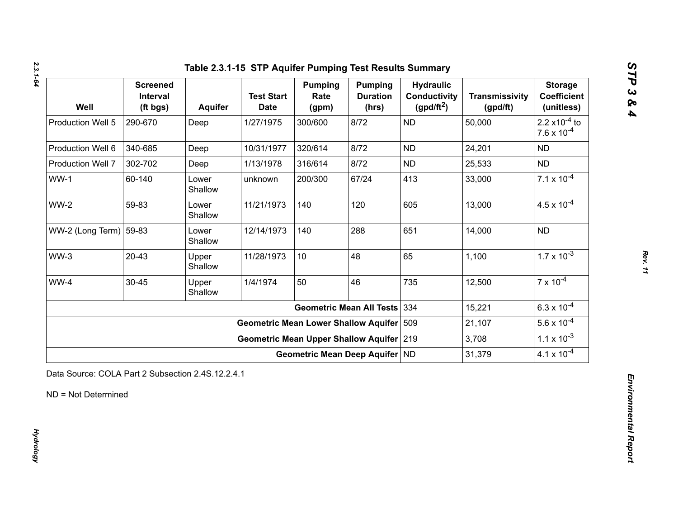| Well                             | <b>Screened</b><br>Interval<br>(ft bgs) | <b>Aquifer</b>   | <b>Test Start</b><br><b>Date</b>            | <b>Pumping</b><br>Rate<br>(gpm) | <b>Pumping</b><br><b>Duration</b><br>(hrs) | <b>Hydraulic</b><br><b>Conductivity</b><br>$(gpd/ft^2)$ | <b>Transmissivity</b><br>(gpd/ft) | <b>Storage</b><br><b>Coefficient</b><br>(unitless)       |
|----------------------------------|-----------------------------------------|------------------|---------------------------------------------|---------------------------------|--------------------------------------------|---------------------------------------------------------|-----------------------------------|----------------------------------------------------------|
| Production Well 5                | 290-670                                 | Deep             | 1/27/1975                                   | 300/600                         | 8/72                                       | <b>ND</b>                                               | 50,000                            | 2.2 $\times$ 10 <sup>-4</sup> to<br>$7.6 \times 10^{-4}$ |
| Production Well 6                | 340-685                                 | Deep             | 10/31/1977                                  | 320/614                         | 8/72                                       | <b>ND</b>                                               | 24,201                            | <b>ND</b>                                                |
| Production Well 7                | 302-702                                 | Deep             | 1/13/1978                                   | 316/614                         | 8/72                                       | <b>ND</b>                                               | 25,533                            | <b>ND</b>                                                |
| $WW-1$                           | 60-140                                  | Lower<br>Shallow | unknown                                     | 200/300                         | 67/24                                      | 413                                                     | 33,000                            | $7.1 \times 10^{-4}$                                     |
| $WW-2$                           | 59-83                                   | Lower<br>Shallow | 11/21/1973                                  | 140                             | 120                                        | 605                                                     | 13,000                            | $4.5 \times 10^{-4}$                                     |
| WW-2 (Long Term) $ 59-83\rangle$ |                                         | Lower<br>Shallow | 12/14/1973                                  | 140                             | 288                                        | 651                                                     | 14,000                            | <b>ND</b>                                                |
| $WW-3$                           | $20 - 43$                               | Upper<br>Shallow | 11/28/1973                                  | 10                              | 48                                         | 65                                                      | 1,100                             | $1.7 \times 10^{-3}$                                     |
| WW-4                             | 30-45                                   | Upper<br>Shallow | 1/4/1974                                    | 50                              | 46                                         | 735                                                     | 12,500                            | $7 \times 10^{-4}$                                       |
|                                  |                                         |                  |                                             |                                 | <b>Geometric Mean All Tests</b>            | 334                                                     | 15,221                            | $6.3 \times 10^{-4}$                                     |
|                                  |                                         |                  | <b>Geometric Mean Lower Shallow Aquifer</b> |                                 |                                            | 509                                                     | 21,107                            | $5.6 \times 10^{-4}$                                     |
|                                  |                                         |                  | Geometric Mean Upper Shallow Aquifer 219    |                                 |                                            |                                                         | 3,708                             | $1.1 \times 10^{-3}$                                     |
|                                  |                                         |                  |                                             |                                 | Geometric Mean Deep Aquifer ND             |                                                         | 31,379                            | $4.1 \times 10^{-4}$                                     |

*Rev. 11*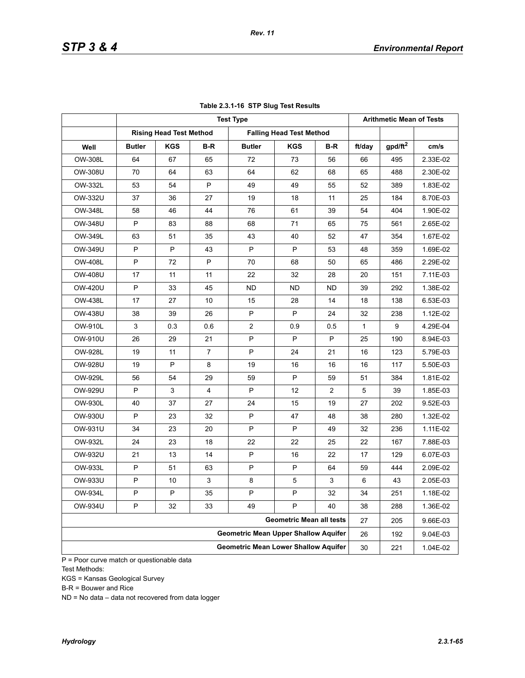|                |               |                                |     | <b>Test Type</b>                            |                                 |     |        | <b>Arithmetic Mean of Tests</b> |          |
|----------------|---------------|--------------------------------|-----|---------------------------------------------|---------------------------------|-----|--------|---------------------------------|----------|
|                |               | <b>Rising Head Test Method</b> |     |                                             | <b>Falling Head Test Method</b> |     |        |                                 |          |
| Well           | <b>Butler</b> | <b>KGS</b>                     | B-R | <b>Butler</b>                               | <b>KGS</b>                      | B-R | ft/day | gpd/ft <sup>2</sup>             | cm/s     |
| OW-308L        | 64            | 67                             | 65  | 72                                          | 73                              | 56  | 66     | 495                             | 2.33E-02 |
| OW-308U        | 70            | 64                             | 63  | 64                                          | 62                              | 68  | 65     | 488                             | 2.30E-02 |
| OW-332L        | 53            | 54                             | P   | 49                                          | 49                              | 55  | 52     | 389                             | 1.83E-02 |
| OW-332U        | 37            | 36                             | 27  | 19                                          | 18                              | 11  | 25     | 184                             | 8.70E-03 |
| <b>OW-348L</b> | 58            | 46                             | 44  | 76                                          | 61                              | 39  | 54     | 404                             | 1.90E-02 |
| OW-348U        | P             | 83                             | 88  | 68                                          | 71                              | 65  | 75     | 561                             | 2.65E-02 |
| OW-349L        | 63            | 51                             | 35  | 43                                          | 40                              | 52  | 47     | 354                             | 1.67E-02 |
| OW-349U        | P             | P                              | 43  | P                                           | P                               | 53  | 48     | 359                             | 1.69E-02 |
| <b>OW-408L</b> | P             | 72                             | P   | 70                                          | 68                              | 50  | 65     | 486                             | 2.29E-02 |
| <b>OW-408U</b> | 17            | 11                             | 11  | 22                                          | 32                              | 28  | 20     | 151                             | 7.11E-03 |
| <b>OW-420U</b> | P             | 33                             | 45  | <b>ND</b>                                   | ND.                             | ND  | 39     | 292                             | 1.38E-02 |
| <b>OW-438L</b> | 17            | 27                             | 10  | 15                                          | 28                              | 14  | 18     | 138                             | 6.53E-03 |
| <b>OW-438U</b> | 38            | 39                             | 26  | P                                           | P                               | 24  | 32     | 238                             | 1.12E-02 |
| <b>OW-910L</b> | 3             | 0.3                            | 0.6 | $\overline{2}$                              | 0.9                             | 0.5 | 1      | 9                               | 4.29E-04 |
| OW-910U        | 26            | 29                             | 21  | P                                           | P                               | P   | 25     | 190                             | 8.94E-03 |
| <b>OW-928L</b> | 19            | 11                             | 7   | P                                           | 24                              | 21  | 16     | 123                             | 5.79E-03 |
| <b>OW-928U</b> | 19            | P                              | 8   | 19                                          | 16                              | 16  | 16     | 117                             | 5.50E-03 |
| OW-929L        | 56            | 54                             | 29  | 59                                          | P                               | 59  | 51     | 384                             | 1.81E-02 |
| OW-929U        | P             | 3                              | 4   | P                                           | 12                              | 2   | 5      | 39                              | 1.85E-03 |
| <b>OW-930L</b> | 40            | 37                             | 27  | 24                                          | 15                              | 19  | 27     | 202                             | 9.52E-03 |
| OW-930U        | P             | 23                             | 32  | P                                           | 47                              | 48  | 38     | 280                             | 1.32E-02 |
| OW-931U        | 34            | 23                             | 20  | P                                           | P                               | 49  | 32     | 236                             | 1.11E-02 |
| OW-932L        | 24            | 23                             | 18  | 22                                          | 22                              | 25  | 22     | 167                             | 7.88E-03 |
| OW-932U        | 21            | 13                             | 14  | P                                           | 16                              | 22  | 17     | 129                             | 6.07E-03 |
| OW-933L        | P             | 51                             | 63  | P                                           | P                               | 64  | 59     | 444                             | 2.09E-02 |
| OW-933U        | P             | 10                             | 3   | 8                                           | 5                               | 3   | 6      | 43                              | 2.05E-03 |
| OW-934L        | P             | ${\sf P}$                      | 35  | P                                           | P                               | 32  | 34     | 251                             | 1.18E-02 |
| OW-934U        | P             | 32                             | 33  | 49                                          | P                               | 40  | 38     | 288                             | 1.36E-02 |
|                |               |                                |     |                                             | <b>Geometric Mean all tests</b> |     | 27     | 205                             | 9.66E-03 |
|                |               |                                |     | <b>Geometric Mean Upper Shallow Aquifer</b> |                                 |     | 26     | 192                             | 9.04E-03 |
|                |               |                                |     | <b>Geometric Mean Lower Shallow Aquifer</b> |                                 |     | 30     | 221                             | 1.04E-02 |

## **Table 2.3.1-16 STP Slug Test Results**

P = Poor curve match or questionable data Test Methods:

KGS = Kansas Geological Survey

B-R = Bouwer and Rice

ND = No data – data not recovered from data logger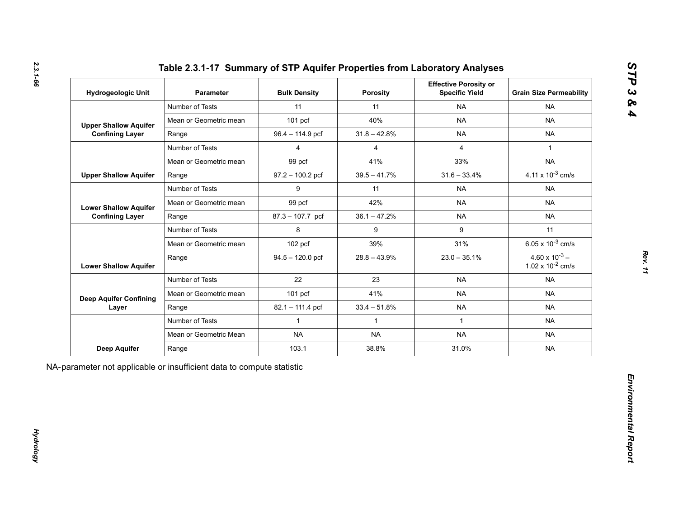| Hydrogeologic Unit            | <b>Parameter</b>       | <b>Bulk Density</b> | <b>Porosity</b> | <b>Effective Porosity or</b><br><b>Specific Yield</b> | <b>Grain Size Permeability</b>                   |
|-------------------------------|------------------------|---------------------|-----------------|-------------------------------------------------------|--------------------------------------------------|
|                               | Number of Tests        | 11                  | 11              | <b>NA</b>                                             | <b>NA</b>                                        |
| <b>Upper Shallow Aquifer</b>  | Mean or Geometric mean | $101$ pcf           | 40%             | <b>NA</b>                                             | <b>NA</b>                                        |
| <b>Confining Layer</b>        | Range                  | 96.4 - 114.9 pcf    | $31.8 - 42.8%$  | <b>NA</b>                                             | <b>NA</b>                                        |
|                               | Number of Tests        | $\overline{4}$      | $\overline{4}$  | $\overline{4}$                                        | $\mathbf{1}$                                     |
|                               | Mean or Geometric mean | 99 pcf              | 41%             | 33%                                                   | <b>NA</b>                                        |
| <b>Upper Shallow Aquifer</b>  | Range                  | $97.2 - 100.2$ pcf  | $39.5 - 41.7\%$ | $31.6 - 33.4%$                                        | 4.11 x $10^{-3}$ cm/s                            |
|                               | Number of Tests        | 9                   | 11              | <b>NA</b>                                             | <b>NA</b>                                        |
| <b>Lower Shallow Aquifer</b>  | Mean or Geometric mean | 99 pcf              | 42%             | <b>NA</b>                                             | <b>NA</b>                                        |
| <b>Confining Layer</b>        | Range                  | 87.3 - 107.7 pcf    | $36.1 - 47.2%$  | <b>NA</b>                                             | <b>NA</b>                                        |
|                               | Number of Tests        | 8                   | 9               | 9                                                     | 11                                               |
|                               | Mean or Geometric mean | 102 pcf             | 39%             | 31%                                                   | 6.05 x $10^{-3}$ cm/s                            |
| <b>Lower Shallow Aquifer</b>  | Range                  | $94.5 - 120.0$ pcf  | $28.8 - 43.9%$  | $23.0 - 35.1\%$                                       | $4.60 \times 10^{-3}$ –<br>1.02 x $10^{-2}$ cm/s |
|                               | Number of Tests        | 22                  | 23              | <b>NA</b>                                             | <b>NA</b>                                        |
| <b>Deep Aquifer Confining</b> | Mean or Geometric mean | 101 pcf             | 41%             | <b>NA</b>                                             | <b>NA</b>                                        |
| Layer                         | Range                  | 82.1 - 111.4 pcf    | $33.4 - 51.8%$  | <b>NA</b>                                             | <b>NA</b>                                        |
|                               | Number of Tests        | $\mathbf{1}$        | $\mathbf{1}$    | $\mathbf{1}$                                          | <b>NA</b>                                        |
|                               | Mean or Geometric Mean | <b>NA</b>           | <b>NA</b>       | <b>NA</b>                                             | <b>NA</b>                                        |
| <b>Deep Aquifer</b>           | Range                  | 103.1               | 38.8%           | 31.0%                                                 | <b>NA</b>                                        |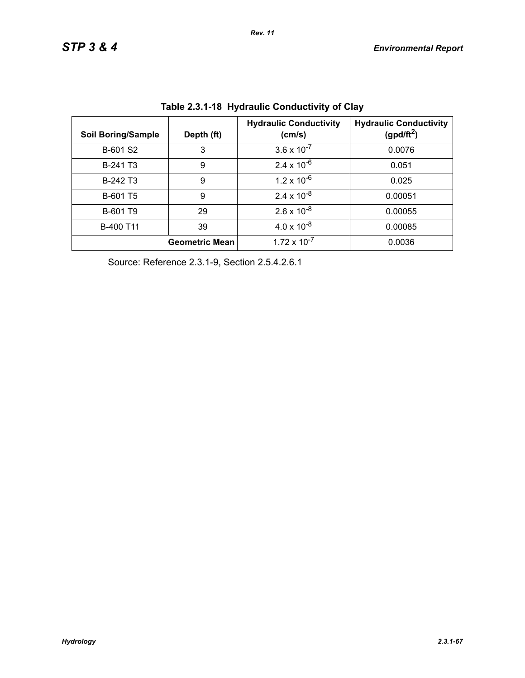| <b>Soil Boring/Sample</b> | Depth (ft)            | <b>Hydraulic Conductivity</b><br>(cm/s) | <b>Hydraulic Conductivity</b><br>(gpd/ft <sup>2</sup> ) |
|---------------------------|-----------------------|-----------------------------------------|---------------------------------------------------------|
| B-601 S2                  | 3                     | $3.6 \times 10^{-7}$                    | 0.0076                                                  |
| B-241 T <sub>3</sub>      | 9                     | $2.4 \times 10^{-6}$                    | 0.051                                                   |
| B-242 T <sub>3</sub>      | 9                     | $1.2 \times 10^{-6}$                    | 0.025                                                   |
| B-601 T5                  | 9                     | $2.4 \times 10^{-8}$                    | 0.00051                                                 |
| B-601 T9                  | 29                    | $2.6 \times 10^{-8}$                    | 0.00055                                                 |
| B-400 T11                 | 39                    | $4.0 \times 10^{-8}$                    | 0.00085                                                 |
|                           | <b>Geometric Mean</b> | $1.72 \times 10^{-7}$                   | 0.0036                                                  |

**Table 2.3.1-18 Hydraulic Conductivity of Clay** 

Source: Reference 2.3.1-9, Section 2.5.4.2.6.1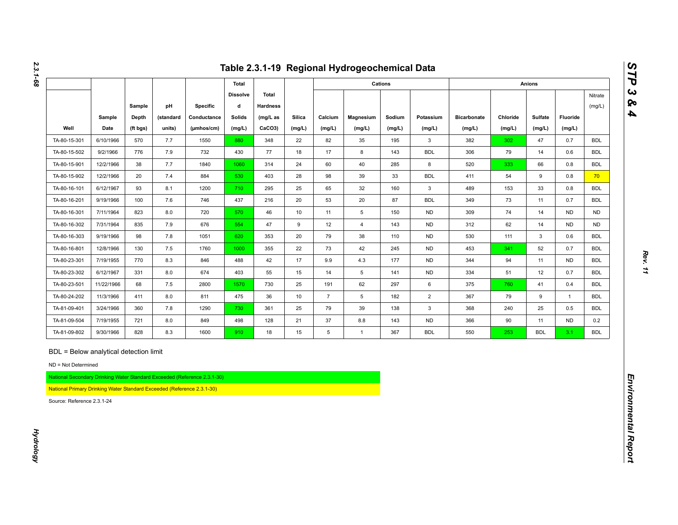|                                                                                                                                                                       |            |          |           |                                                                          |                      |                          |               |                 | Table 2.3.1-19 Regional Hydrogeochemical Data |         |                |                    |          |               |                |                   |
|-----------------------------------------------------------------------------------------------------------------------------------------------------------------------|------------|----------|-----------|--------------------------------------------------------------------------|----------------------|--------------------------|---------------|-----------------|-----------------------------------------------|---------|----------------|--------------------|----------|---------------|----------------|-------------------|
|                                                                                                                                                                       |            |          |           |                                                                          | <b>Total</b>         |                          |               |                 |                                               | Cations |                |                    |          | <b>Anions</b> |                |                   |
|                                                                                                                                                                       |            | Sample   | pH        | Specific                                                                 | <b>Dissolve</b><br>d | Total<br><b>Hardness</b> |               |                 |                                               |         |                |                    |          |               |                | Nitrate<br>(mg/L) |
|                                                                                                                                                                       | Sample     | Depth    | (standard | Conductance                                                              | <b>Solids</b>        | $(mg/L)$ as              | <b>Silica</b> | Calcium         | Magnesium                                     | Sodium  | Potassium      | <b>Bicarbonate</b> | Chloride | Sulfate       | Fluoride       |                   |
| Well                                                                                                                                                                  | Date       | (ft bgs) | units)    | (µmhos/cm)                                                               | (mg/L)               | CaCO3)                   | (mg/L)        | (mg/L)          | (mg/L)                                        | (mg/L)  | (mg/L)         | (mg/L)             | (mg/L)   | (mg/L)        | (mg/L)         |                   |
| TA-80-15-301                                                                                                                                                          | 6/10/1966  | 570      | 7.7       | 1550                                                                     | 880                  | 348                      | 22            | 82              | 35                                            | 195     | 3              | 382                | 302      | 47            | 0.7            | <b>BDL</b>        |
| TA-80-15-502                                                                                                                                                          | 9/2/1966   | 776      | 7.9       | 732                                                                      | 430                  | 77                       | 18            | 17              | 8                                             | 143     | <b>BDL</b>     | 306                | 79       | 14            | 0.6            | <b>BDL</b>        |
| TA-80-15-901                                                                                                                                                          | 12/2/1966  | 38       | 7.7       | 1840                                                                     | 1060                 | 314                      | 24            | 60              | 40                                            | 285     | 8              | 520                | 333      | 66            | 0.8            | <b>BDL</b>        |
| TA-80-15-902                                                                                                                                                          | 12/2/1966  | 20       | 7.4       | 884                                                                      | 530                  | 403                      | 28            | 98              | 39                                            | 33      | <b>BDL</b>     | 411                | 54       | 9             | 0.8            | 70                |
| TA-80-16-101                                                                                                                                                          | 6/12/1967  | 93       | 8.1       | 1200                                                                     | 710                  | 295                      | 25            | 65              | 32                                            | 160     | $\mathbf{3}$   | 489                | 153      | 33            | 0.8            | <b>BDL</b>        |
| TA-80-16-201                                                                                                                                                          | 9/19/1966  | 100      | 7.6       | 746                                                                      | 437                  | 216                      | 20            | 53              | 20                                            | 87      | <b>BDL</b>     | 349                | 73       | 11            | 0.7            | <b>BDL</b>        |
| TA-80-16-301                                                                                                                                                          | 7/11/1964  | 823      | 8.0       | 720                                                                      | 570                  | 46                       | 10            | 11              | 5                                             | 150     | <b>ND</b>      | 309                | 74       | 14            | <b>ND</b>      | <b>ND</b>         |
| TA-80-16-302                                                                                                                                                          | 7/31/1964  | 835      | 7.9       | 676                                                                      | 554                  | 47                       | 9             | 12              | $\overline{4}$                                | 143     | <b>ND</b>      | 312                | 62       | 14            | <b>ND</b>      | <b>ND</b>         |
| TA-80-16-303                                                                                                                                                          | 9/19/1966  | 98       | $7.8$     | 1051                                                                     | 620                  | 353                      | 20            | 79              | 38                                            | 110     | <b>ND</b>      | 530                | 111      | 3             | 0.6            | <b>BDL</b>        |
| TA-80-16-801                                                                                                                                                          | 12/8/1966  | 130      | 7.5       | 1760                                                                     | 1000                 | 355                      | 22            | 73              | 42                                            | 245     | <b>ND</b>      | 453                | 341      | 52            | 0.7            | <b>BDL</b>        |
| TA-80-23-301                                                                                                                                                          | 7/19/1955  | 770      | 8.3       | 846                                                                      | 488                  | 42                       | 17            | 9.9             | 4.3                                           | 177     | <b>ND</b>      | 344                | 94       | 11            | <b>ND</b>      | <b>BDL</b>        |
| TA-80-23-302                                                                                                                                                          | 6/12/1967  | 331      | 8.0       | 674                                                                      | 403                  | 55                       | 15            | 14              | 5                                             | 141     | <b>ND</b>      | 334                | 51       | 12            | 0.7            | <b>BDL</b>        |
| TA-80-23-501                                                                                                                                                          | 11/22/1966 | 68       | 7.5       | 2800                                                                     | 1570                 | 730                      | 25            | 191             | 62                                            | 297     | 6              | 375                | 760      | 41            | 0.4            | <b>BDL</b>        |
| TA-80-24-202                                                                                                                                                          | 11/3/1966  | 411      | 8.0       | 811                                                                      | 475                  | 36                       | 10            | $\overline{7}$  | 5                                             | 182     | $\overline{2}$ | 367                | 79       | 9             | $\overline{1}$ | <b>BDL</b>        |
| TA-81-09-401                                                                                                                                                          | 3/24/1966  | 360      | $7.8$     | 1290                                                                     | 730                  | 361                      | 25            | 79              | 39                                            | 138     | $\mathbf{3}$   | 368                | 240      | 25            | 0.5            | <b>BDL</b>        |
| TA-81-09-504                                                                                                                                                          | 7/19/1955  | 721      | 8.0       | 849                                                                      | 498                  | 128                      | 21            | 37              | 8.8                                           | 143     | <b>ND</b>      | 366                | 90       | 11            | <b>ND</b>      | 0.2               |
| TA-81-09-802                                                                                                                                                          | 9/30/1966  | 828      | 8.3       | 1600                                                                     | 910                  | 18                       | 15            | $5\phantom{.0}$ | $\mathbf{1}$                                  | 367     | <b>BDL</b>     | 550                | 253      | <b>BDL</b>    | 3.1            | <b>BDL</b>        |
| BDL = Below analytical detection limit<br>ND = Not Determined<br>National Primary Drinking Water Standard Exceeded (Reference 2.3.1-30)<br>Source: Reference 2.3.1-24 |            |          |           | National Secondary Drinking Water Standard Exceeded (Reference 2.3.1-30) |                      |                          |               |                 |                                               |         |                |                    |          |               |                |                   |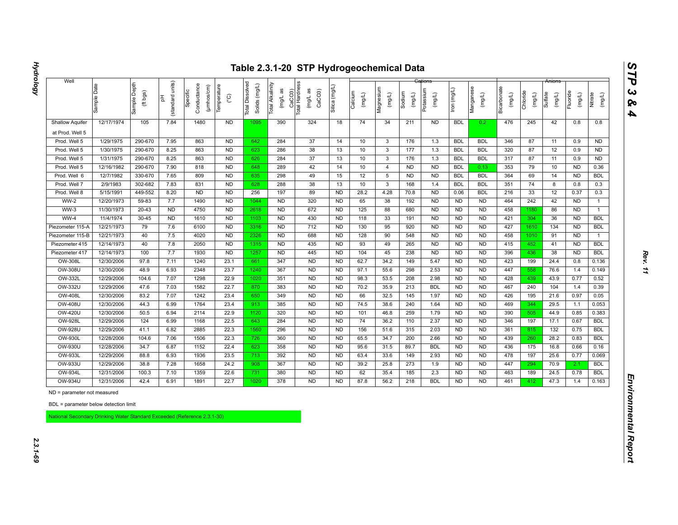| 12/17/1974                  | Sample Depth<br>(ft bgs)<br>105                                                                                                                                                                                                         | units)<br>(standard<br>苦<br>7.84                                                                                                                                                                                                          | Conductance<br>(µmhos/cm)<br>Specific                                                                                                                                             | Temperature<br>$\rm _{\rm C}^{\circ}$                                                                                                                                         | Dissolved<br>Solids (mg/L)<br><b>Total</b>                                                                                                                                                                                                               | Total Alkalinity<br>(mg/L as                                                                                                                                      | CaCO3)<br>Total Hardness<br>(mg/L as<br>CaCO <sub>3</sub>                                                                                                                                        | Silica (mg/L                                                                                                                                                                                                            | Calcium<br>(mg/L)                                                                                                                                                                                                                                              | Magnesium<br>(mg/L)                                                                                                                                   | Sodium<br>$($ mg/L)                                                                                                                                                        | Potassium<br>(mg/L)                                                                                                                                                 | lron (mg/L)                                                                                                                                                                                                                                            | Manganese<br>(mg/L)                                                                                                                                                                                                                                                                            | Bicarbonate<br>(mg/L)                                                                                                                                                                                                                                                                     | Chloride<br>(mg/L)                                                                                                                                     | Sulfate<br>(mg/L)                                                                                                                                    | Fluoride<br>(mg/L)                                                                                                                                   | Nitrate<br>(mg/L)                                                                                                                                                                                                   |
|-----------------------------|-----------------------------------------------------------------------------------------------------------------------------------------------------------------------------------------------------------------------------------------|-------------------------------------------------------------------------------------------------------------------------------------------------------------------------------------------------------------------------------------------|-----------------------------------------------------------------------------------------------------------------------------------------------------------------------------------|-------------------------------------------------------------------------------------------------------------------------------------------------------------------------------|----------------------------------------------------------------------------------------------------------------------------------------------------------------------------------------------------------------------------------------------------------|-------------------------------------------------------------------------------------------------------------------------------------------------------------------|--------------------------------------------------------------------------------------------------------------------------------------------------------------------------------------------------|-------------------------------------------------------------------------------------------------------------------------------------------------------------------------------------------------------------------------|----------------------------------------------------------------------------------------------------------------------------------------------------------------------------------------------------------------------------------------------------------------|-------------------------------------------------------------------------------------------------------------------------------------------------------|----------------------------------------------------------------------------------------------------------------------------------------------------------------------------|---------------------------------------------------------------------------------------------------------------------------------------------------------------------|--------------------------------------------------------------------------------------------------------------------------------------------------------------------------------------------------------------------------------------------------------|------------------------------------------------------------------------------------------------------------------------------------------------------------------------------------------------------------------------------------------------------------------------------------------------|-------------------------------------------------------------------------------------------------------------------------------------------------------------------------------------------------------------------------------------------------------------------------------------------|--------------------------------------------------------------------------------------------------------------------------------------------------------|------------------------------------------------------------------------------------------------------------------------------------------------------|------------------------------------------------------------------------------------------------------------------------------------------------------|---------------------------------------------------------------------------------------------------------------------------------------------------------------------------------------------------------------------|
|                             |                                                                                                                                                                                                                                         |                                                                                                                                                                                                                                           |                                                                                                                                                                                   |                                                                                                                                                                               |                                                                                                                                                                                                                                                          |                                                                                                                                                                   |                                                                                                                                                                                                  |                                                                                                                                                                                                                         |                                                                                                                                                                                                                                                                |                                                                                                                                                       |                                                                                                                                                                            |                                                                                                                                                                     |                                                                                                                                                                                                                                                        |                                                                                                                                                                                                                                                                                                |                                                                                                                                                                                                                                                                                           |                                                                                                                                                        |                                                                                                                                                      |                                                                                                                                                      |                                                                                                                                                                                                                     |
|                             |                                                                                                                                                                                                                                         |                                                                                                                                                                                                                                           | 1480                                                                                                                                                                              | <b>ND</b>                                                                                                                                                                     | 1095                                                                                                                                                                                                                                                     | 390                                                                                                                                                               | 324                                                                                                                                                                                              | 18                                                                                                                                                                                                                      | 74                                                                                                                                                                                                                                                             | 34                                                                                                                                                    | 211                                                                                                                                                                        | <b>ND</b>                                                                                                                                                           | <b>BDL</b>                                                                                                                                                                                                                                             | 0.2                                                                                                                                                                                                                                                                                            | 476                                                                                                                                                                                                                                                                                       | 245                                                                                                                                                    | 42                                                                                                                                                   | 0.8                                                                                                                                                  | 0.8                                                                                                                                                                                                                 |
|                             |                                                                                                                                                                                                                                         |                                                                                                                                                                                                                                           |                                                                                                                                                                                   |                                                                                                                                                                               |                                                                                                                                                                                                                                                          |                                                                                                                                                                   |                                                                                                                                                                                                  |                                                                                                                                                                                                                         |                                                                                                                                                                                                                                                                |                                                                                                                                                       |                                                                                                                                                                            |                                                                                                                                                                     |                                                                                                                                                                                                                                                        |                                                                                                                                                                                                                                                                                                |                                                                                                                                                                                                                                                                                           |                                                                                                                                                        |                                                                                                                                                      |                                                                                                                                                      |                                                                                                                                                                                                                     |
| 1/29/1975                   | 290-670                                                                                                                                                                                                                                 | 7.95                                                                                                                                                                                                                                      | 863                                                                                                                                                                               | <b>ND</b>                                                                                                                                                                     | 642                                                                                                                                                                                                                                                      | 284                                                                                                                                                               | 37                                                                                                                                                                                               | 14                                                                                                                                                                                                                      | 10                                                                                                                                                                                                                                                             | $\mathbf{3}$                                                                                                                                          | 176                                                                                                                                                                        | 1.3                                                                                                                                                                 | <b>BDL</b>                                                                                                                                                                                                                                             | <b>BDL</b>                                                                                                                                                                                                                                                                                     | 346                                                                                                                                                                                                                                                                                       | 87                                                                                                                                                     | 11                                                                                                                                                   | 0.9                                                                                                                                                  | <b>ND</b>                                                                                                                                                                                                           |
| 1/30/1975                   | 290-670                                                                                                                                                                                                                                 | 8.25                                                                                                                                                                                                                                      | 863                                                                                                                                                                               | <b>ND</b>                                                                                                                                                                     | 623                                                                                                                                                                                                                                                      | 286                                                                                                                                                               | 38                                                                                                                                                                                               | 13                                                                                                                                                                                                                      | 10                                                                                                                                                                                                                                                             | $\mathbf{3}$                                                                                                                                          | 177                                                                                                                                                                        | 1.3                                                                                                                                                                 | <b>BDL</b>                                                                                                                                                                                                                                             | <b>BDL</b>                                                                                                                                                                                                                                                                                     | 320                                                                                                                                                                                                                                                                                       | 87                                                                                                                                                     | 12                                                                                                                                                   | 0.9                                                                                                                                                  | <b>ND</b>                                                                                                                                                                                                           |
| 1/31/1975                   |                                                                                                                                                                                                                                         |                                                                                                                                                                                                                                           |                                                                                                                                                                                   |                                                                                                                                                                               |                                                                                                                                                                                                                                                          |                                                                                                                                                                   |                                                                                                                                                                                                  |                                                                                                                                                                                                                         |                                                                                                                                                                                                                                                                |                                                                                                                                                       |                                                                                                                                                                            |                                                                                                                                                                     |                                                                                                                                                                                                                                                        |                                                                                                                                                                                                                                                                                                |                                                                                                                                                                                                                                                                                           |                                                                                                                                                        |                                                                                                                                                      |                                                                                                                                                      | <b>ND</b>                                                                                                                                                                                                           |
|                             |                                                                                                                                                                                                                                         |                                                                                                                                                                                                                                           |                                                                                                                                                                                   |                                                                                                                                                                               |                                                                                                                                                                                                                                                          |                                                                                                                                                                   |                                                                                                                                                                                                  |                                                                                                                                                                                                                         |                                                                                                                                                                                                                                                                |                                                                                                                                                       |                                                                                                                                                                            |                                                                                                                                                                     |                                                                                                                                                                                                                                                        |                                                                                                                                                                                                                                                                                                |                                                                                                                                                                                                                                                                                           |                                                                                                                                                        |                                                                                                                                                      |                                                                                                                                                      | 0.36                                                                                                                                                                                                                |
|                             |                                                                                                                                                                                                                                         |                                                                                                                                                                                                                                           |                                                                                                                                                                                   |                                                                                                                                                                               |                                                                                                                                                                                                                                                          |                                                                                                                                                                   |                                                                                                                                                                                                  |                                                                                                                                                                                                                         |                                                                                                                                                                                                                                                                |                                                                                                                                                       |                                                                                                                                                                            |                                                                                                                                                                     |                                                                                                                                                                                                                                                        |                                                                                                                                                                                                                                                                                                |                                                                                                                                                                                                                                                                                           |                                                                                                                                                        |                                                                                                                                                      |                                                                                                                                                      | <b>BDL</b>                                                                                                                                                                                                          |
| 2/9/1983                    |                                                                                                                                                                                                                                         |                                                                                                                                                                                                                                           |                                                                                                                                                                                   |                                                                                                                                                                               |                                                                                                                                                                                                                                                          |                                                                                                                                                                   |                                                                                                                                                                                                  |                                                                                                                                                                                                                         |                                                                                                                                                                                                                                                                |                                                                                                                                                       |                                                                                                                                                                            |                                                                                                                                                                     |                                                                                                                                                                                                                                                        |                                                                                                                                                                                                                                                                                                |                                                                                                                                                                                                                                                                                           |                                                                                                                                                        |                                                                                                                                                      |                                                                                                                                                      | 0.3                                                                                                                                                                                                                 |
|                             |                                                                                                                                                                                                                                         |                                                                                                                                                                                                                                           |                                                                                                                                                                                   |                                                                                                                                                                               |                                                                                                                                                                                                                                                          |                                                                                                                                                                   |                                                                                                                                                                                                  |                                                                                                                                                                                                                         |                                                                                                                                                                                                                                                                |                                                                                                                                                       |                                                                                                                                                                            |                                                                                                                                                                     |                                                                                                                                                                                                                                                        |                                                                                                                                                                                                                                                                                                |                                                                                                                                                                                                                                                                                           |                                                                                                                                                        |                                                                                                                                                      |                                                                                                                                                      | 0.3                                                                                                                                                                                                                 |
|                             |                                                                                                                                                                                                                                         |                                                                                                                                                                                                                                           |                                                                                                                                                                                   |                                                                                                                                                                               |                                                                                                                                                                                                                                                          |                                                                                                                                                                   |                                                                                                                                                                                                  |                                                                                                                                                                                                                         |                                                                                                                                                                                                                                                                |                                                                                                                                                       |                                                                                                                                                                            |                                                                                                                                                                     |                                                                                                                                                                                                                                                        |                                                                                                                                                                                                                                                                                                |                                                                                                                                                                                                                                                                                           |                                                                                                                                                        |                                                                                                                                                      |                                                                                                                                                      | $\mathbf{1}$                                                                                                                                                                                                        |
|                             |                                                                                                                                                                                                                                         |                                                                                                                                                                                                                                           |                                                                                                                                                                                   |                                                                                                                                                                               |                                                                                                                                                                                                                                                          |                                                                                                                                                                   |                                                                                                                                                                                                  |                                                                                                                                                                                                                         |                                                                                                                                                                                                                                                                |                                                                                                                                                       |                                                                                                                                                                            |                                                                                                                                                                     |                                                                                                                                                                                                                                                        |                                                                                                                                                                                                                                                                                                |                                                                                                                                                                                                                                                                                           |                                                                                                                                                        |                                                                                                                                                      |                                                                                                                                                      | $\mathbf{1}$                                                                                                                                                                                                        |
|                             |                                                                                                                                                                                                                                         |                                                                                                                                                                                                                                           |                                                                                                                                                                                   |                                                                                                                                                                               |                                                                                                                                                                                                                                                          |                                                                                                                                                                   |                                                                                                                                                                                                  |                                                                                                                                                                                                                         |                                                                                                                                                                                                                                                                |                                                                                                                                                       |                                                                                                                                                                            |                                                                                                                                                                     |                                                                                                                                                                                                                                                        |                                                                                                                                                                                                                                                                                                |                                                                                                                                                                                                                                                                                           |                                                                                                                                                        |                                                                                                                                                      |                                                                                                                                                      | <b>BDL</b>                                                                                                                                                                                                          |
|                             |                                                                                                                                                                                                                                         |                                                                                                                                                                                                                                           |                                                                                                                                                                                   |                                                                                                                                                                               |                                                                                                                                                                                                                                                          |                                                                                                                                                                   |                                                                                                                                                                                                  |                                                                                                                                                                                                                         |                                                                                                                                                                                                                                                                |                                                                                                                                                       |                                                                                                                                                                            |                                                                                                                                                                     |                                                                                                                                                                                                                                                        |                                                                                                                                                                                                                                                                                                |                                                                                                                                                                                                                                                                                           |                                                                                                                                                        |                                                                                                                                                      |                                                                                                                                                      | <b>BDL</b>                                                                                                                                                                                                          |
|                             |                                                                                                                                                                                                                                         |                                                                                                                                                                                                                                           |                                                                                                                                                                                   |                                                                                                                                                                               |                                                                                                                                                                                                                                                          |                                                                                                                                                                   |                                                                                                                                                                                                  |                                                                                                                                                                                                                         |                                                                                                                                                                                                                                                                |                                                                                                                                                       |                                                                                                                                                                            |                                                                                                                                                                     |                                                                                                                                                                                                                                                        |                                                                                                                                                                                                                                                                                                |                                                                                                                                                                                                                                                                                           |                                                                                                                                                        |                                                                                                                                                      |                                                                                                                                                      | $\mathbf{1}$<br><b>BDL</b>                                                                                                                                                                                          |
|                             |                                                                                                                                                                                                                                         |                                                                                                                                                                                                                                           |                                                                                                                                                                                   |                                                                                                                                                                               |                                                                                                                                                                                                                                                          |                                                                                                                                                                   |                                                                                                                                                                                                  |                                                                                                                                                                                                                         |                                                                                                                                                                                                                                                                |                                                                                                                                                       |                                                                                                                                                                            |                                                                                                                                                                     |                                                                                                                                                                                                                                                        |                                                                                                                                                                                                                                                                                                |                                                                                                                                                                                                                                                                                           |                                                                                                                                                        |                                                                                                                                                      |                                                                                                                                                      | <b>BDL</b>                                                                                                                                                                                                          |
|                             |                                                                                                                                                                                                                                         |                                                                                                                                                                                                                                           |                                                                                                                                                                                   |                                                                                                                                                                               |                                                                                                                                                                                                                                                          |                                                                                                                                                                   |                                                                                                                                                                                                  |                                                                                                                                                                                                                         |                                                                                                                                                                                                                                                                |                                                                                                                                                       |                                                                                                                                                                            |                                                                                                                                                                     |                                                                                                                                                                                                                                                        |                                                                                                                                                                                                                                                                                                |                                                                                                                                                                                                                                                                                           |                                                                                                                                                        |                                                                                                                                                      |                                                                                                                                                      | 0.136                                                                                                                                                                                                               |
|                             |                                                                                                                                                                                                                                         |                                                                                                                                                                                                                                           |                                                                                                                                                                                   |                                                                                                                                                                               |                                                                                                                                                                                                                                                          |                                                                                                                                                                   |                                                                                                                                                                                                  |                                                                                                                                                                                                                         |                                                                                                                                                                                                                                                                |                                                                                                                                                       |                                                                                                                                                                            |                                                                                                                                                                     |                                                                                                                                                                                                                                                        |                                                                                                                                                                                                                                                                                                |                                                                                                                                                                                                                                                                                           |                                                                                                                                                        |                                                                                                                                                      |                                                                                                                                                      | 0.149                                                                                                                                                                                                               |
|                             |                                                                                                                                                                                                                                         |                                                                                                                                                                                                                                           |                                                                                                                                                                                   |                                                                                                                                                                               |                                                                                                                                                                                                                                                          |                                                                                                                                                                   |                                                                                                                                                                                                  |                                                                                                                                                                                                                         |                                                                                                                                                                                                                                                                |                                                                                                                                                       |                                                                                                                                                                            |                                                                                                                                                                     |                                                                                                                                                                                                                                                        |                                                                                                                                                                                                                                                                                                |                                                                                                                                                                                                                                                                                           |                                                                                                                                                        |                                                                                                                                                      |                                                                                                                                                      | 0.52                                                                                                                                                                                                                |
|                             |                                                                                                                                                                                                                                         |                                                                                                                                                                                                                                           |                                                                                                                                                                                   |                                                                                                                                                                               |                                                                                                                                                                                                                                                          |                                                                                                                                                                   |                                                                                                                                                                                                  |                                                                                                                                                                                                                         |                                                                                                                                                                                                                                                                |                                                                                                                                                       |                                                                                                                                                                            |                                                                                                                                                                     |                                                                                                                                                                                                                                                        |                                                                                                                                                                                                                                                                                                |                                                                                                                                                                                                                                                                                           |                                                                                                                                                        |                                                                                                                                                      |                                                                                                                                                      | 0.39                                                                                                                                                                                                                |
|                             |                                                                                                                                                                                                                                         |                                                                                                                                                                                                                                           |                                                                                                                                                                                   |                                                                                                                                                                               |                                                                                                                                                                                                                                                          |                                                                                                                                                                   |                                                                                                                                                                                                  |                                                                                                                                                                                                                         |                                                                                                                                                                                                                                                                |                                                                                                                                                       |                                                                                                                                                                            |                                                                                                                                                                     |                                                                                                                                                                                                                                                        |                                                                                                                                                                                                                                                                                                |                                                                                                                                                                                                                                                                                           |                                                                                                                                                        |                                                                                                                                                      |                                                                                                                                                      | 0.05                                                                                                                                                                                                                |
|                             |                                                                                                                                                                                                                                         |                                                                                                                                                                                                                                           |                                                                                                                                                                                   |                                                                                                                                                                               |                                                                                                                                                                                                                                                          |                                                                                                                                                                   |                                                                                                                                                                                                  |                                                                                                                                                                                                                         |                                                                                                                                                                                                                                                                |                                                                                                                                                       |                                                                                                                                                                            |                                                                                                                                                                     |                                                                                                                                                                                                                                                        |                                                                                                                                                                                                                                                                                                |                                                                                                                                                                                                                                                                                           |                                                                                                                                                        |                                                                                                                                                      |                                                                                                                                                      | 0.053                                                                                                                                                                                                               |
|                             |                                                                                                                                                                                                                                         |                                                                                                                                                                                                                                           |                                                                                                                                                                                   |                                                                                                                                                                               |                                                                                                                                                                                                                                                          |                                                                                                                                                                   |                                                                                                                                                                                                  |                                                                                                                                                                                                                         |                                                                                                                                                                                                                                                                |                                                                                                                                                       |                                                                                                                                                                            |                                                                                                                                                                     |                                                                                                                                                                                                                                                        |                                                                                                                                                                                                                                                                                                |                                                                                                                                                                                                                                                                                           |                                                                                                                                                        |                                                                                                                                                      |                                                                                                                                                      | 0.383                                                                                                                                                                                                               |
| 12/29/2006                  |                                                                                                                                                                                                                                         |                                                                                                                                                                                                                                           |                                                                                                                                                                                   |                                                                                                                                                                               |                                                                                                                                                                                                                                                          |                                                                                                                                                                   |                                                                                                                                                                                                  |                                                                                                                                                                                                                         |                                                                                                                                                                                                                                                                |                                                                                                                                                       |                                                                                                                                                                            |                                                                                                                                                                     |                                                                                                                                                                                                                                                        |                                                                                                                                                                                                                                                                                                |                                                                                                                                                                                                                                                                                           |                                                                                                                                                        |                                                                                                                                                      |                                                                                                                                                      | <b>BDL</b>                                                                                                                                                                                                          |
| 12/29/2006                  |                                                                                                                                                                                                                                         |                                                                                                                                                                                                                                           |                                                                                                                                                                                   |                                                                                                                                                                               |                                                                                                                                                                                                                                                          |                                                                                                                                                                   |                                                                                                                                                                                                  |                                                                                                                                                                                                                         |                                                                                                                                                                                                                                                                |                                                                                                                                                       |                                                                                                                                                                            |                                                                                                                                                                     |                                                                                                                                                                                                                                                        |                                                                                                                                                                                                                                                                                                |                                                                                                                                                                                                                                                                                           |                                                                                                                                                        |                                                                                                                                                      |                                                                                                                                                      | <b>BDL</b>                                                                                                                                                                                                          |
| 12/28/2006                  |                                                                                                                                                                                                                                         |                                                                                                                                                                                                                                           |                                                                                                                                                                                   |                                                                                                                                                                               |                                                                                                                                                                                                                                                          |                                                                                                                                                                   |                                                                                                                                                                                                  |                                                                                                                                                                                                                         |                                                                                                                                                                                                                                                                |                                                                                                                                                       |                                                                                                                                                                            |                                                                                                                                                                     |                                                                                                                                                                                                                                                        |                                                                                                                                                                                                                                                                                                |                                                                                                                                                                                                                                                                                           |                                                                                                                                                        |                                                                                                                                                      |                                                                                                                                                      | <b>BDL</b>                                                                                                                                                                                                          |
| 12/28/2006                  | 34.7                                                                                                                                                                                                                                    | 6.87                                                                                                                                                                                                                                      | 1152                                                                                                                                                                              | 22.4                                                                                                                                                                          | 623                                                                                                                                                                                                                                                      | 358                                                                                                                                                               | <b>ND</b>                                                                                                                                                                                        | <b>ND</b>                                                                                                                                                                                                               | 95.6                                                                                                                                                                                                                                                           | 31.5                                                                                                                                                  | 89.7                                                                                                                                                                       | <b>BDL</b>                                                                                                                                                          | <b>ND</b>                                                                                                                                                                                                                                              | <b>ND</b>                                                                                                                                                                                                                                                                                      | 436                                                                                                                                                                                                                                                                                       | 175                                                                                                                                                    | 16.8                                                                                                                                                 | 0.66                                                                                                                                                 | 0.16                                                                                                                                                                                                                |
| 12/29/2006                  | 88.8                                                                                                                                                                                                                                    | 6.93                                                                                                                                                                                                                                      | 1936                                                                                                                                                                              | 23.5                                                                                                                                                                          | 713                                                                                                                                                                                                                                                      | 392                                                                                                                                                               | <b>ND</b>                                                                                                                                                                                        | <b>ND</b>                                                                                                                                                                                                               | 63.4                                                                                                                                                                                                                                                           | 33.6                                                                                                                                                  | 149                                                                                                                                                                        | 2.93                                                                                                                                                                | <b>ND</b>                                                                                                                                                                                                                                              | <b>ND</b>                                                                                                                                                                                                                                                                                      | 478                                                                                                                                                                                                                                                                                       | 197                                                                                                                                                    | 25.6                                                                                                                                                 | 0.77                                                                                                                                                 | 0.069                                                                                                                                                                                                               |
| 12/29/2006                  | 38.8                                                                                                                                                                                                                                    | 7.28                                                                                                                                                                                                                                      | 1658                                                                                                                                                                              | 24.2                                                                                                                                                                          | 908                                                                                                                                                                                                                                                      | 367                                                                                                                                                               | <b>ND</b>                                                                                                                                                                                        | <b>ND</b>                                                                                                                                                                                                               | 39.2                                                                                                                                                                                                                                                           | 25.8                                                                                                                                                  | 273                                                                                                                                                                        | 1.9                                                                                                                                                                 | <b>ND</b>                                                                                                                                                                                                                                              | <b>ND</b>                                                                                                                                                                                                                                                                                      | 447                                                                                                                                                                                                                                                                                       | 294                                                                                                                                                    | 70.9                                                                                                                                                 | 2.1                                                                                                                                                  | <b>BDL</b>                                                                                                                                                                                                          |
| 12/31/2006                  | 100.3                                                                                                                                                                                                                                   | 7.10                                                                                                                                                                                                                                      | 1359                                                                                                                                                                              | 22.6                                                                                                                                                                          | 731                                                                                                                                                                                                                                                      | 380                                                                                                                                                               | <b>ND</b>                                                                                                                                                                                        | <b>ND</b>                                                                                                                                                                                                               | 62                                                                                                                                                                                                                                                             | 35.4                                                                                                                                                  | 185                                                                                                                                                                        | 2.3                                                                                                                                                                 | N <sub>D</sub>                                                                                                                                                                                                                                         | <b>ND</b>                                                                                                                                                                                                                                                                                      | 463                                                                                                                                                                                                                                                                                       | 189                                                                                                                                                    | 24.5                                                                                                                                                 | 0.78                                                                                                                                                 | <b>BDL</b>                                                                                                                                                                                                          |
| 12/31/2006                  | 42.4                                                                                                                                                                                                                                    | 6.91                                                                                                                                                                                                                                      | 1891                                                                                                                                                                              | 22.7                                                                                                                                                                          | 1020                                                                                                                                                                                                                                                     | 378                                                                                                                                                               | <b>ND</b>                                                                                                                                                                                        | <b>ND</b>                                                                                                                                                                                                               | 87.8                                                                                                                                                                                                                                                           | 56.2                                                                                                                                                  | 218                                                                                                                                                                        | <b>BDL</b>                                                                                                                                                          | ND                                                                                                                                                                                                                                                     | <b>ND</b>                                                                                                                                                                                                                                                                                      | 461                                                                                                                                                                                                                                                                                       | 412                                                                                                                                                    | 47.3                                                                                                                                                 | 1.4                                                                                                                                                  | 0.163                                                                                                                                                                                                               |
| ND = parameter not measured |                                                                                                                                                                                                                                         |                                                                                                                                                                                                                                           |                                                                                                                                                                                   |                                                                                                                                                                               |                                                                                                                                                                                                                                                          |                                                                                                                                                                   |                                                                                                                                                                                                  |                                                                                                                                                                                                                         |                                                                                                                                                                                                                                                                |                                                                                                                                                       |                                                                                                                                                                            |                                                                                                                                                                     |                                                                                                                                                                                                                                                        |                                                                                                                                                                                                                                                                                                |                                                                                                                                                                                                                                                                                           |                                                                                                                                                        |                                                                                                                                                      |                                                                                                                                                      |                                                                                                                                                                                                                     |
|                             |                                                                                                                                                                                                                                         |                                                                                                                                                                                                                                           |                                                                                                                                                                                   |                                                                                                                                                                               |                                                                                                                                                                                                                                                          |                                                                                                                                                                   |                                                                                                                                                                                                  |                                                                                                                                                                                                                         |                                                                                                                                                                                                                                                                |                                                                                                                                                       |                                                                                                                                                                            |                                                                                                                                                                     |                                                                                                                                                                                                                                                        |                                                                                                                                                                                                                                                                                                |                                                                                                                                                                                                                                                                                           |                                                                                                                                                        |                                                                                                                                                      |                                                                                                                                                      |                                                                                                                                                                                                                     |
|                             | 12/16/1982<br>12/7/1982<br>5/15/1991<br>12/20/1973<br>11/30/1973<br>11/4/1974<br>12/21/1973<br>12/21/1973<br>12/14/1973<br>12/14/1973<br>12/30/2006<br>12/30/2006<br>12/29/2006<br>12/29/2006<br>12/30/2006<br>12/30/2006<br>12/30/2006 | 290-670<br>290-670<br>330-670<br>302-682<br>449-552<br>59-83<br>$20 - 43$<br>$30 - 45$<br>79<br>40<br>40<br>100<br>97.8<br>48.9<br>104.6<br>47.6<br>83.2<br>44.3<br>50.5<br>124<br>41.1<br>104.6<br>BDL = parameter below detection limit | 8.25<br>7.90<br>7.65<br>7.83<br>8.20<br>7.7<br><b>ND</b><br><b>ND</b><br>7.6<br>7.5<br>7.8<br>7.7<br>7.11<br>6.93<br>7.07<br>7.03<br>7.07<br>6.99<br>6.94<br>6.99<br>6.82<br>7.06 | 863<br>818<br>809<br>831<br><b>ND</b><br>1490<br>4750<br>1610<br>6100<br>4020<br>2050<br>1930<br>1240<br>2348<br>1298<br>1582<br>1242<br>1764<br>2114<br>1168<br>2885<br>1506 | N <sub>D</sub><br>ND<br>N <sub>D</sub><br><b>ND</b><br><b>ND</b><br><b>ND</b><br>N <sub>D</sub><br>N <sub>D</sub><br>ND<br>N <sub>D</sub><br>N <sub>D</sub><br><b>ND</b><br>23.1<br>23.7<br>22.9<br>22.7<br>23.4<br>23.4<br>22.9<br>22.5<br>22.3<br>22.3 | 626<br>648<br>635<br>628<br>256<br>1044<br>2618<br>1103<br>3316<br>2326<br>1315<br>1257<br>661<br>1240<br>1020<br>870<br>650<br>913<br>1120<br>643<br>1560<br>726 | 284<br>289<br>298<br>288<br>197<br><b>ND</b><br><b>ND</b><br><b>ND</b><br><b>ND</b><br><b>ND</b><br><b>ND</b><br><b>ND</b><br>347<br>367<br>351<br>383<br>349<br>385<br>320<br>284<br>296<br>360 | 37<br>42<br>49<br>38<br>89<br>320<br>672<br>430<br>712<br>688<br>435<br>445<br><b>ND</b><br><b>ND</b><br>N <sub>D</sub><br><b>ND</b><br><b>ND</b><br><b>ND</b><br><b>ND</b><br><b>ND</b><br><b>ND</b><br>N <sub>D</sub> | 13<br>14<br>15<br>13<br><b>ND</b><br><b>ND</b><br><b>ND</b><br><b>ND</b><br><b>ND</b><br><b>ND</b><br><b>ND</b><br><b>ND</b><br><b>ND</b><br><b>ND</b><br><b>ND</b><br><b>ND</b><br><b>ND</b><br><b>ND</b><br><b>ND</b><br><b>ND</b><br><b>ND</b><br><b>ND</b> | 10<br>10<br>12<br>10<br>28.2<br>65<br>125<br>118<br>130<br>128<br>93<br>104<br>62.7<br>97.1<br>98.3<br>70.2<br>66<br>74.5<br>101<br>74<br>156<br>65.5 | $\overline{3}$<br>4<br>5<br>$\mathbf{3}$<br>4.28<br>38<br>88<br>33<br>95<br>90<br>49<br>45<br>34.2<br>55.6<br>53.5<br>35.9<br>32.5<br>38.6<br>46.8<br>36.2<br>51.6<br>34.7 | 176<br><b>ND</b><br><b>ND</b><br>168<br>70.8<br>192<br>680<br>191<br>920<br>548<br>265<br>238<br>149<br>298<br>208<br>213<br>145<br>240<br>259<br>110<br>315<br>200 | 1.3<br>N <sub>D</sub><br>N <sub>D</sub><br>1.4<br><b>ND</b><br><b>ND</b><br>N <sub>D</sub><br>N <sub>D</sub><br><b>ND</b><br><b>ND</b><br><b>ND</b><br><b>ND</b><br>5.47<br>2.53<br>2.98<br><b>BDL</b><br>1.97<br>1.64<br>1.79<br>2.37<br>2.03<br>2.66 | <b>BDL</b><br><b>BDL</b><br><b>BDL</b><br><b>BDL</b><br>0.06<br><b>ND</b><br><b>ND</b><br><b>ND</b><br><b>ND</b><br><b>ND</b><br><b>ND</b><br><b>ND</b><br><b>ND</b><br>N <sub>D</sub><br><b>ND</b><br><b>ND</b><br><b>ND</b><br><b>ND</b><br><b>ND</b><br><b>ND</b><br><b>ND</b><br><b>ND</b> | <b>BDL</b><br>0.13<br><b>BDL</b><br><b>BDL</b><br><b>BDL</b><br><b>ND</b><br><b>ND</b><br><b>ND</b><br><b>ND</b><br><b>ND</b><br><b>ND</b><br><b>ND</b><br><b>ND</b><br><b>ND</b><br><b>ND</b><br><b>ND</b><br><b>ND</b><br><b>ND</b><br><b>ND</b><br><b>ND</b><br><b>ND</b><br><b>ND</b> | 317<br>353<br>364<br>351<br>216<br>464<br>458<br>421<br>427<br>458<br>415<br>396<br>423<br>447<br>428<br>467<br>426<br>469<br>390<br>346<br>361<br>439 | 87<br>79<br>69<br>74<br>33<br>242<br>1180<br>304<br>1610<br>1010<br>452<br>436<br>199<br>558<br>439<br>240<br>195<br>344<br>505<br>197<br>815<br>260 | 11<br>10<br>14<br>8<br>12<br>42<br>86<br>36<br>134<br>91<br>41<br>38<br>24.4<br>76.6<br>43.9<br>104<br>21.6<br>29.5<br>44.9<br>17.1<br>$132$<br>28.2 | 0.9<br><b>ND</b><br><b>ND</b><br>0.8<br>0.37<br><b>ND</b><br><b>ND</b><br><b>ND</b><br><b>ND</b><br><b>ND</b><br><b>ND</b><br><b>ND</b><br>0.8<br>1.4<br>0.77<br>1.4<br>0.97<br>1.1<br>0.85<br>0.67<br>0.75<br>0.83 |

2.3.1-69

*STP 3 & 4*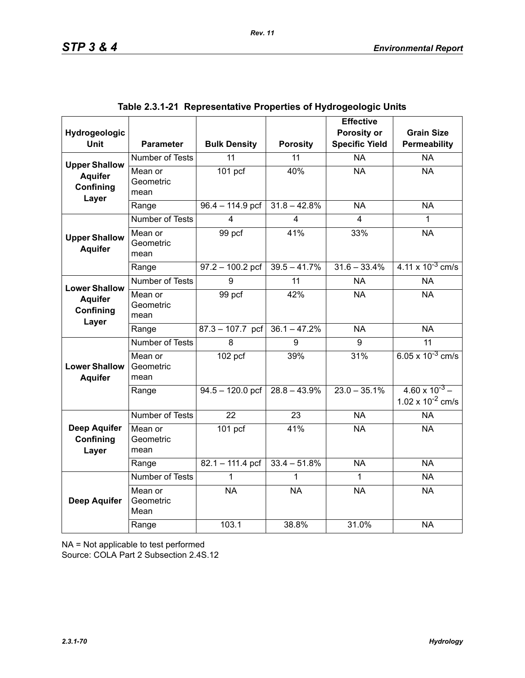| Hydrogeologic                             |                              |                      |                         | <b>Effective</b><br>Porosity or | <b>Grain Size</b>                                |
|-------------------------------------------|------------------------------|----------------------|-------------------------|---------------------------------|--------------------------------------------------|
| <b>Unit</b>                               | <b>Parameter</b>             | <b>Bulk Density</b>  | <b>Porosity</b>         | <b>Specific Yield</b>           | Permeability                                     |
| <b>Upper Shallow</b>                      | Number of Tests              | 11                   | 11                      | <b>NA</b>                       | <b>NA</b>                                        |
| <b>Aquifer</b><br>Confining<br>Layer      | Mean or<br>Geometric<br>mean | $\overline{101}$ pcf | 40%                     | <b>NA</b>                       | <b>NA</b>                                        |
|                                           | Range                        | $96.4 - 114.9$ pcf   | $31.8 - 42.8%$          | <b>NA</b>                       | <b>NA</b>                                        |
|                                           | <b>Number of Tests</b>       | 4                    | $\overline{\mathbf{4}}$ | 4                               | 1                                                |
| <b>Upper Shallow</b><br><b>Aquifer</b>    | Mean or<br>Geometric<br>mean | 99 pcf               | 41%                     | 33%                             | <b>NA</b>                                        |
|                                           | Range                        | $97.2 - 100.2$ pcf   | $39.5 - 41.7%$          | $31.6 - 33.4%$                  | $4.11 \times 10^{-3}$ cm/s                       |
| <b>Lower Shallow</b>                      | <b>Number of Tests</b>       | 9                    | $\overline{11}$         | <b>NA</b>                       | <b>NA</b>                                        |
| <b>Aquifer</b><br>Confining<br>Layer      | Mean or<br>Geometric<br>mean | 99 pcf               | 42%                     | <b>NA</b>                       | <b>NA</b>                                        |
|                                           | Range                        | $87.3 - 107.7$ pcf   | $36.1 - 47.2%$          | <b>NA</b>                       | <b>NA</b>                                        |
|                                           | <b>Number of Tests</b>       | 8                    | 9                       | 9                               | 11                                               |
| <b>Lower Shallow</b><br><b>Aquifer</b>    | Mean or<br>Geometric<br>mean | $102$ pcf            | 39%                     | 31%                             | 6.05 x $10^{-3}$ cm/s                            |
|                                           | Range                        | $94.5 - 120.0$ pcf   | $28.8 - 43.9\%$         | $23.0 - 35.1\%$                 | $4.60 \times 10^{-3}$ –<br>1.02 x $10^{-2}$ cm/s |
|                                           | Number of Tests              | 22                   | 23                      | <b>NA</b>                       | <b>NA</b>                                        |
| <b>Deep Aquifer</b><br>Confining<br>Layer | Mean or<br>Geometric<br>mean | $101$ pcf            | 41%                     | <b>NA</b>                       | <b>NA</b>                                        |
|                                           | Range                        | $82.1 - 111.4$ pcf   | $33.4 - 51.8%$          | <b>NA</b>                       | <b>NA</b>                                        |
|                                           | Number of Tests              | 1                    |                         | 1                               | <b>NA</b>                                        |
| <b>Deep Aquifer</b>                       | Mean or<br>Geometric<br>Mean | <b>NA</b>            | <b>NA</b>               | <b>NA</b>                       | <b>NA</b>                                        |
|                                           | Range                        | 103.1                | 38.8%                   | 31.0%                           | <b>NA</b>                                        |

|  | Table 2.3.1-21  Representative Properties of Hydrogeologic Units |  |  |  |
|--|------------------------------------------------------------------|--|--|--|
|--|------------------------------------------------------------------|--|--|--|

NA = Not applicable to test performed

Source: COLA Part 2 Subsection 2.4S.12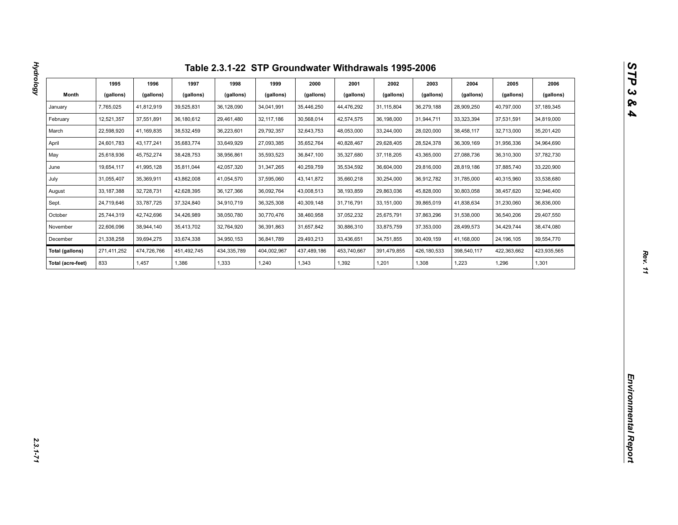| Month<br>(gallons)<br>(gallons)<br>(gallons)<br>(gallons)<br>(gallons)<br>(gallons)<br>(gallons)<br>(gallons)<br>(gallons)<br>(gallons)<br>(gallons)<br>(gallons)<br>7,765,025<br>41,812,919<br>36,128,090<br>35,446,250<br>37,189,345<br>39,525,831<br>34,041,991<br>44,476,292<br>31,115,804<br>36,279,188<br>28,909,250<br>40,797,000<br>January<br>12,521,357<br>37,551,891<br>36,180,612<br>30,568,014<br>42,574,575<br>31,944,711<br>34,819,000<br>February<br>29,461,480<br>32,117,186<br>36,198,000<br>33,323,394<br>37,531,591<br>22,598,920<br>38,532,459<br>36,223,601<br>32,643,753<br>41,169,835<br>29,792,357<br>48,053,000<br>33,244,000<br>28,020,000<br>38,458,117<br>32,713,000<br>35,201,420<br>24,601,783<br>43, 177, 241<br>35,683,774<br>33,649,929<br>27,093,385<br>35,652,764<br>40,828,467<br>29,628,405<br>28,524,378<br>36,309,169<br>31,956,336<br>34,964,690<br>25,618,936<br>45,752,274<br>38,428,753<br>38,956,861<br>35,593,523<br>36,847,100<br>35,327,680<br>37,118,205<br>37,782,730<br>43,365,000<br>27,088,736<br>36,310,300<br>33,220,900<br>19,654,117<br>41,995,128<br>35,811,044<br>42,057,320<br>31,347,265<br>40,259,759<br>35,534,592<br>36,604,000<br>29,816,000<br>28,819,186<br>37,885,740<br>43,862,008<br>33,538,680<br>31,055,407<br>35,369,911<br>41,054,570<br>37,595,060<br>43, 141, 872<br>35,660,218<br>30,254,000<br>36,912,782<br>31,785,000<br>40,315,960<br>33, 187, 388<br>32,728,731<br>42,628,395<br>36,127,366<br>36,092,764<br>43,008,513<br>38,193,859<br>29,863,036<br>45,828,000<br>30,803,058<br>38,457,620<br>32,946,400<br>24,719,646<br>33,787,725<br>37,324,840<br>34,910,719<br>36,325,308<br>40,309,148<br>31,716,791<br>33,151,000<br>39,865,019<br>41,838,634<br>31,230,060<br>36,836,000<br>37,052,232<br>25,744,319<br>42,742,696<br>34,426,989<br>38,050,780<br>30,770,476<br>38,460,958<br>25,675,791<br>37,863,296<br>31,538,000<br>36,540,206<br>29,407,550<br>22,606,096<br>38,944,140<br>35,413,702<br>32,764,920<br>36,391,863<br>31,657,842<br>30,886,310<br>33,875,759<br>37,353,000<br>28,499,573<br>34,429,744<br>38,474,080<br>21,338,258<br>39,694,275<br>33,674,338<br>34,950,153<br>29,493,213<br>33,436,651<br>34,751,855<br>30,409,159<br>39,554,770<br>36,841,789<br>41,168,000<br>24,196,105<br>437,489,186<br>423,935,565<br>271,411,252<br>474,726,766<br>451,492,745<br>434,335,789<br>404,002,967<br>453,740,667<br>391,479,855<br>426,180,533<br>398,540,117<br>422,363,662<br>833<br>1,240<br>1,343<br>1,392<br>1,201<br>1,301<br>1,457<br>1,386<br>1,333<br>1,308<br>1,223<br>1,296 |        | 1995 | 1996 | 1997 | 1998 | 1999 | 2000 | 2001 | 2002 | 2003 | 2004 | 2005 | 2006 |
|---------------------------------------------------------------------------------------------------------------------------------------------------------------------------------------------------------------------------------------------------------------------------------------------------------------------------------------------------------------------------------------------------------------------------------------------------------------------------------------------------------------------------------------------------------------------------------------------------------------------------------------------------------------------------------------------------------------------------------------------------------------------------------------------------------------------------------------------------------------------------------------------------------------------------------------------------------------------------------------------------------------------------------------------------------------------------------------------------------------------------------------------------------------------------------------------------------------------------------------------------------------------------------------------------------------------------------------------------------------------------------------------------------------------------------------------------------------------------------------------------------------------------------------------------------------------------------------------------------------------------------------------------------------------------------------------------------------------------------------------------------------------------------------------------------------------------------------------------------------------------------------------------------------------------------------------------------------------------------------------------------------------------------------------------------------------------------------------------------------------------------------------------------------------------------------------------------------------------------------------------------------------------------------------------------------------------------------------------------------------------------------------------------------------------------------------------------------------------------------------------------------------------------------------------------------------------------------------|--------|------|------|------|------|------|------|------|------|------|------|------|------|
|                                                                                                                                                                                                                                                                                                                                                                                                                                                                                                                                                                                                                                                                                                                                                                                                                                                                                                                                                                                                                                                                                                                                                                                                                                                                                                                                                                                                                                                                                                                                                                                                                                                                                                                                                                                                                                                                                                                                                                                                                                                                                                                                                                                                                                                                                                                                                                                                                                                                                                                                                                                             |        |      |      |      |      |      |      |      |      |      |      |      |      |
|                                                                                                                                                                                                                                                                                                                                                                                                                                                                                                                                                                                                                                                                                                                                                                                                                                                                                                                                                                                                                                                                                                                                                                                                                                                                                                                                                                                                                                                                                                                                                                                                                                                                                                                                                                                                                                                                                                                                                                                                                                                                                                                                                                                                                                                                                                                                                                                                                                                                                                                                                                                             |        |      |      |      |      |      |      |      |      |      |      |      |      |
|                                                                                                                                                                                                                                                                                                                                                                                                                                                                                                                                                                                                                                                                                                                                                                                                                                                                                                                                                                                                                                                                                                                                                                                                                                                                                                                                                                                                                                                                                                                                                                                                                                                                                                                                                                                                                                                                                                                                                                                                                                                                                                                                                                                                                                                                                                                                                                                                                                                                                                                                                                                             |        |      |      |      |      |      |      |      |      |      |      |      |      |
|                                                                                                                                                                                                                                                                                                                                                                                                                                                                                                                                                                                                                                                                                                                                                                                                                                                                                                                                                                                                                                                                                                                                                                                                                                                                                                                                                                                                                                                                                                                                                                                                                                                                                                                                                                                                                                                                                                                                                                                                                                                                                                                                                                                                                                                                                                                                                                                                                                                                                                                                                                                             | March  |      |      |      |      |      |      |      |      |      |      |      |      |
| May<br>June<br>July                                                                                                                                                                                                                                                                                                                                                                                                                                                                                                                                                                                                                                                                                                                                                                                                                                                                                                                                                                                                                                                                                                                                                                                                                                                                                                                                                                                                                                                                                                                                                                                                                                                                                                                                                                                                                                                                                                                                                                                                                                                                                                                                                                                                                                                                                                                                                                                                                                                                                                                                                                         | April  |      |      |      |      |      |      |      |      |      |      |      |      |
|                                                                                                                                                                                                                                                                                                                                                                                                                                                                                                                                                                                                                                                                                                                                                                                                                                                                                                                                                                                                                                                                                                                                                                                                                                                                                                                                                                                                                                                                                                                                                                                                                                                                                                                                                                                                                                                                                                                                                                                                                                                                                                                                                                                                                                                                                                                                                                                                                                                                                                                                                                                             |        |      |      |      |      |      |      |      |      |      |      |      |      |
|                                                                                                                                                                                                                                                                                                                                                                                                                                                                                                                                                                                                                                                                                                                                                                                                                                                                                                                                                                                                                                                                                                                                                                                                                                                                                                                                                                                                                                                                                                                                                                                                                                                                                                                                                                                                                                                                                                                                                                                                                                                                                                                                                                                                                                                                                                                                                                                                                                                                                                                                                                                             |        |      |      |      |      |      |      |      |      |      |      |      |      |
|                                                                                                                                                                                                                                                                                                                                                                                                                                                                                                                                                                                                                                                                                                                                                                                                                                                                                                                                                                                                                                                                                                                                                                                                                                                                                                                                                                                                                                                                                                                                                                                                                                                                                                                                                                                                                                                                                                                                                                                                                                                                                                                                                                                                                                                                                                                                                                                                                                                                                                                                                                                             |        |      |      |      |      |      |      |      |      |      |      |      |      |
| Sept.<br>October<br>November<br>December<br><b>Total (gallons)</b><br>Total (acre-feet)                                                                                                                                                                                                                                                                                                                                                                                                                                                                                                                                                                                                                                                                                                                                                                                                                                                                                                                                                                                                                                                                                                                                                                                                                                                                                                                                                                                                                                                                                                                                                                                                                                                                                                                                                                                                                                                                                                                                                                                                                                                                                                                                                                                                                                                                                                                                                                                                                                                                                                     | August |      |      |      |      |      |      |      |      |      |      |      |      |
|                                                                                                                                                                                                                                                                                                                                                                                                                                                                                                                                                                                                                                                                                                                                                                                                                                                                                                                                                                                                                                                                                                                                                                                                                                                                                                                                                                                                                                                                                                                                                                                                                                                                                                                                                                                                                                                                                                                                                                                                                                                                                                                                                                                                                                                                                                                                                                                                                                                                                                                                                                                             |        |      |      |      |      |      |      |      |      |      |      |      |      |
|                                                                                                                                                                                                                                                                                                                                                                                                                                                                                                                                                                                                                                                                                                                                                                                                                                                                                                                                                                                                                                                                                                                                                                                                                                                                                                                                                                                                                                                                                                                                                                                                                                                                                                                                                                                                                                                                                                                                                                                                                                                                                                                                                                                                                                                                                                                                                                                                                                                                                                                                                                                             |        |      |      |      |      |      |      |      |      |      |      |      |      |
|                                                                                                                                                                                                                                                                                                                                                                                                                                                                                                                                                                                                                                                                                                                                                                                                                                                                                                                                                                                                                                                                                                                                                                                                                                                                                                                                                                                                                                                                                                                                                                                                                                                                                                                                                                                                                                                                                                                                                                                                                                                                                                                                                                                                                                                                                                                                                                                                                                                                                                                                                                                             |        |      |      |      |      |      |      |      |      |      |      |      |      |
|                                                                                                                                                                                                                                                                                                                                                                                                                                                                                                                                                                                                                                                                                                                                                                                                                                                                                                                                                                                                                                                                                                                                                                                                                                                                                                                                                                                                                                                                                                                                                                                                                                                                                                                                                                                                                                                                                                                                                                                                                                                                                                                                                                                                                                                                                                                                                                                                                                                                                                                                                                                             |        |      |      |      |      |      |      |      |      |      |      |      |      |
|                                                                                                                                                                                                                                                                                                                                                                                                                                                                                                                                                                                                                                                                                                                                                                                                                                                                                                                                                                                                                                                                                                                                                                                                                                                                                                                                                                                                                                                                                                                                                                                                                                                                                                                                                                                                                                                                                                                                                                                                                                                                                                                                                                                                                                                                                                                                                                                                                                                                                                                                                                                             |        |      |      |      |      |      |      |      |      |      |      |      |      |
|                                                                                                                                                                                                                                                                                                                                                                                                                                                                                                                                                                                                                                                                                                                                                                                                                                                                                                                                                                                                                                                                                                                                                                                                                                                                                                                                                                                                                                                                                                                                                                                                                                                                                                                                                                                                                                                                                                                                                                                                                                                                                                                                                                                                                                                                                                                                                                                                                                                                                                                                                                                             |        |      |      |      |      |      |      |      |      |      |      |      |      |
|                                                                                                                                                                                                                                                                                                                                                                                                                                                                                                                                                                                                                                                                                                                                                                                                                                                                                                                                                                                                                                                                                                                                                                                                                                                                                                                                                                                                                                                                                                                                                                                                                                                                                                                                                                                                                                                                                                                                                                                                                                                                                                                                                                                                                                                                                                                                                                                                                                                                                                                                                                                             |        |      |      |      |      |      |      |      |      |      |      |      |      |
|                                                                                                                                                                                                                                                                                                                                                                                                                                                                                                                                                                                                                                                                                                                                                                                                                                                                                                                                                                                                                                                                                                                                                                                                                                                                                                                                                                                                                                                                                                                                                                                                                                                                                                                                                                                                                                                                                                                                                                                                                                                                                                                                                                                                                                                                                                                                                                                                                                                                                                                                                                                             |        |      |      |      |      |      |      |      |      |      |      |      |      |